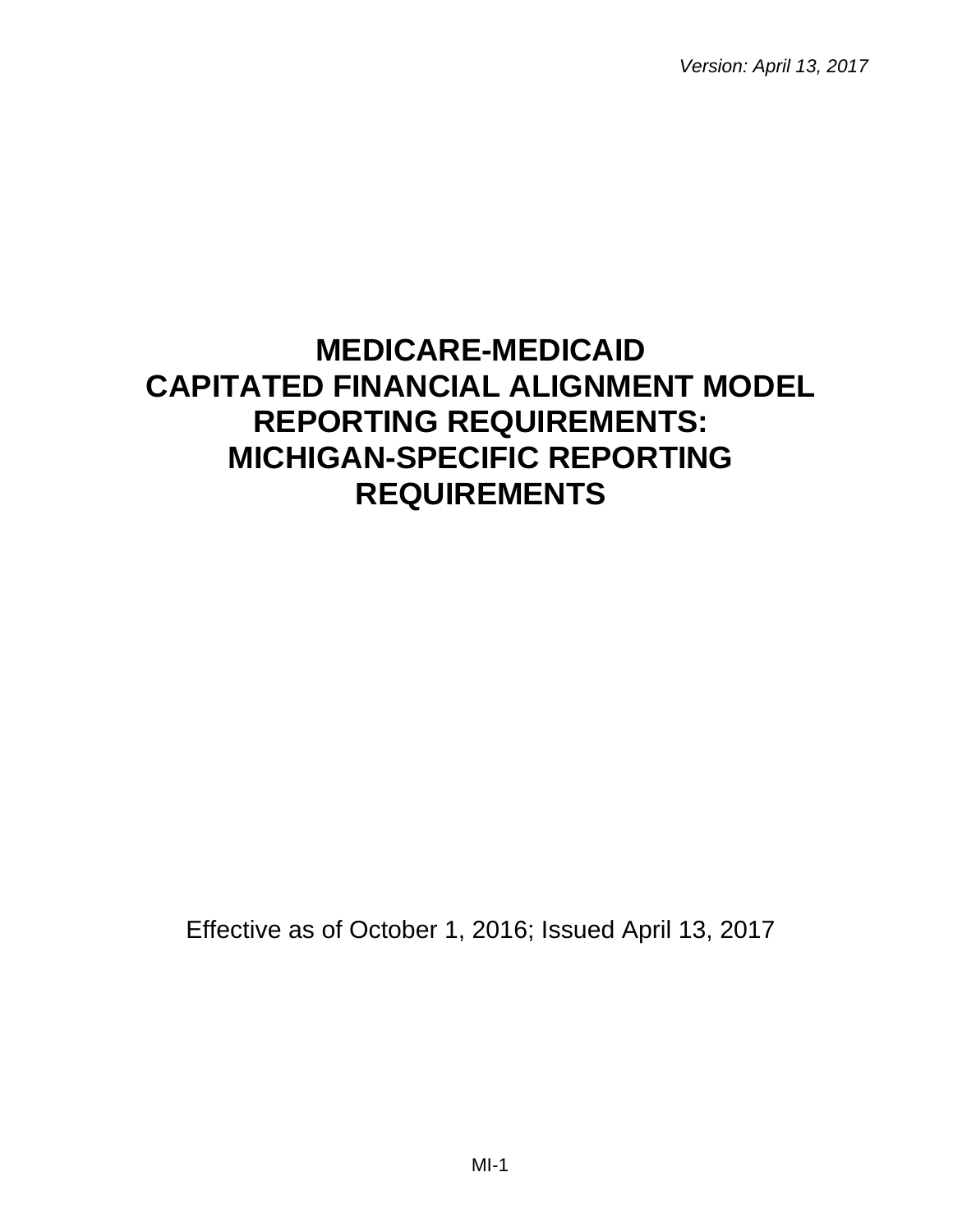*Version: April 13, 2017*

# **MEDICARE-MEDICAID CAPITATED FINANCIAL ALIGNMENT MODEL REPORTING REQUIREMENTS: MICHIGAN-SPECIFIC REPORTING REQUIREMENTS**

Effective as of October 1, 2016; Issued April 13, 2017

MI-1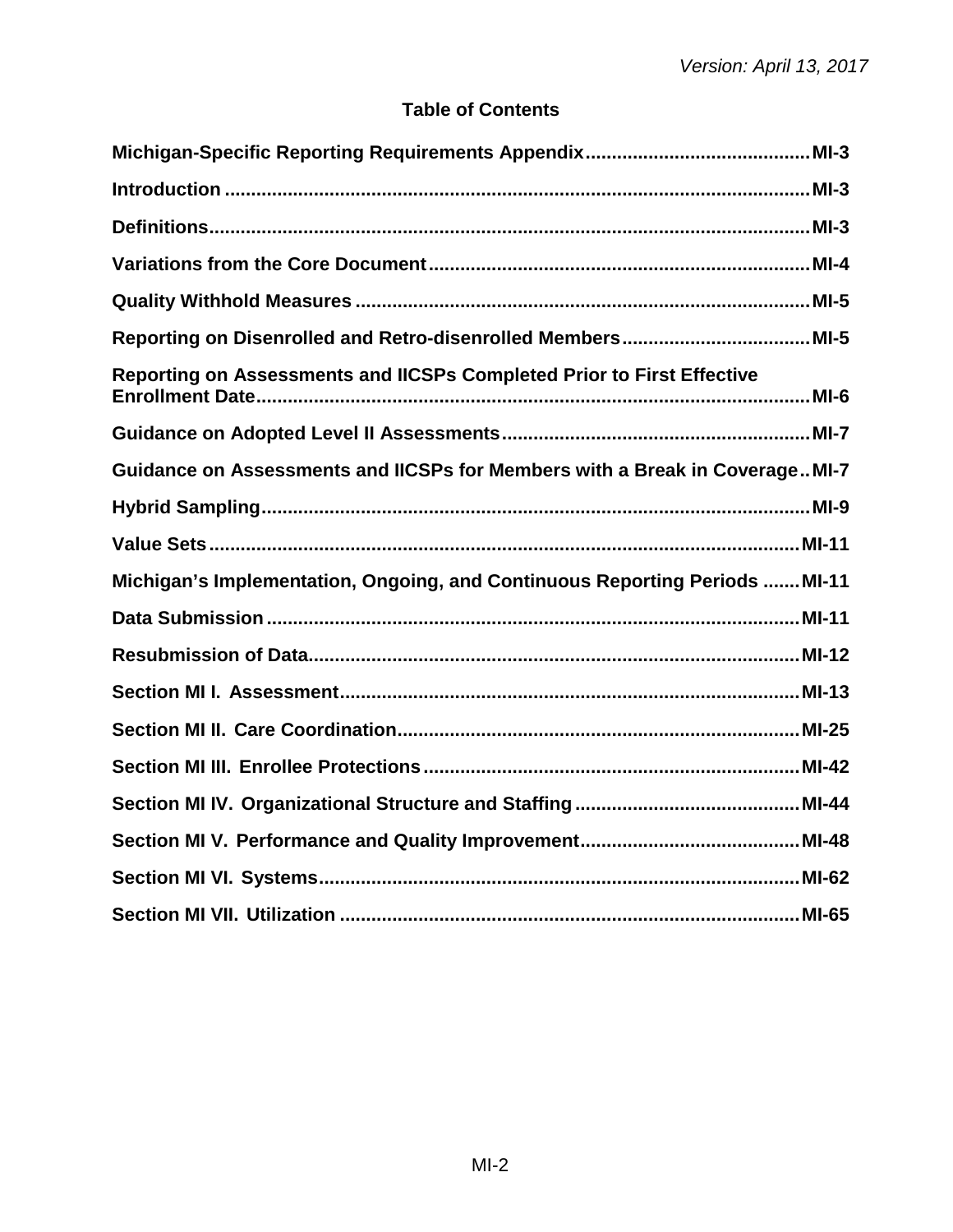# **Table of Contents**

| Reporting on Assessments and IICSPs Completed Prior to First Effective      |  |
|-----------------------------------------------------------------------------|--|
|                                                                             |  |
| Guidance on Assessments and IICSPs for Members with a Break in CoverageMI-7 |  |
|                                                                             |  |
|                                                                             |  |
| Michigan's Implementation, Ongoing, and Continuous Reporting Periods  MI-11 |  |
|                                                                             |  |
|                                                                             |  |
|                                                                             |  |
|                                                                             |  |
|                                                                             |  |
|                                                                             |  |
|                                                                             |  |
|                                                                             |  |
|                                                                             |  |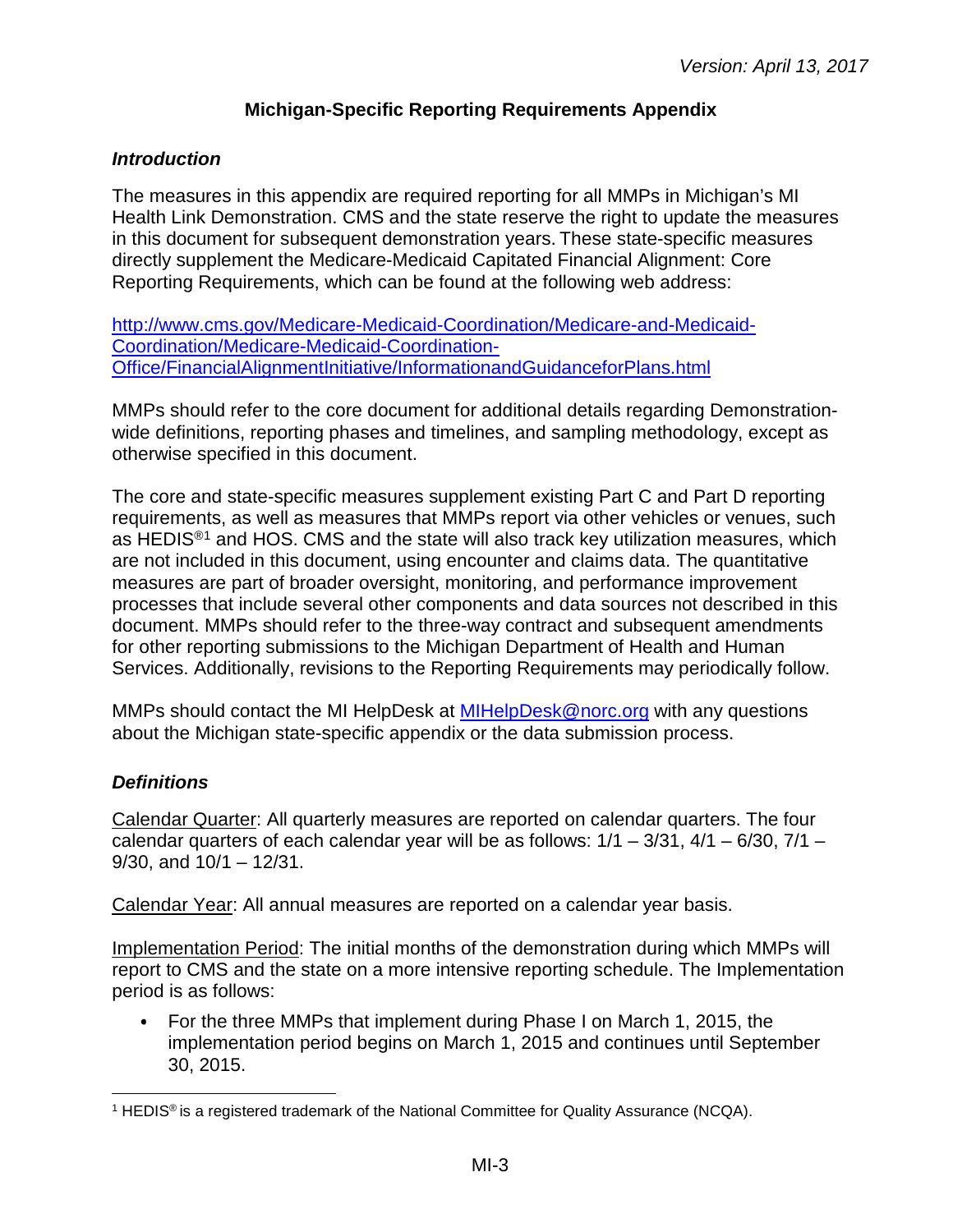# **Michigan-Specific Reporting Requirements Appendix**

### <span id="page-2-1"></span><span id="page-2-0"></span>*Introduction*

The measures in this appendix are required reporting for all MMPs in Michigan's MI Health Link Demonstration. CMS and the state reserve the right to update the measures in this document for subsequent demonstration years. These state-specific measures directly supplement the Medicare-Medicaid Capitated Financial Alignment: Core Reporting Requirements, which can be found at the following web address:

[http://www.cms.gov/Medicare-Medicaid-Coordination/Medicare-and-Medicaid-](http://www.cms.gov/Medicare-Medicaid-Coordination/Medicare-and-Medicaid-Coordination/Medicare-Medicaid-Coordination-Office/FinancialAlignmentInitiative/InformationandGuidanceforPlans.html)[Coordination/Medicare-Medicaid-Coordination-](http://www.cms.gov/Medicare-Medicaid-Coordination/Medicare-and-Medicaid-Coordination/Medicare-Medicaid-Coordination-Office/FinancialAlignmentInitiative/InformationandGuidanceforPlans.html)[Office/FinancialAlignmentInitiative/InformationandGuidanceforPlans.html](http://www.cms.gov/Medicare-Medicaid-Coordination/Medicare-and-Medicaid-Coordination/Medicare-Medicaid-Coordination-Office/FinancialAlignmentInitiative/InformationandGuidanceforPlans.html)

MMPs should refer to the core document for additional details regarding Demonstrationwide definitions, reporting phases and timelines, and sampling methodology, except as otherwise specified in this document.

The core and state-specific measures supplement existing Part C and Part D reporting requirements, as well as measures that MMPs report via other vehicles or venues, such as HEDIS<sup>®[1](#page-2-3)</sup> and HOS. CMS and the state will also track key utilization measures, which are not included in this document, using encounter and claims data. The quantitative measures are part of broader oversight, monitoring, and performance improvement processes that include several other components and data sources not described in this document. MMPs should refer to the three-way contract and subsequent amendments for other reporting submissions to the Michigan Department of Health and Human Services. Additionally, revisions to the Reporting Requirements may periodically follow.

MMPs should contact the MI HelpDesk at [MIHelpDesk@norc.org](mailto:MIHelpDesk@norc.org) with any questions about the Michigan state-specific appendix or the data submission process.

## <span id="page-2-2"></span>*Definitions*

Calendar Quarter: All quarterly measures are reported on calendar quarters. The four calendar quarters of each calendar year will be as follows:  $1/1 - 3/31$ ,  $4/1 - 6/30$ ,  $7/1 9/30$ , and  $10/1 - 12/31$ .

Calendar Year: All annual measures are reported on a calendar year basis.

Implementation Period: The initial months of the demonstration during which MMPs will report to CMS and the state on a more intensive reporting schedule. The Implementation period is as follows:

For the three MMPs that implement during Phase I on March 1, 2015, the implementation period begins on March 1, 2015 and continues until September 30, 2015.

<span id="page-2-3"></span><sup>&</sup>lt;sup>1</sup> HEDIS<sup>®</sup> is a registered trademark of the National Committee for Quality Assurance (NCQA).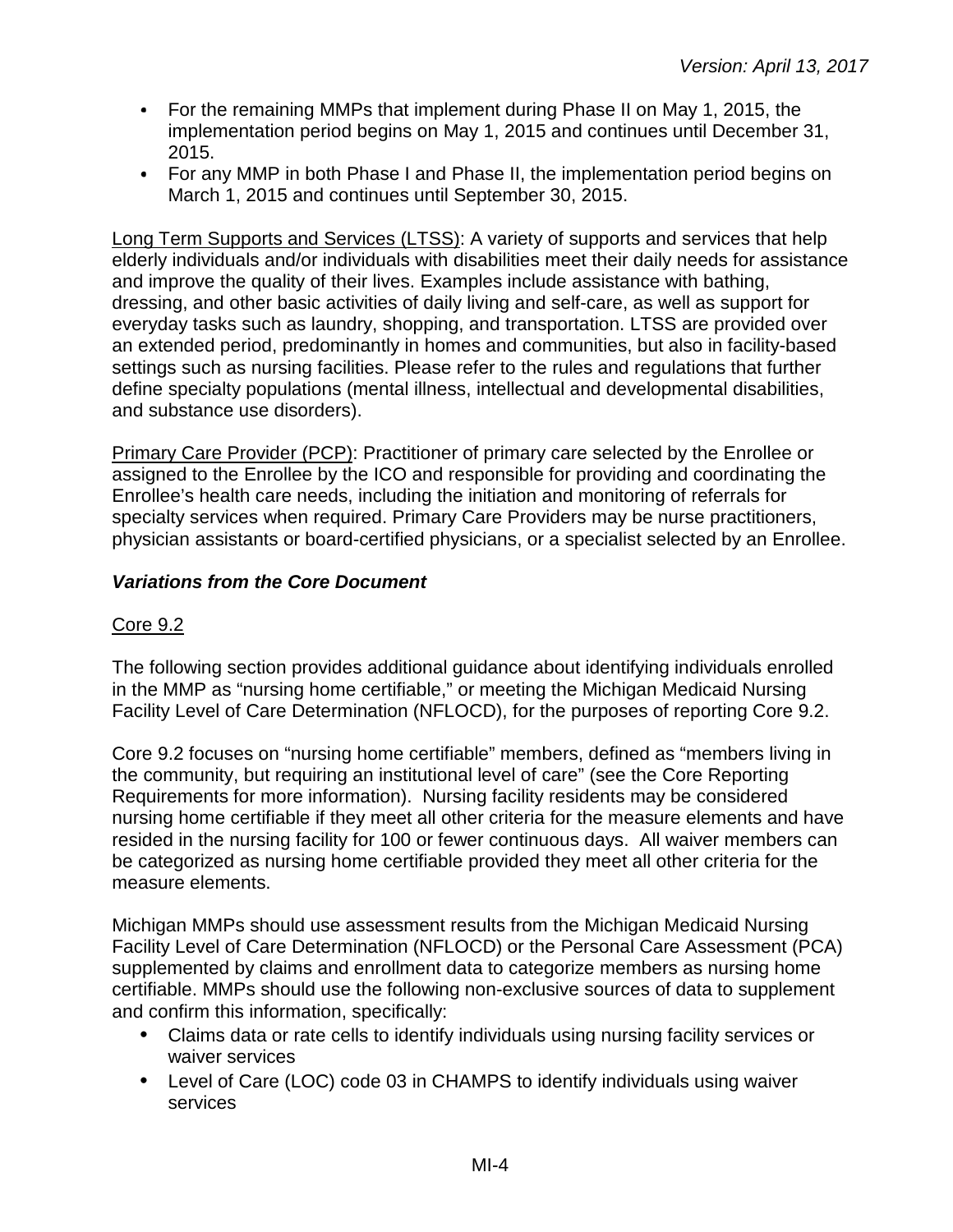- For the remaining MMPs that implement during Phase II on May 1, 2015, the implementation period begins on May 1, 2015 and continues until December 31, 2015.
- For any MMP in both Phase I and Phase II, the implementation period begins on March 1, 2015 and continues until September 30, 2015.

Long Term Supports and Services (LTSS): A variety of supports and services that help elderly individuals and/or individuals with disabilities meet their daily needs for assistance and improve the quality of their lives. Examples include assistance with bathing, dressing, and other basic activities of daily living and self-care, as well as support for everyday tasks such as laundry, shopping, and transportation. LTSS are provided over an extended period, predominantly in homes and communities, but also in facility-based settings such as nursing facilities. Please refer to the rules and regulations that further define specialty populations (mental illness, intellectual and developmental disabilities, and substance use disorders).

Primary Care Provider (PCP): Practitioner of primary care selected by the Enrollee or assigned to the Enrollee by the ICO and responsible for providing and coordinating the Enrollee's health care needs, including the initiation and monitoring of referrals for specialty services when required. Primary Care Providers may be nurse practitioners, physician assistants or board-certified physicians, or a specialist selected by an Enrollee.

# <span id="page-3-0"></span>*Variations from the Core Document*

## Core 9.2

The following section provides additional guidance about identifying individuals enrolled in the MMP as "nursing home certifiable," or meeting the Michigan Medicaid Nursing Facility Level of Care Determination (NFLOCD), for the purposes of reporting Core 9.2.

Core 9.2 focuses on "nursing home certifiable" members, defined as "members living in the community, but requiring an institutional level of care" (see the Core Reporting Requirements for more information). Nursing facility residents may be considered nursing home certifiable if they meet all other criteria for the measure elements and have resided in the nursing facility for 100 or fewer continuous days. All waiver members can be categorized as nursing home certifiable provided they meet all other criteria for the measure elements.

Michigan MMPs should use assessment results from the Michigan Medicaid Nursing Facility Level of Care Determination (NFLOCD) or the Personal Care Assessment (PCA) supplemented by claims and enrollment data to categorize members as nursing home certifiable. MMPs should use the following non-exclusive sources of data to supplement and confirm this information, specifically:

- Claims data or rate cells to identify individuals using nursing facility services or waiver services
- Level of Care (LOC) code 03 in CHAMPS to identify individuals using waiver services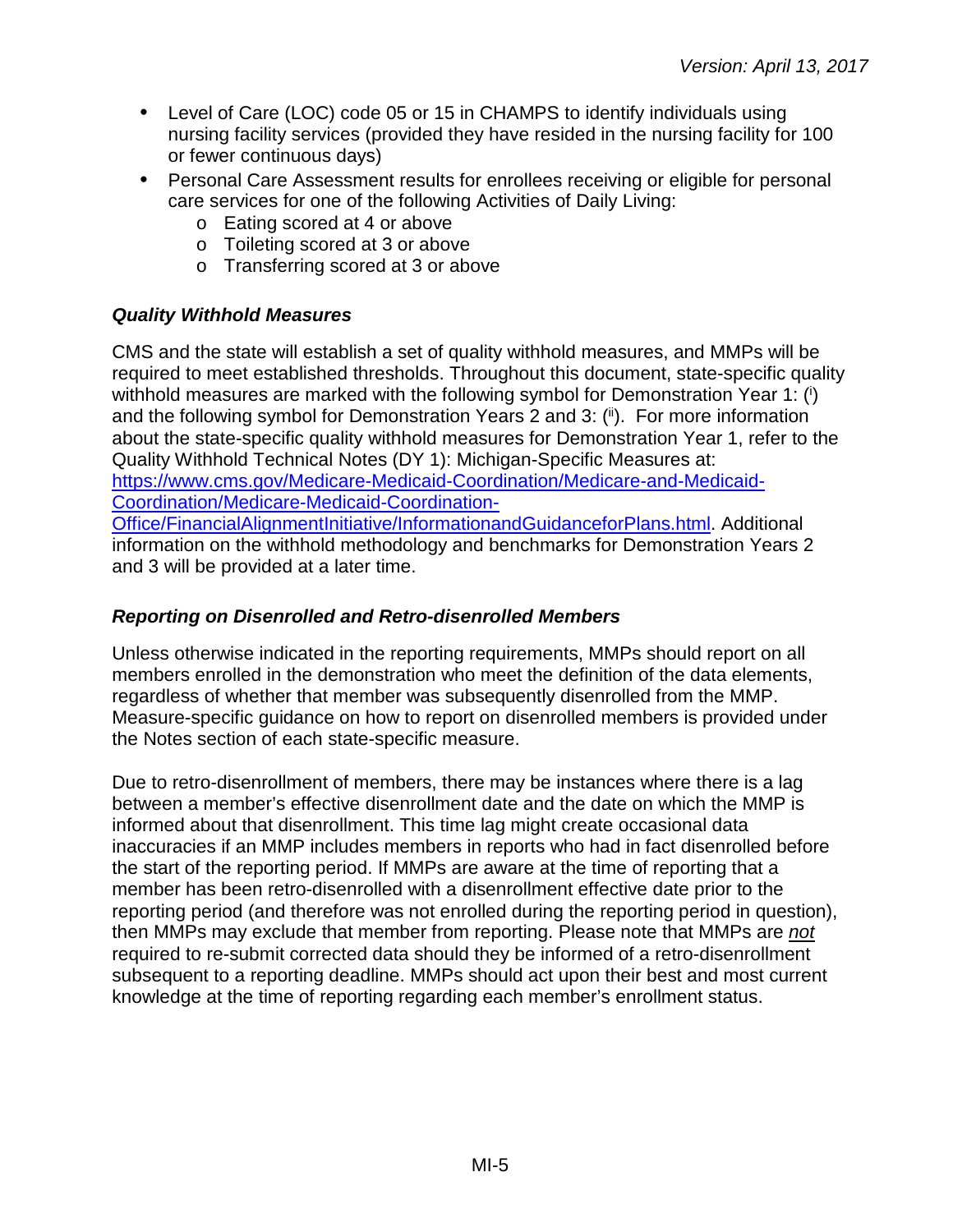- Level of Care (LOC) code 05 or 15 in CHAMPS to identify individuals using nursing facility services (provided they have resided in the nursing facility for 100 or fewer continuous days)
- Personal Care Assessment results for enrollees receiving or eligible for personal care services for one of the following Activities of Daily Living:
	- o Eating scored at 4 or above
	- o Toileting scored at 3 or above
	- o Transferring scored at 3 or above

# <span id="page-4-0"></span>*Quality Withhold Measures*

CMS and the state will establish a set of quality withhold measures, and MMPs will be required to meet established thresholds. Throughout this document, state-specific quality withhold measures are marked with the following symbol for Demonstration Year 1: (i) and the following symbol for Demonstration Years 2 and 3: (ii). For more information about the state-specific quality withhold measures for Demonstration Year 1, refer to the Quality Withhold Technical Notes (DY 1): Michigan-Specific Measures at: [https://www.cms.gov/Medicare-Medicaid-Coordination/Medicare-and-Medicaid-](https://www.cms.gov/Medicare-Medicaid-Coordination/Medicare-and-Medicaid-Coordination/Medicare-Medicaid-Coordination-Office/FinancialAlignmentInitiative/InformationandGuidanceforPlans.html)[Coordination/Medicare-Medicaid-Coordination-](https://www.cms.gov/Medicare-Medicaid-Coordination/Medicare-and-Medicaid-Coordination/Medicare-Medicaid-Coordination-Office/FinancialAlignmentInitiative/InformationandGuidanceforPlans.html)[Office/FinancialAlignmentInitiative/InformationandGuidanceforPlans.html.](https://www.cms.gov/Medicare-Medicaid-Coordination/Medicare-and-Medicaid-Coordination/Medicare-Medicaid-Coordination-Office/FinancialAlignmentInitiative/InformationandGuidanceforPlans.html) Additional

information on the withhold methodology and benchmarks for Demonstration Years 2 and 3 will be provided at a later time.

# <span id="page-4-1"></span>*Reporting on Disenrolled and Retro-disenrolled Members*

Unless otherwise indicated in the reporting requirements, MMPs should report on all members enrolled in the demonstration who meet the definition of the data elements, regardless of whether that member was subsequently disenrolled from the MMP. Measure-specific guidance on how to report on disenrolled members is provided under the Notes section of each state-specific measure.

Due to retro-disenrollment of members, there may be instances where there is a lag between a member's effective disenrollment date and the date on which the MMP is informed about that disenrollment. This time lag might create occasional data inaccuracies if an MMP includes members in reports who had in fact disenrolled before the start of the reporting period. If MMPs are aware at the time of reporting that a member has been retro-disenrolled with a disenrollment effective date prior to the reporting period (and therefore was not enrolled during the reporting period in question), then MMPs may exclude that member from reporting. Please note that MMPs are *not* required to re-submit corrected data should they be informed of a retro-disenrollment subsequent to a reporting deadline. MMPs should act upon their best and most current knowledge at the time of reporting regarding each member's enrollment status.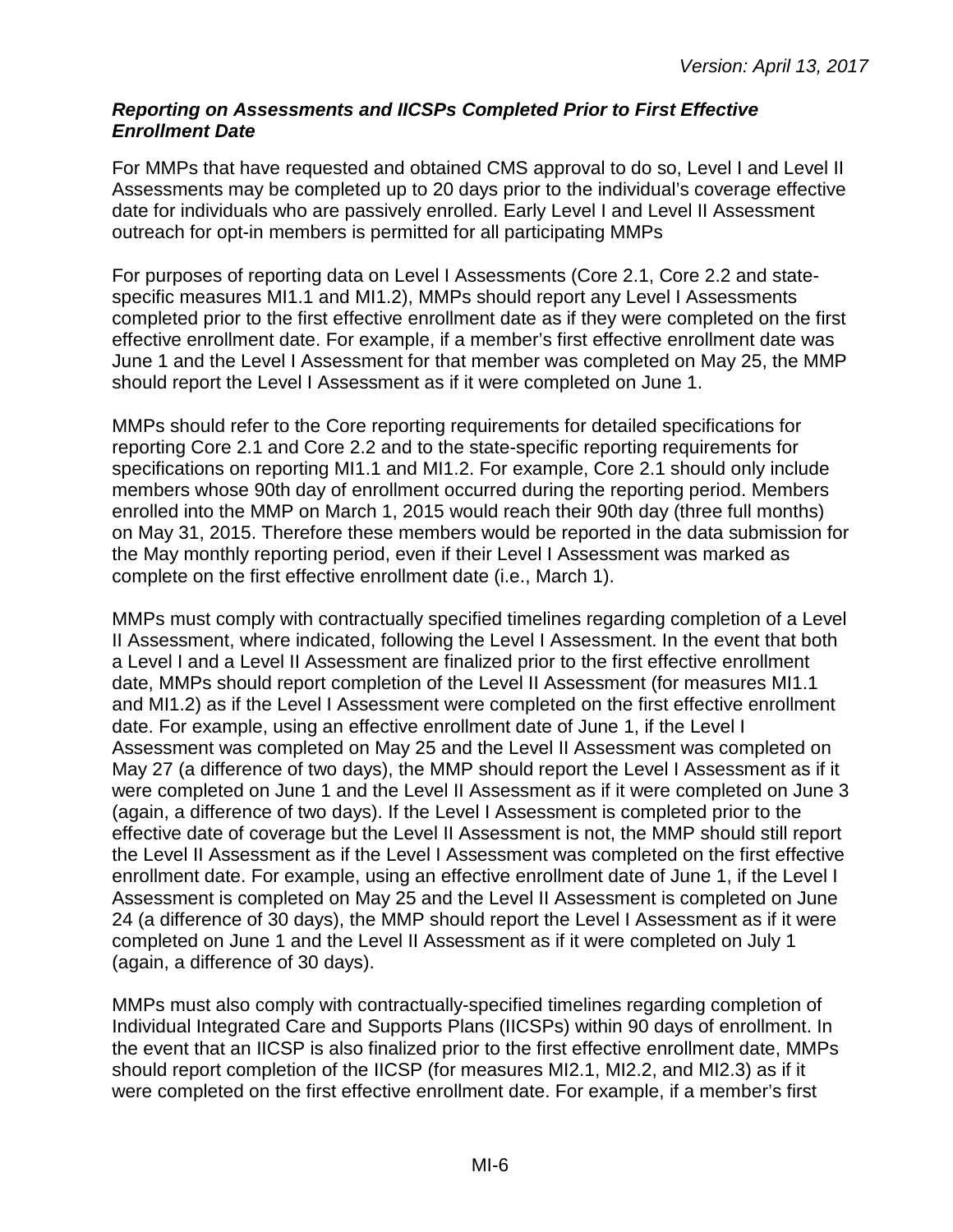#### <span id="page-5-0"></span>*Reporting on Assessments and IICSPs Completed Prior to First Effective Enrollment Date*

For MMPs that have requested and obtained CMS approval to do so, Level I and Level II Assessments may be completed up to 20 days prior to the individual's coverage effective date for individuals who are passively enrolled. Early Level I and Level II Assessment outreach for opt-in members is permitted for all participating MMPs

For purposes of reporting data on Level I Assessments (Core 2.1, Core 2.2 and statespecific measures MI1.1 and MI1.2), MMPs should report any Level I Assessments completed prior to the first effective enrollment date as if they were completed on the first effective enrollment date. For example, if a member's first effective enrollment date was June 1 and the Level I Assessment for that member was completed on May 25, the MMP should report the Level I Assessment as if it were completed on June 1.

MMPs should refer to the Core reporting requirements for detailed specifications for reporting Core 2.1 and Core 2.2 and to the state-specific reporting requirements for specifications on reporting MI1.1 and MI1.2. For example, Core 2.1 should only include members whose 90th day of enrollment occurred during the reporting period. Members enrolled into the MMP on March 1, 2015 would reach their 90th day (three full months) on May 31, 2015. Therefore these members would be reported in the data submission for the May monthly reporting period, even if their Level I Assessment was marked as complete on the first effective enrollment date (i.e., March 1).

MMPs must comply with contractually specified timelines regarding completion of a Level II Assessment, where indicated, following the Level I Assessment. In the event that both a Level I and a Level II Assessment are finalized prior to the first effective enrollment date, MMPs should report completion of the Level II Assessment (for measures MI1.1 and MI1.2) as if the Level I Assessment were completed on the first effective enrollment date. For example, using an effective enrollment date of June 1, if the Level I Assessment was completed on May 25 and the Level II Assessment was completed on May 27 (a difference of two days), the MMP should report the Level I Assessment as if it were completed on June 1 and the Level II Assessment as if it were completed on June 3 (again, a difference of two days). If the Level I Assessment is completed prior to the effective date of coverage but the Level II Assessment is not, the MMP should still report the Level II Assessment as if the Level I Assessment was completed on the first effective enrollment date. For example, using an effective enrollment date of June 1, if the Level I Assessment is completed on May 25 and the Level II Assessment is completed on June 24 (a difference of 30 days), the MMP should report the Level I Assessment as if it were completed on June 1 and the Level II Assessment as if it were completed on July 1 (again, a difference of 30 days).

MMPs must also comply with contractually-specified timelines regarding completion of Individual Integrated Care and Supports Plans (IICSPs) within 90 days of enrollment. In the event that an IICSP is also finalized prior to the first effective enrollment date, MMPs should report completion of the IICSP (for measures MI2.1, MI2.2, and MI2.3) as if it were completed on the first effective enrollment date. For example, if a member's first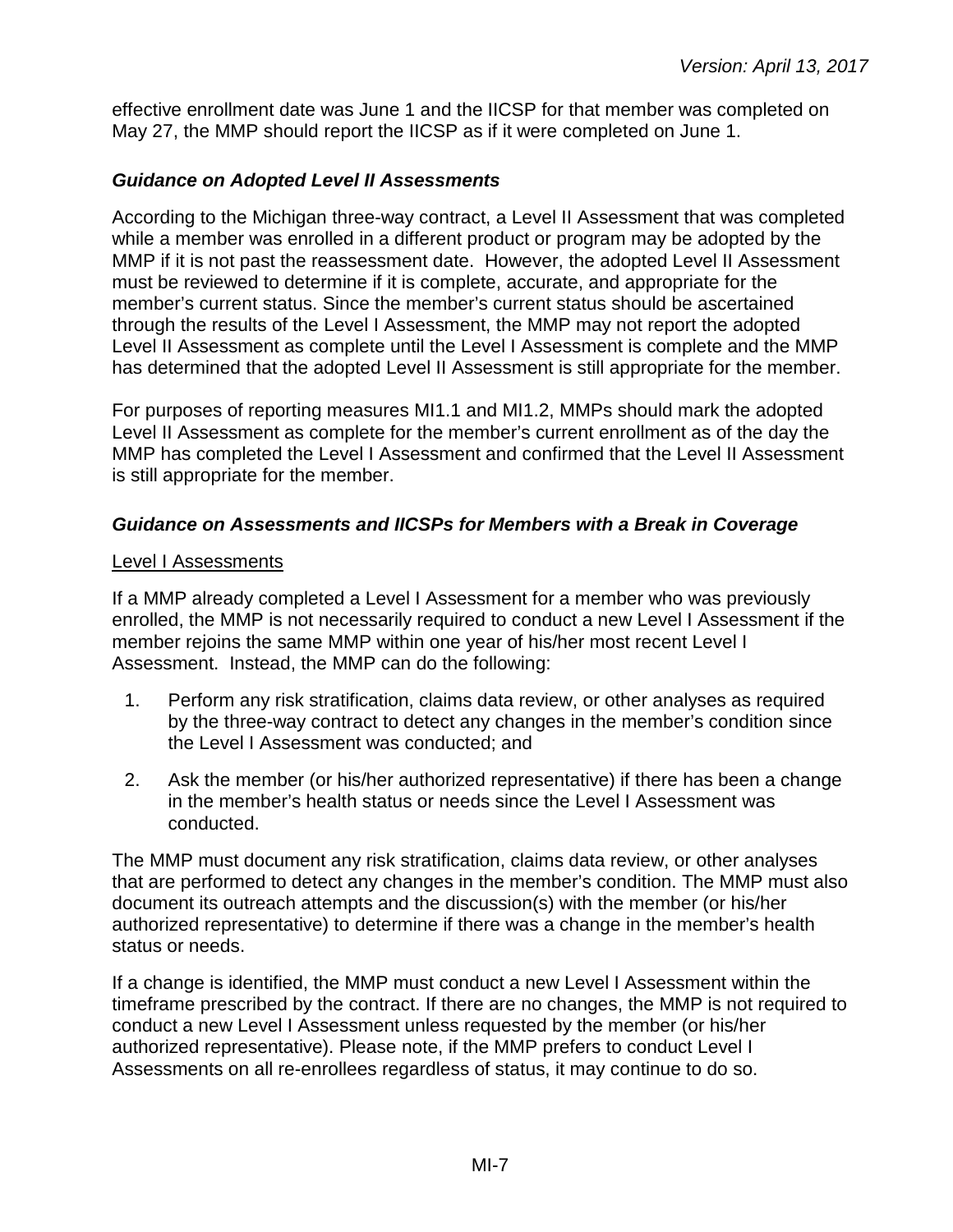effective enrollment date was June 1 and the IICSP for that member was completed on May 27, the MMP should report the IICSP as if it were completed on June 1.

# <span id="page-6-0"></span>*Guidance on Adopted Level II Assessments*

According to the Michigan three-way contract, a Level II Assessment that was completed while a member was enrolled in a different product or program may be adopted by the MMP if it is not past the reassessment date. However, the adopted Level II Assessment must be reviewed to determine if it is complete, accurate, and appropriate for the member's current status. Since the member's current status should be ascertained through the results of the Level I Assessment, the MMP may not report the adopted Level II Assessment as complete until the Level I Assessment is complete and the MMP has determined that the adopted Level II Assessment is still appropriate for the member.

For purposes of reporting measures MI1.1 and MI1.2, MMPs should mark the adopted Level II Assessment as complete for the member's current enrollment as of the day the MMP has completed the Level I Assessment and confirmed that the Level II Assessment is still appropriate for the member.

## <span id="page-6-1"></span>*Guidance on Assessments and IICSPs for Members with a Break in Coverage*

#### Level I Assessments

If a MMP already completed a Level I Assessment for a member who was previously enrolled, the MMP is not necessarily required to conduct a new Level I Assessment if the member rejoins the same MMP within one year of his/her most recent Level I Assessment. Instead, the MMP can do the following:

- 1. Perform any risk stratification, claims data review, or other analyses as required by the three-way contract to detect any changes in the member's condition since the Level I Assessment was conducted; and
- 2. Ask the member (or his/her authorized representative) if there has been a change in the member's health status or needs since the Level I Assessment was conducted.

The MMP must document any risk stratification, claims data review, or other analyses that are performed to detect any changes in the member's condition. The MMP must also document its outreach attempts and the discussion(s) with the member (or his/her authorized representative) to determine if there was a change in the member's health status or needs.

If a change is identified, the MMP must conduct a new Level I Assessment within the timeframe prescribed by the contract. If there are no changes, the MMP is not required to conduct a new Level I Assessment unless requested by the member (or his/her authorized representative). Please note, if the MMP prefers to conduct Level I Assessments on all re-enrollees regardless of status, it may continue to do so.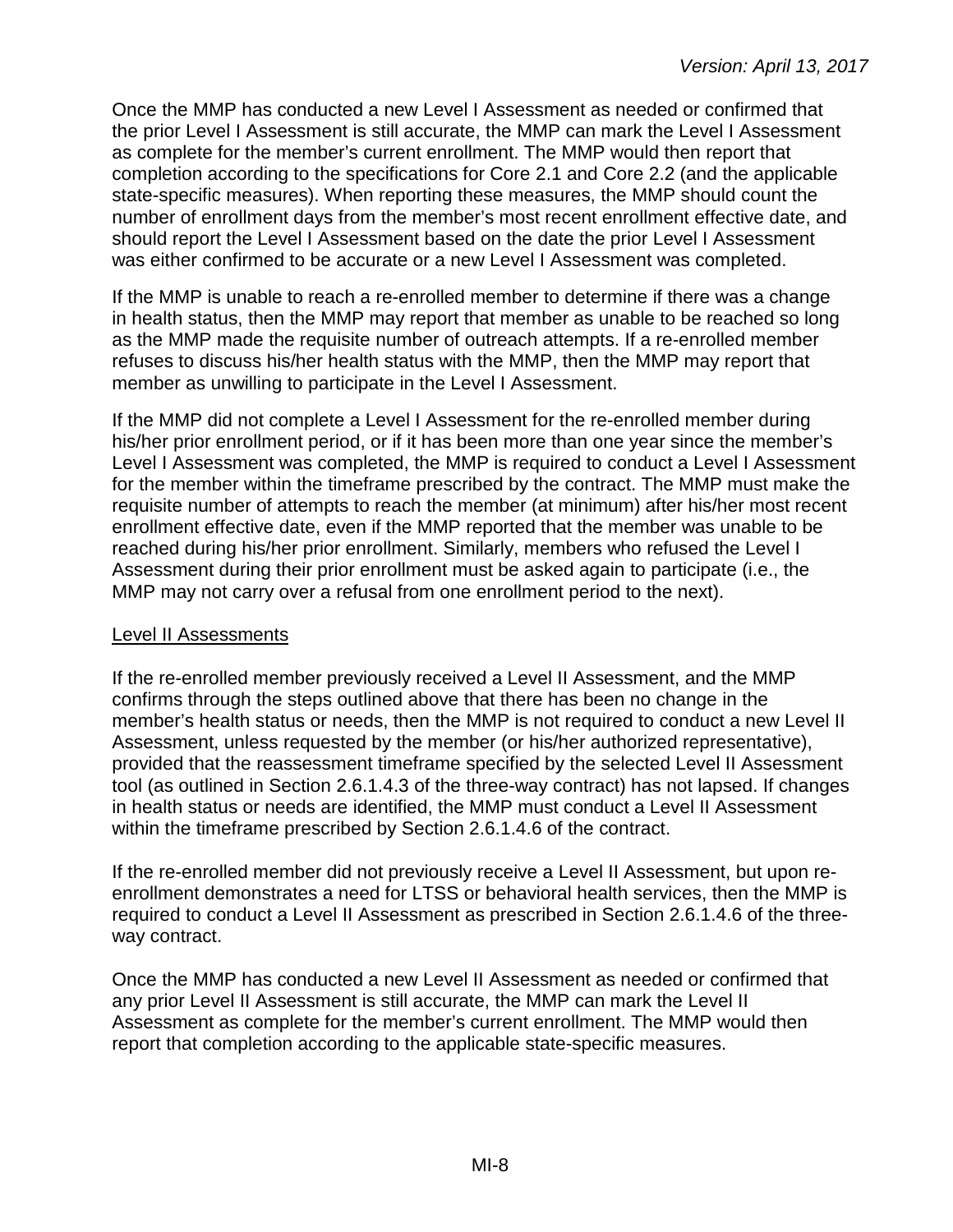Once the MMP has conducted a new Level I Assessment as needed or confirmed that the prior Level I Assessment is still accurate, the MMP can mark the Level I Assessment as complete for the member's current enrollment. The MMP would then report that completion according to the specifications for Core 2.1 and Core 2.2 (and the applicable state-specific measures). When reporting these measures, the MMP should count the number of enrollment days from the member's most recent enrollment effective date, and should report the Level I Assessment based on the date the prior Level I Assessment was either confirmed to be accurate or a new Level I Assessment was completed.

If the MMP is unable to reach a re-enrolled member to determine if there was a change in health status, then the MMP may report that member as unable to be reached so long as the MMP made the requisite number of outreach attempts. If a re-enrolled member refuses to discuss his/her health status with the MMP, then the MMP may report that member as unwilling to participate in the Level I Assessment.

If the MMP did not complete a Level I Assessment for the re-enrolled member during his/her prior enrollment period, or if it has been more than one year since the member's Level I Assessment was completed, the MMP is required to conduct a Level I Assessment for the member within the timeframe prescribed by the contract. The MMP must make the requisite number of attempts to reach the member (at minimum) after his/her most recent enrollment effective date, even if the MMP reported that the member was unable to be reached during his/her prior enrollment. Similarly, members who refused the Level I Assessment during their prior enrollment must be asked again to participate (i.e., the MMP may not carry over a refusal from one enrollment period to the next).

## Level II Assessments

If the re-enrolled member previously received a Level II Assessment, and the MMP confirms through the steps outlined above that there has been no change in the member's health status or needs, then the MMP is not required to conduct a new Level II Assessment, unless requested by the member (or his/her authorized representative), provided that the reassessment timeframe specified by the selected Level II Assessment tool (as outlined in Section 2.6.1.4.3 of the three-way contract) has not lapsed. If changes in health status or needs are identified, the MMP must conduct a Level II Assessment within the timeframe prescribed by Section 2.6.1.4.6 of the contract.

If the re-enrolled member did not previously receive a Level II Assessment, but upon reenrollment demonstrates a need for LTSS or behavioral health services, then the MMP is required to conduct a Level II Assessment as prescribed in Section 2.6.1.4.6 of the threeway contract.

Once the MMP has conducted a new Level II Assessment as needed or confirmed that any prior Level II Assessment is still accurate, the MMP can mark the Level II Assessment as complete for the member's current enrollment. The MMP would then report that completion according to the applicable state-specific measures.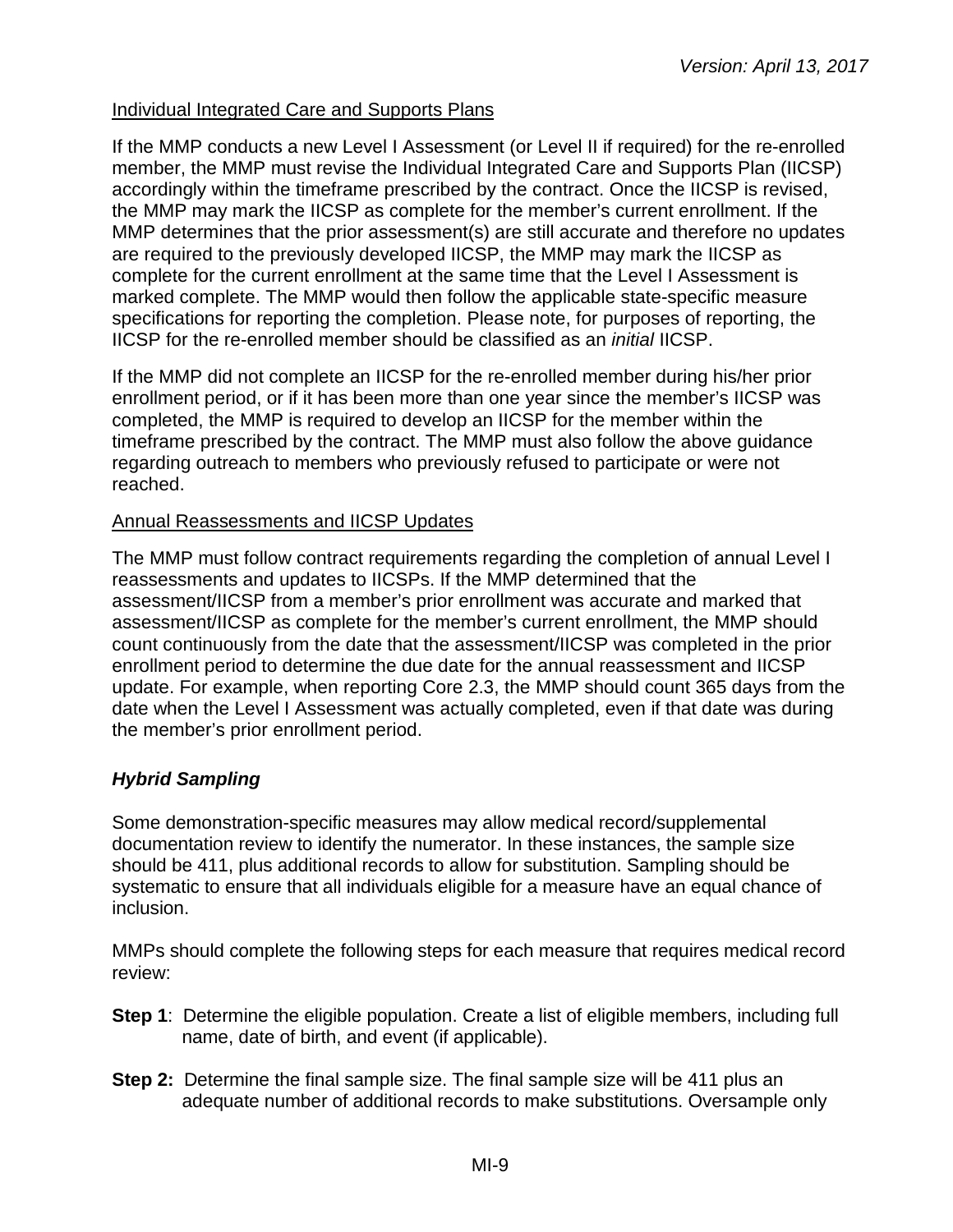### Individual Integrated Care and Supports Plans

If the MMP conducts a new Level I Assessment (or Level II if required) for the re-enrolled member, the MMP must revise the Individual Integrated Care and Supports Plan (IICSP) accordingly within the timeframe prescribed by the contract. Once the IICSP is revised, the MMP may mark the IICSP as complete for the member's current enrollment. If the MMP determines that the prior assessment(s) are still accurate and therefore no updates are required to the previously developed IICSP, the MMP may mark the IICSP as complete for the current enrollment at the same time that the Level I Assessment is marked complete. The MMP would then follow the applicable state-specific measure specifications for reporting the completion. Please note, for purposes of reporting, the IICSP for the re-enrolled member should be classified as an *initial* IICSP.

If the MMP did not complete an IICSP for the re-enrolled member during his/her prior enrollment period, or if it has been more than one year since the member's IICSP was completed, the MMP is required to develop an IICSP for the member within the timeframe prescribed by the contract. The MMP must also follow the above guidance regarding outreach to members who previously refused to participate or were not reached.

#### Annual Reassessments and IICSP Updates

The MMP must follow contract requirements regarding the completion of annual Level I reassessments and updates to IICSPs. If the MMP determined that the assessment/IICSP from a member's prior enrollment was accurate and marked that assessment/IICSP as complete for the member's current enrollment, the MMP should count continuously from the date that the assessment/IICSP was completed in the prior enrollment period to determine the due date for the annual reassessment and IICSP update. For example, when reporting Core 2.3, the MMP should count 365 days from the date when the Level I Assessment was actually completed, even if that date was during the member's prior enrollment period.

## <span id="page-8-0"></span>*Hybrid Sampling*

Some demonstration-specific measures may allow medical record/supplemental documentation review to identify the numerator. In these instances, the sample size should be 411, plus additional records to allow for substitution. Sampling should be systematic to ensure that all individuals eligible for a measure have an equal chance of inclusion.

MMPs should complete the following steps for each measure that requires medical record review:

- **Step 1:** Determine the eligible population. Create a list of eligible members, including full name, date of birth, and event (if applicable).
- **Step 2:** Determine the final sample size. The final sample size will be 411 plus an adequate number of additional records to make substitutions. Oversample only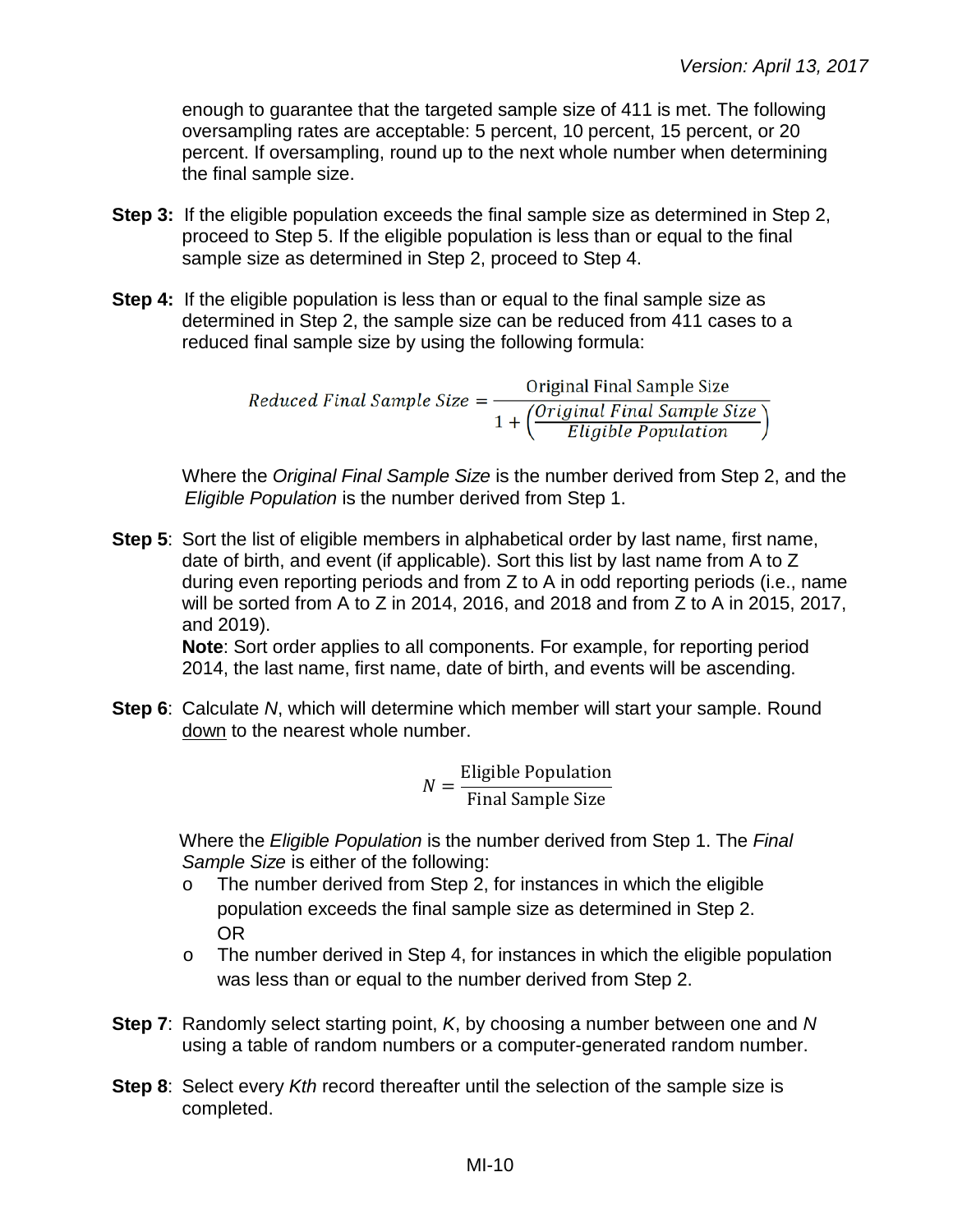enough to guarantee that the targeted sample size of 411 is met. The following oversampling rates are acceptable: 5 percent, 10 percent, 15 percent, or 20 percent. If oversampling, round up to the next whole number when determining the final sample size.

- **Step 3:** If the eligible population exceeds the final sample size as determined in Step 2, proceed to Step 5. If the eligible population is less than or equal to the final sample size as determined in Step 2, proceed to Step 4.
- **Step 4:** If the eligible population is less than or equal to the final sample size as determined in Step 2, the sample size can be reduced from 411 cases to a reduced final sample size by using the following formula:

Reduced Final Sample Size =  $\frac{\text{Original Final Small}}{1 + \left(\frac{\text{Original Final Sample Size}}{\text{Eligible Population}}\right)}$ 

Where the *Original Final Sample Size* is the number derived from Step 2, and the *Eligible Population* is the number derived from Step 1.

**Step 5:** Sort the list of eligible members in alphabetical order by last name, first name, date of birth, and event (if applicable). Sort this list by last name from A to Z during even reporting periods and from Z to A in odd reporting periods (i.e., name will be sorted from A to Z in 2014, 2016, and 2018 and from Z to A in 2015, 2017, and 2019).

**Note**: Sort order applies to all components. For example, for reporting period 2014, the last name, first name, date of birth, and events will be ascending.

**Step 6**: Calculate *N*, which will determine which member will start your sample. Round down to the nearest whole number.

$$
N = \frac{\text{Eligible Population}}{\text{Final Sample Size}}
$$

Where the *Eligible Population* is the number derived from Step 1. The *Final Sample Size* is either of the following:

- o The number derived from Step 2, for instances in which the eligible population exceeds the final sample size as determined in Step 2. OR
- $\circ$  The number derived in Step 4, for instances in which the eligible population was less than or equal to the number derived from Step 2.
- **Step 7**: Randomly select starting point, *K*, by choosing a number between one and *N* using a table of random numbers or a computer-generated random number.
- **Step 8**: Select every *Kth* record thereafter until the selection of the sample size is completed.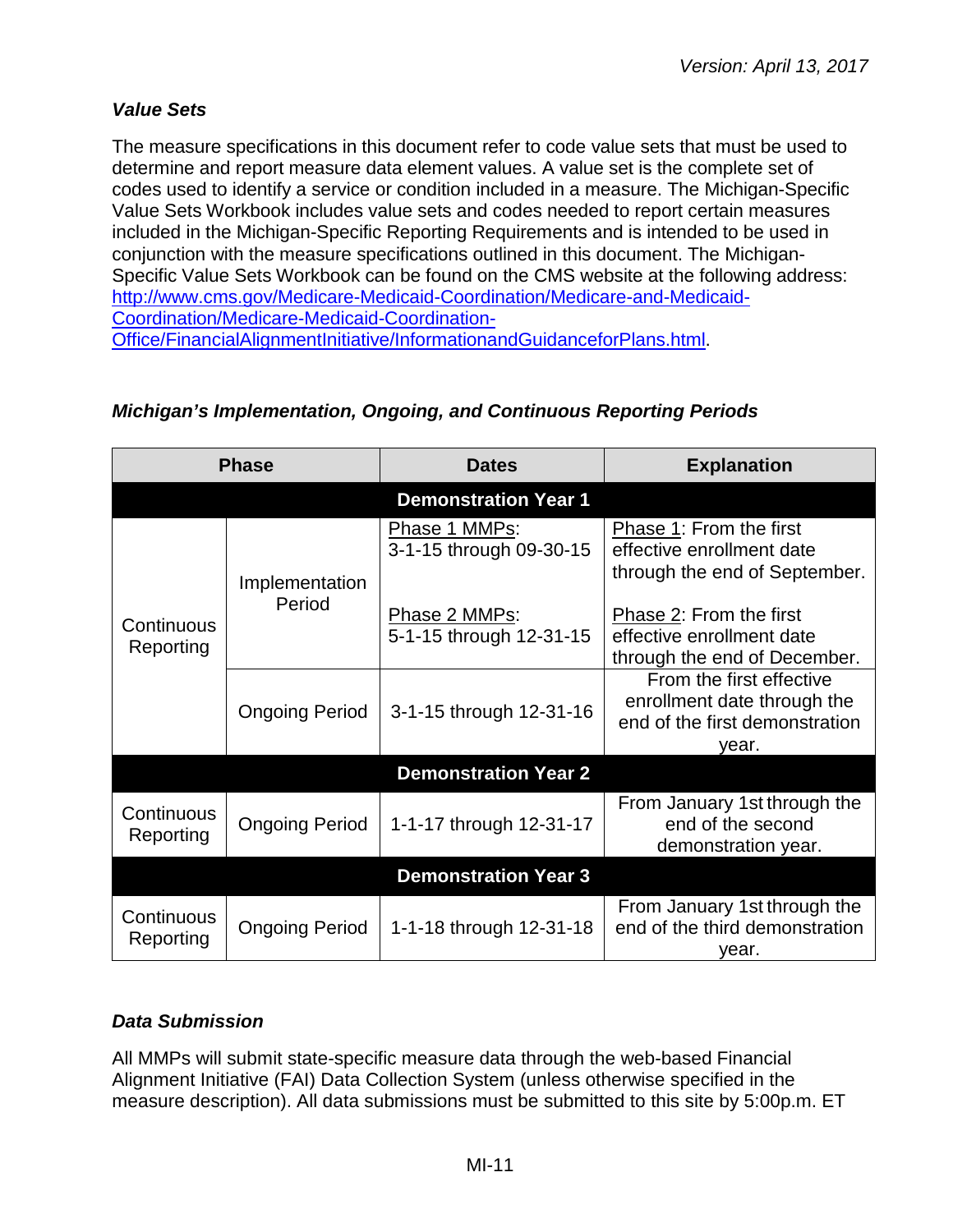# <span id="page-10-0"></span>*Value Sets*

The measure specifications in this document refer to code value sets that must be used to determine and report measure data element values. A value set is the complete set of codes used to identify a service or condition included in a measure. The Michigan-Specific Value Sets Workbook includes value sets and codes needed to report certain measures included in the Michigan-Specific Reporting Requirements and is intended to be used in conjunction with the measure specifications outlined in this document. The Michigan-Specific Value Sets Workbook can be found on the CMS website at the following address: [http://www.cms.gov/Medicare-Medicaid-Coordination/Medicare-and-Medicaid-](http://www.cms.gov/Medicare-Medicaid-Coordination/Medicare-and-Medicaid-Coordination/Medicare-Medicaid-Coordination-Office/FinancialAlignmentInitiative/InformationandGuidanceforPlans.html)[Coordination/Medicare-Medicaid-Coordination-](http://www.cms.gov/Medicare-Medicaid-Coordination/Medicare-and-Medicaid-Coordination/Medicare-Medicaid-Coordination-Office/FinancialAlignmentInitiative/InformationandGuidanceforPlans.html)[Office/FinancialAlignmentInitiative/InformationandGuidanceforPlans.html.](http://www.cms.gov/Medicare-Medicaid-Coordination/Medicare-and-Medicaid-Coordination/Medicare-Medicaid-Coordination-Office/FinancialAlignmentInitiative/InformationandGuidanceforPlans.html)

| <b>Phase</b>                |                       | <b>Dates</b>                             | <b>Explanation</b>                                                                                 |  |
|-----------------------------|-----------------------|------------------------------------------|----------------------------------------------------------------------------------------------------|--|
|                             |                       | <b>Demonstration Year 1</b>              |                                                                                                    |  |
|                             | Implementation        | Phase 1 MMPs:<br>3-1-15 through 09-30-15 | Phase 1: From the first<br>effective enrollment date<br>through the end of September.              |  |
| Continuous<br>Reporting     | Period                | Phase 2 MMPs:<br>5-1-15 through 12-31-15 | Phase 2: From the first<br>effective enrollment date<br>through the end of December.               |  |
|                             | <b>Ongoing Period</b> | 3-1-15 through 12-31-16                  | From the first effective<br>enrollment date through the<br>end of the first demonstration<br>year. |  |
|                             |                       | <b>Demonstration Year 2</b>              |                                                                                                    |  |
| Continuous<br>Reporting     | <b>Ongoing Period</b> | 1-1-17 through 12-31-17                  | From January 1st through the<br>end of the second<br>demonstration year.                           |  |
| <b>Demonstration Year 3</b> |                       |                                          |                                                                                                    |  |
| Continuous<br>Reporting     | <b>Ongoing Period</b> | 1-1-18 through 12-31-18                  | From January 1st through the<br>end of the third demonstration<br>vear.                            |  |

# <span id="page-10-1"></span>*Michigan's Implementation, Ongoing, and Continuous Reporting Periods*

## <span id="page-10-2"></span>*Data Submission*

All MMPs will submit state-specific measure data through the web-based Financial Alignment Initiative (FAI) Data Collection System (unless otherwise specified in the measure description). All data submissions must be submitted to this site by 5:00p.m. ET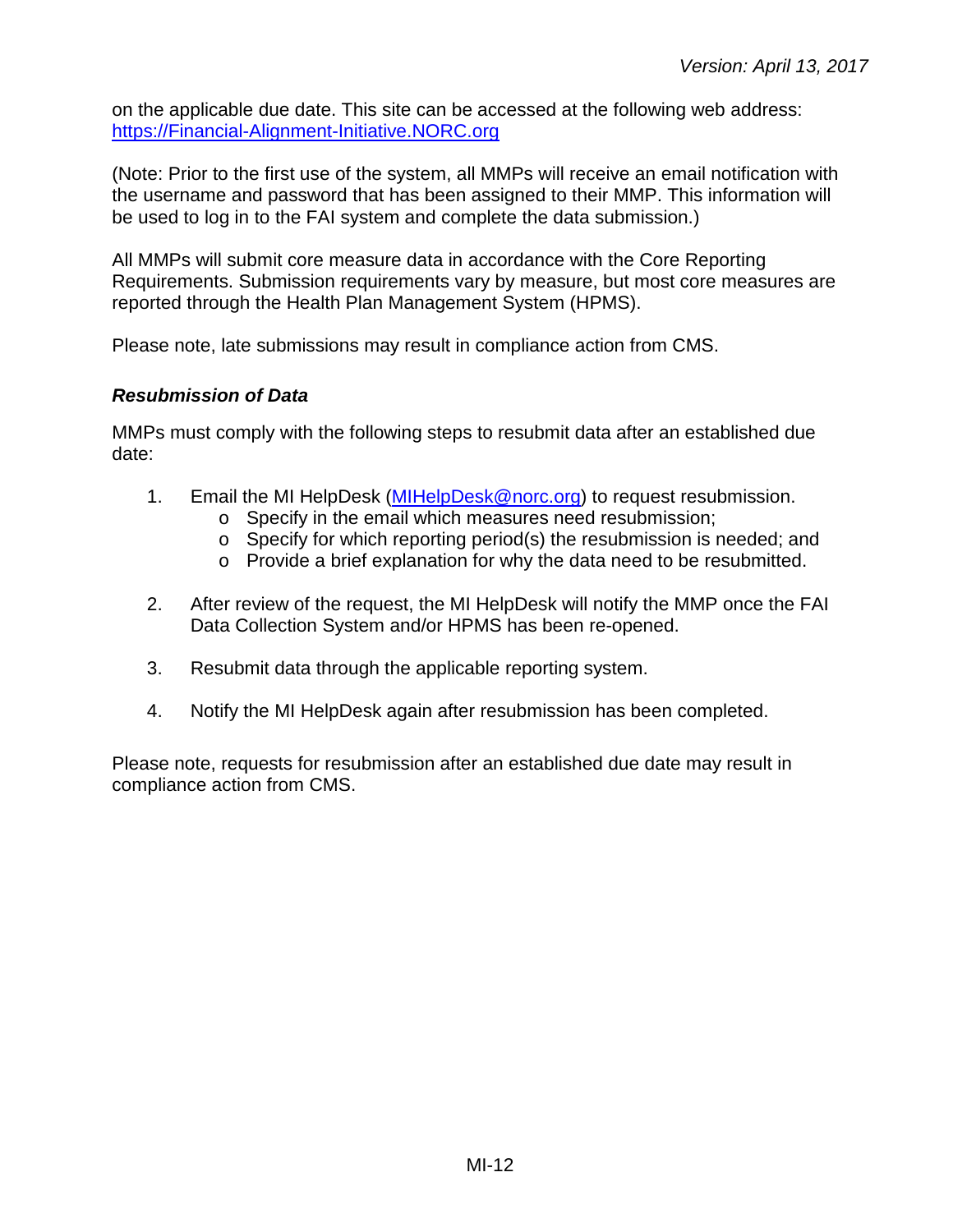on the applicable due date. This site can be accessed at the following web address: [https://Financial-Alignment-Initiative.NORC.org](https://financial-alignment-initiative.norc.org/)

(Note: Prior to the first use of the system, all MMPs will receive an email notification with the username and password that has been assigned to their MMP. This information will be used to log in to the FAI system and complete the data submission.)

All MMPs will submit core measure data in accordance with the Core Reporting Requirements. Submission requirements vary by measure, but most core measures are reported through the Health Plan Management System (HPMS).

<span id="page-11-0"></span>Please note, late submissions may result in compliance action from CMS.

#### *Resubmission of Data*

MMPs must comply with the following steps to resubmit data after an established due date:

- 1. Email the MI HelpDesk [\(MIHelpDesk@norc.org\)](mailto:MIHelpDesk@norc.org) to request resubmission.
	- o Specify in the email which measures need resubmission;
	- o Specify for which reporting period(s) the resubmission is needed; and
	- o Provide a brief explanation for why the data need to be resubmitted.
- 2. After review of the request, the MI HelpDesk will notify the MMP once the FAI Data Collection System and/or HPMS has been re-opened.
- 3. Resubmit data through the applicable reporting system.
- 4. Notify the MI HelpDesk again after resubmission has been completed.

Please note, requests for resubmission after an established due date may result in compliance action from CMS.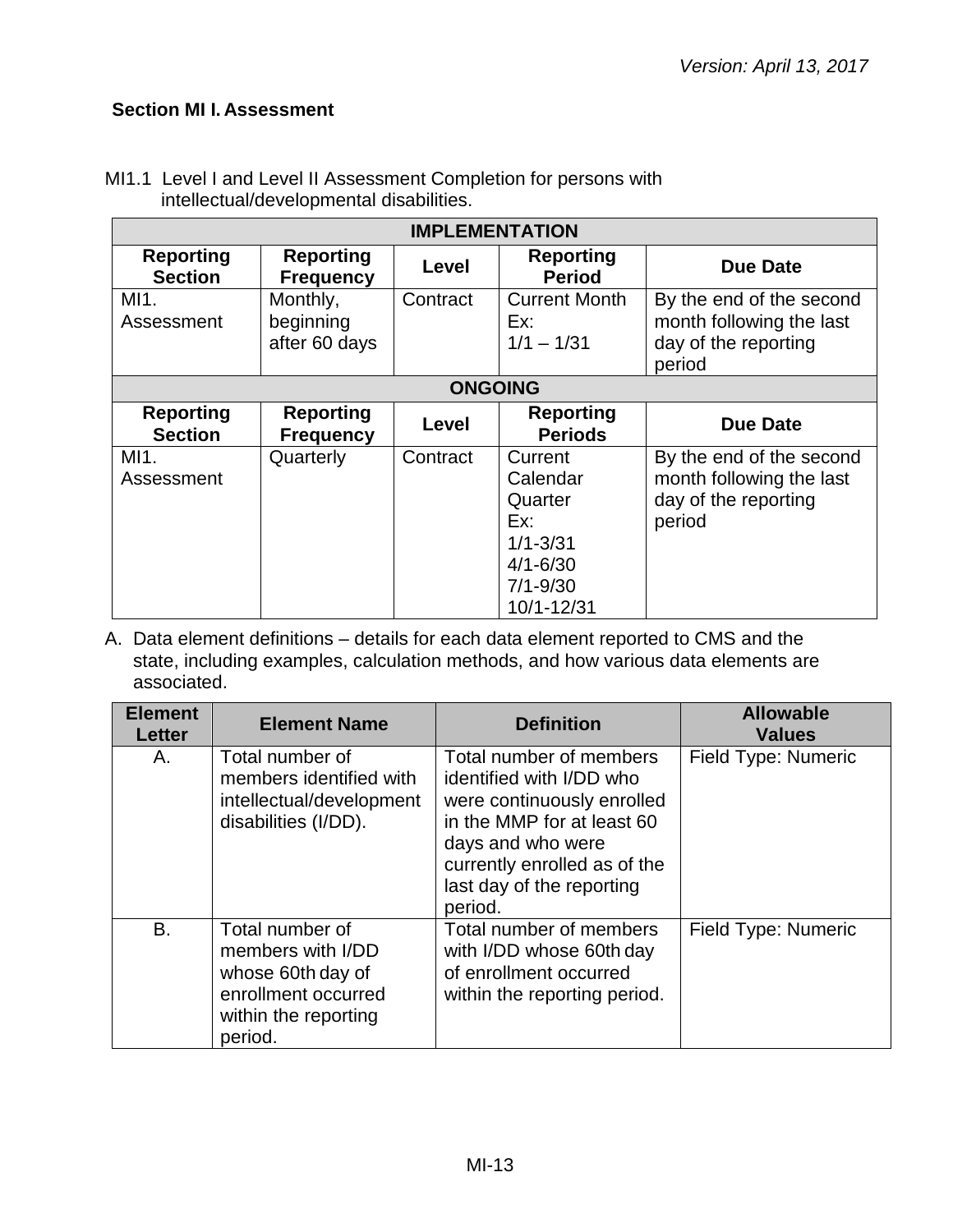## <span id="page-12-0"></span>**Section MI I. Assessment**

| <b>IMPLEMENTATION</b>              |                                        |                |                                                                                                     |                                                                                        |  |
|------------------------------------|----------------------------------------|----------------|-----------------------------------------------------------------------------------------------------|----------------------------------------------------------------------------------------|--|
| <b>Reporting</b><br><b>Section</b> | <b>Reporting</b><br><b>Frequency</b>   | Level          | <b>Reporting</b><br><b>Period</b>                                                                   | <b>Due Date</b>                                                                        |  |
| MI1.<br>Assessment                 | Monthly,<br>beginning<br>after 60 days | Contract       | <b>Current Month</b><br>Ex:<br>$1/1 - 1/31$                                                         | By the end of the second<br>month following the last<br>day of the reporting<br>period |  |
|                                    |                                        | <b>ONGOING</b> |                                                                                                     |                                                                                        |  |
| <b>Reporting</b><br><b>Section</b> | <b>Reporting</b><br><b>Frequency</b>   | Level          | <b>Reporting</b><br><b>Periods</b>                                                                  | <b>Due Date</b>                                                                        |  |
| MI1.<br>Assessment                 | Quarterly                              | Contract       | Current<br>Calendar<br>Quarter<br>Ex:<br>$1/1 - 3/31$<br>$4/1 - 6/30$<br>$7/1 - 9/30$<br>10/1-12/31 | By the end of the second<br>month following the last<br>day of the reporting<br>period |  |

MI1.1 Level I and Level II Assessment Completion for persons with intellectual/developmental disabilities.

| <b>Element</b><br><b>Letter</b> | <b>Element Name</b>                                                                                                 | <b>Definition</b>                                                                                                                                                                                            | <b>Allowable</b><br><b>Values</b> |
|---------------------------------|---------------------------------------------------------------------------------------------------------------------|--------------------------------------------------------------------------------------------------------------------------------------------------------------------------------------------------------------|-----------------------------------|
| А.                              | Total number of<br>members identified with<br>intellectual/development<br>disabilities (I/DD).                      | Total number of members<br>identified with I/DD who<br>were continuously enrolled<br>in the MMP for at least 60<br>days and who were<br>currently enrolled as of the<br>last day of the reporting<br>period. | Field Type: Numeric               |
| B.                              | Total number of<br>members with I/DD<br>whose 60th day of<br>enrollment occurred<br>within the reporting<br>period. | Total number of members<br>with I/DD whose 60th day<br>of enrollment occurred<br>within the reporting period.                                                                                                | Field Type: Numeric               |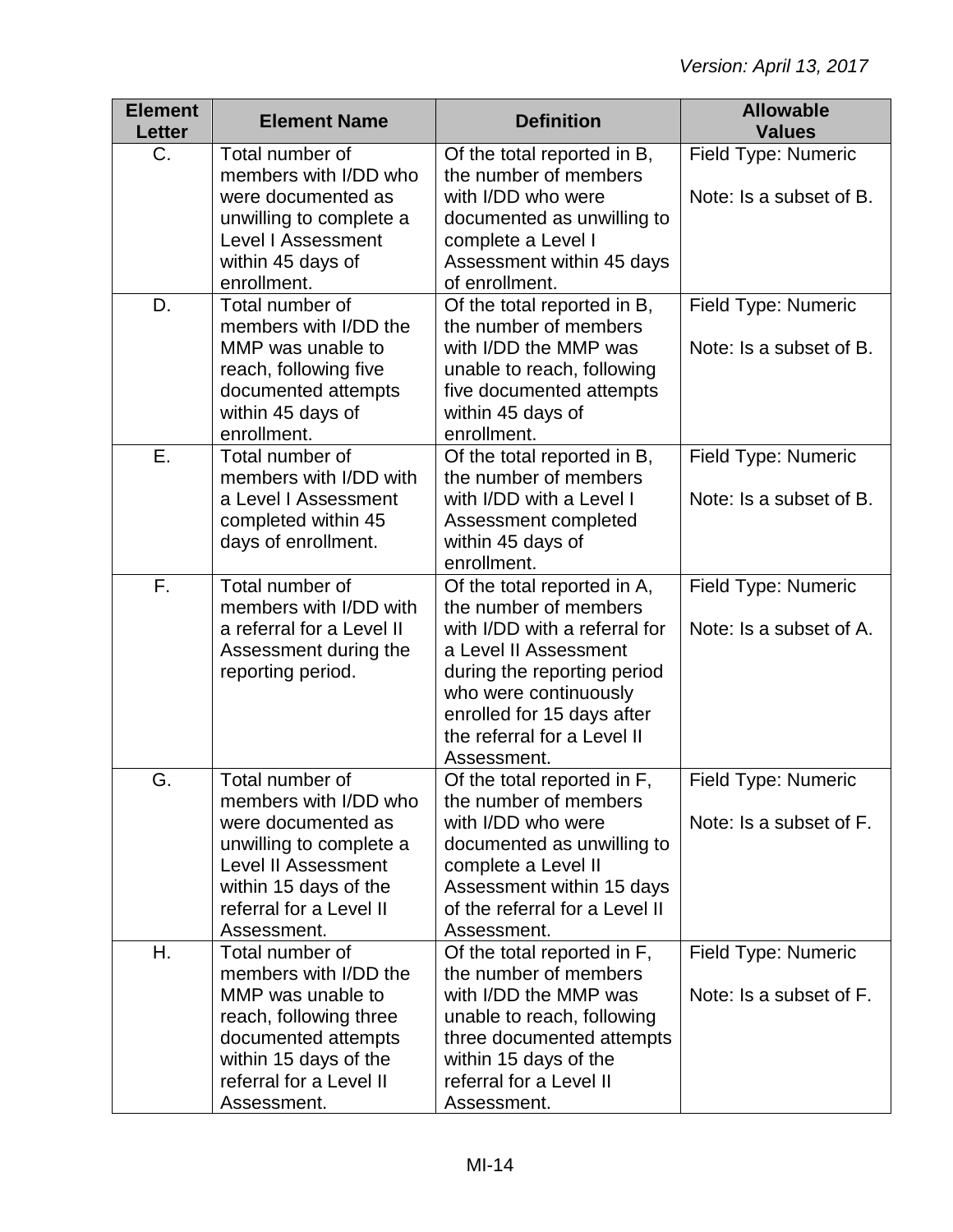| <b>Element</b><br><b>Letter</b> | <b>Element Name</b>                                                                                                                                                                        | <b>Definition</b>                                                                                                                                                                                                                                  | <b>Allowable</b><br><b>Values</b>              |
|---------------------------------|--------------------------------------------------------------------------------------------------------------------------------------------------------------------------------------------|----------------------------------------------------------------------------------------------------------------------------------------------------------------------------------------------------------------------------------------------------|------------------------------------------------|
| C.                              | Total number of<br>members with I/DD who                                                                                                                                                   | Of the total reported in B,<br>the number of members                                                                                                                                                                                               | Field Type: Numeric                            |
|                                 | were documented as<br>unwilling to complete a<br><b>Level I Assessment</b><br>within 45 days of                                                                                            | with I/DD who were<br>documented as unwilling to<br>complete a Level I<br>Assessment within 45 days                                                                                                                                                | Note: Is a subset of B.                        |
|                                 | enrollment.                                                                                                                                                                                | of enrollment.                                                                                                                                                                                                                                     |                                                |
| D.                              | Total number of<br>members with I/DD the<br>MMP was unable to<br>reach, following five<br>documented attempts<br>within 45 days of<br>enrollment.                                          | Of the total reported in B,<br>the number of members<br>with I/DD the MMP was<br>unable to reach, following<br>five documented attempts<br>within 45 days of<br>enrollment.                                                                        | Field Type: Numeric<br>Note: Is a subset of B. |
| Ε.                              | Total number of<br>members with I/DD with<br>a Level I Assessment<br>completed within 45<br>days of enrollment.                                                                            | Of the total reported in B,<br>the number of members<br>with I/DD with a Level I<br>Assessment completed<br>within 45 days of<br>enrollment.                                                                                                       | Field Type: Numeric<br>Note: Is a subset of B. |
| F.                              | Total number of<br>members with I/DD with<br>a referral for a Level II<br>Assessment during the<br>reporting period.                                                                       | Of the total reported in A,<br>the number of members<br>with I/DD with a referral for<br>a Level II Assessment<br>during the reporting period<br>who were continuously<br>enrolled for 15 days after<br>the referral for a Level II<br>Assessment. | Field Type: Numeric<br>Note: Is a subset of A. |
| G.                              | Total number of<br>members with I/DD who<br>were documented as<br>unwilling to complete a<br><b>Level II Assessment</b><br>within 15 days of the<br>referral for a Level II<br>Assessment. | Of the total reported in F,<br>the number of members<br>with I/DD who were<br>documented as unwilling to<br>complete a Level II<br>Assessment within 15 days<br>of the referral for a Level II<br>Assessment.                                      | Field Type: Numeric<br>Note: Is a subset of F. |
| Η.                              | Total number of<br>members with I/DD the<br>MMP was unable to<br>reach, following three<br>documented attempts<br>within 15 days of the<br>referral for a Level II<br>Assessment.          | Of the total reported in F,<br>the number of members<br>with I/DD the MMP was<br>unable to reach, following<br>three documented attempts<br>within 15 days of the<br>referral for a Level II<br>Assessment.                                        | Field Type: Numeric<br>Note: Is a subset of F. |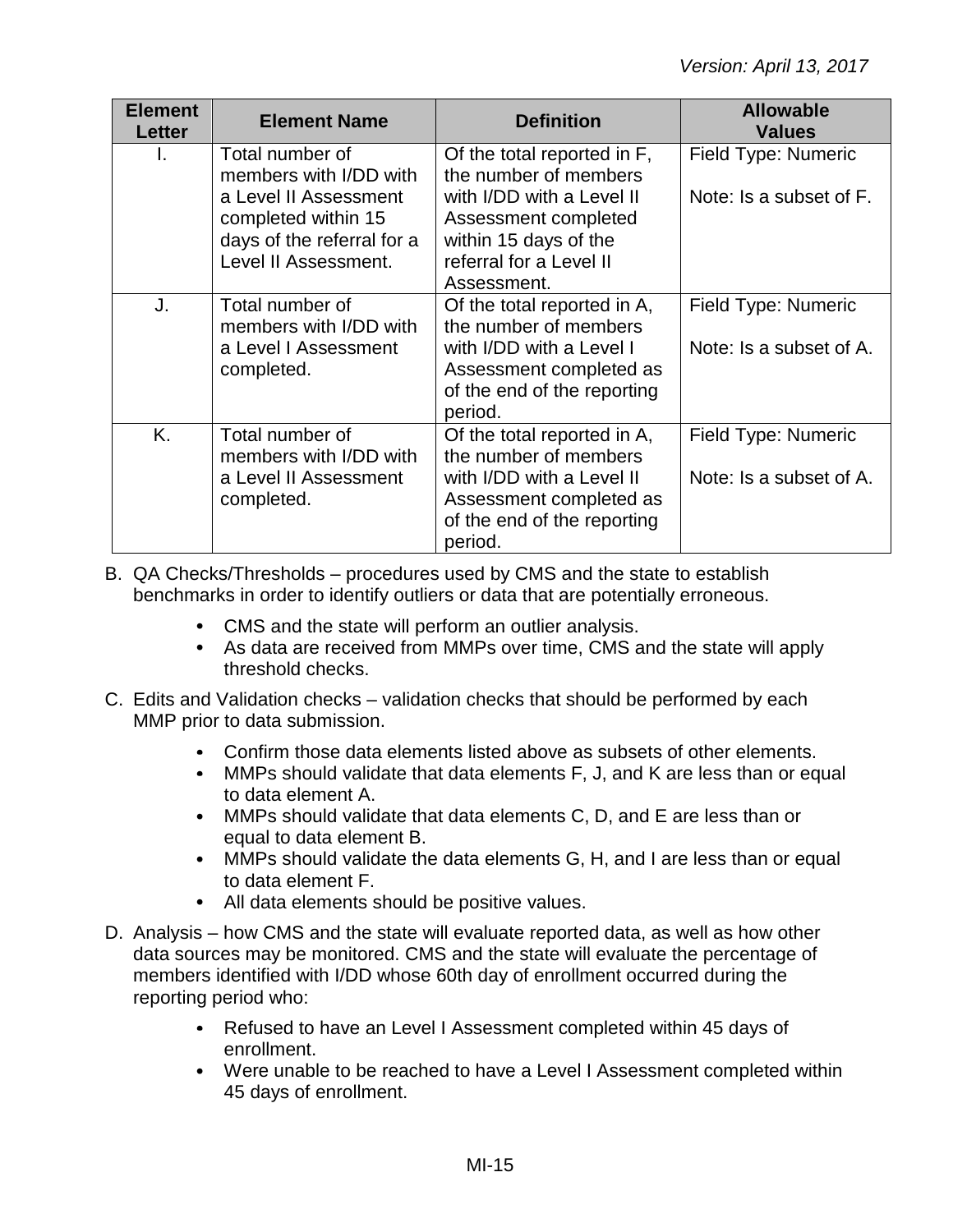| <b>Element</b><br><b>Letter</b> | <b>Element Name</b>                                                                                                                             | <b>Definition</b>                                                                                                                                                            | <b>Allowable</b><br><b>Values</b>              |
|---------------------------------|-------------------------------------------------------------------------------------------------------------------------------------------------|------------------------------------------------------------------------------------------------------------------------------------------------------------------------------|------------------------------------------------|
| I.                              | Total number of<br>members with I/DD with<br>a Level II Assessment<br>completed within 15<br>days of the referral for a<br>Level II Assessment. | Of the total reported in F,<br>the number of members<br>with I/DD with a Level II<br>Assessment completed<br>within 15 days of the<br>referral for a Level II<br>Assessment. | Field Type: Numeric<br>Note: Is a subset of F. |
| J.                              | Total number of<br>members with I/DD with<br>a Level I Assessment<br>completed.                                                                 | Of the total reported in A,<br>the number of members<br>with I/DD with a Level I<br>Assessment completed as<br>of the end of the reporting<br>period.                        | Field Type: Numeric<br>Note: Is a subset of A. |
| K.                              | Total number of<br>members with I/DD with<br>a Level II Assessment<br>completed.                                                                | Of the total reported in A,<br>the number of members<br>with I/DD with a Level II<br>Assessment completed as<br>of the end of the reporting<br>period.                       | Field Type: Numeric<br>Note: Is a subset of A. |

B. QA Checks/Thresholds – procedures used by CMS and the state to establish benchmarks in order to identify outliers or data that are potentially erroneous.

- CMS and the state will perform an outlier analysis.
- As data are received from MMPs over time, CMS and the state will apply threshold checks.
- C. Edits and Validation checks validation checks that should be performed by each MMP prior to data submission.
	- $\bullet$ Confirm those data elements listed above as subsets of other elements.
	- MMPs should validate that data elements F, J, and K are less than or equal to data element A.
	- MMPs should validate that data elements C, D, and E are less than or equal to data element B.
	- MMPs should validate the data elements G, H, and I are less than or equal to data element F.
	- All data elements should be positive values.
- D. Analysis how CMS and the state will evaluate reported data, as well as how other data sources may be monitored. CMS and the state will evaluate the percentage of members identified with I/DD whose 60th day of enrollment occurred during the reporting period who:
	- Refused to have an Level I Assessment completed within 45 days of enrollment.
	- Were unable to be reached to have a Level I Assessment completed within 45 days of enrollment.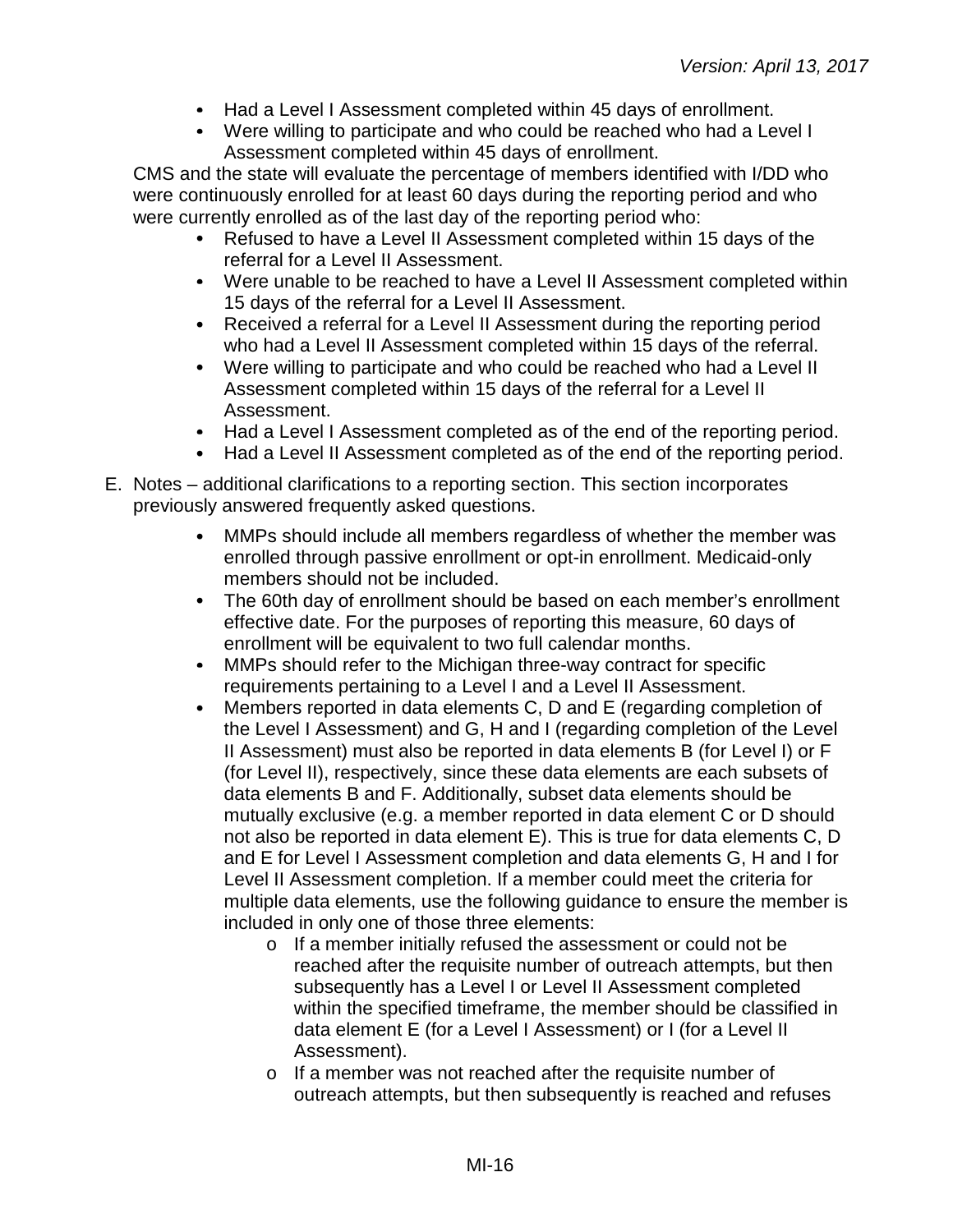- Had a Level I Assessment completed within 45 days of enrollment.
- Were willing to participate and who could be reached who had a Level I Assessment completed within 45 days of enrollment.

CMS and the state will evaluate the percentage of members identified with I/DD who were continuously enrolled for at least 60 days during the reporting period and who were currently enrolled as of the last day of the reporting period who:

- Refused to have a Level II Assessment completed within 15 days of the referral for a Level II Assessment.
- Were unable to be reached to have a Level II Assessment completed within 15 days of the referral for a Level II Assessment.
- Received a referral for a Level II Assessment during the reporting period who had a Level II Assessment completed within 15 days of the referral.
- Were willing to participate and who could be reached who had a Level II Assessment completed within 15 days of the referral for a Level II Assessment.
- Had a Level I Assessment completed as of the end of the reporting period.
- Had a Level II Assessment completed as of the end of the reporting period.
- E. Notes additional clarifications to a reporting section. This section incorporates previously answered frequently asked questions.
	- $\bullet$ MMPs should include all members regardless of whether the member was enrolled through passive enrollment or opt-in enrollment. Medicaid-only members should not be included.
	- The 60th day of enrollment should be based on each member's enrollment effective date. For the purposes of reporting this measure, 60 days of enrollment will be equivalent to two full calendar months.
	- $\bullet$ MMPs should refer to the Michigan three-way contract for specific requirements pertaining to a Level I and a Level II Assessment.
	- Members reported in data elements C, D and E (regarding completion of  $\bullet$ the Level I Assessment) and G, H and I (regarding completion of the Level II Assessment) must also be reported in data elements B (for Level I) or F (for Level II), respectively, since these data elements are each subsets of data elements B and F. Additionally, subset data elements should be mutually exclusive (e.g. a member reported in data element C or D should not also be reported in data element E). This is true for data elements C, D and E for Level I Assessment completion and data elements G, H and I for Level II Assessment completion. If a member could meet the criteria for multiple data elements, use the following guidance to ensure the member is included in only one of those three elements:
		- o If a member initially refused the assessment or could not be reached after the requisite number of outreach attempts, but then subsequently has a Level I or Level II Assessment completed within the specified timeframe, the member should be classified in data element E (for a Level I Assessment) or I (for a Level II Assessment).
		- o If a member was not reached after the requisite number of outreach attempts, but then subsequently is reached and refuses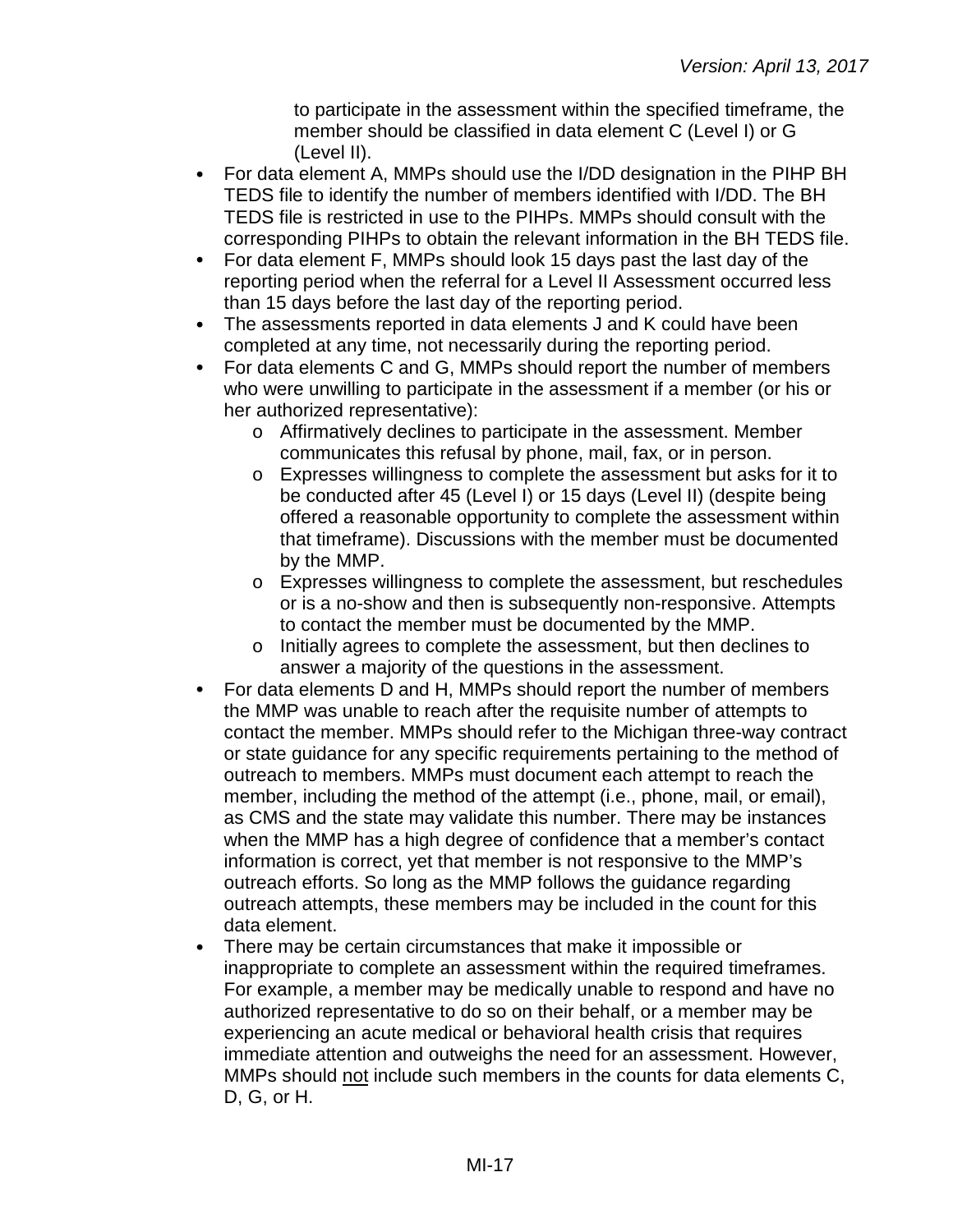to participate in the assessment within the specified timeframe, the member should be classified in data element C (Level I) or G (Level II).

- For data element A, MMPs should use the I/DD designation in the PIHP BH TEDS file to identify the number of members identified with I/DD. The BH TEDS file is restricted in use to the PIHPs. MMPs should consult with the corresponding PIHPs to obtain the relevant information in the BH TEDS file.
- For data element F, MMPs should look 15 days past the last day of the  $\bullet$ reporting period when the referral for a Level II Assessment occurred less than 15 days before the last day of the reporting period.
- $\bullet$ The assessments reported in data elements J and K could have been completed at any time, not necessarily during the reporting period.
- $\bullet$ For data elements C and G, MMPs should report the number of members who were unwilling to participate in the assessment if a member (or his or her authorized representative):
	- o Affirmatively declines to participate in the assessment. Member communicates this refusal by phone, mail, fax, or in person.
	- o Expresses willingness to complete the assessment but asks for it to be conducted after 45 (Level I) or 15 days (Level II) (despite being offered a reasonable opportunity to complete the assessment within that timeframe). Discussions with the member must be documented by the MMP.
	- o Expresses willingness to complete the assessment, but reschedules or is a no-show and then is subsequently non-responsive. Attempts to contact the member must be documented by the MMP.
	- o Initially agrees to complete the assessment, but then declines to answer a majority of the questions in the assessment.
- For data elements D and H, MMPs should report the number of members the MMP was unable to reach after the requisite number of attempts to contact the member. MMPs should refer to the Michigan three-way contract or state guidance for any specific requirements pertaining to the method of outreach to members. MMPs must document each attempt to reach the member, including the method of the attempt (i.e., phone, mail, or email), as CMS and the state may validate this number. There may be instances when the MMP has a high degree of confidence that a member's contact information is correct, yet that member is not responsive to the MMP's outreach efforts. So long as the MMP follows the guidance regarding outreach attempts, these members may be included in the count for this data element.
- There may be certain circumstances that make it impossible or  $\bullet$ inappropriate to complete an assessment within the required timeframes. For example, a member may be medically unable to respond and have no authorized representative to do so on their behalf, or a member may be experiencing an acute medical or behavioral health crisis that requires immediate attention and outweighs the need for an assessment. However, MMPs should not include such members in the counts for data elements C, D, G, or H.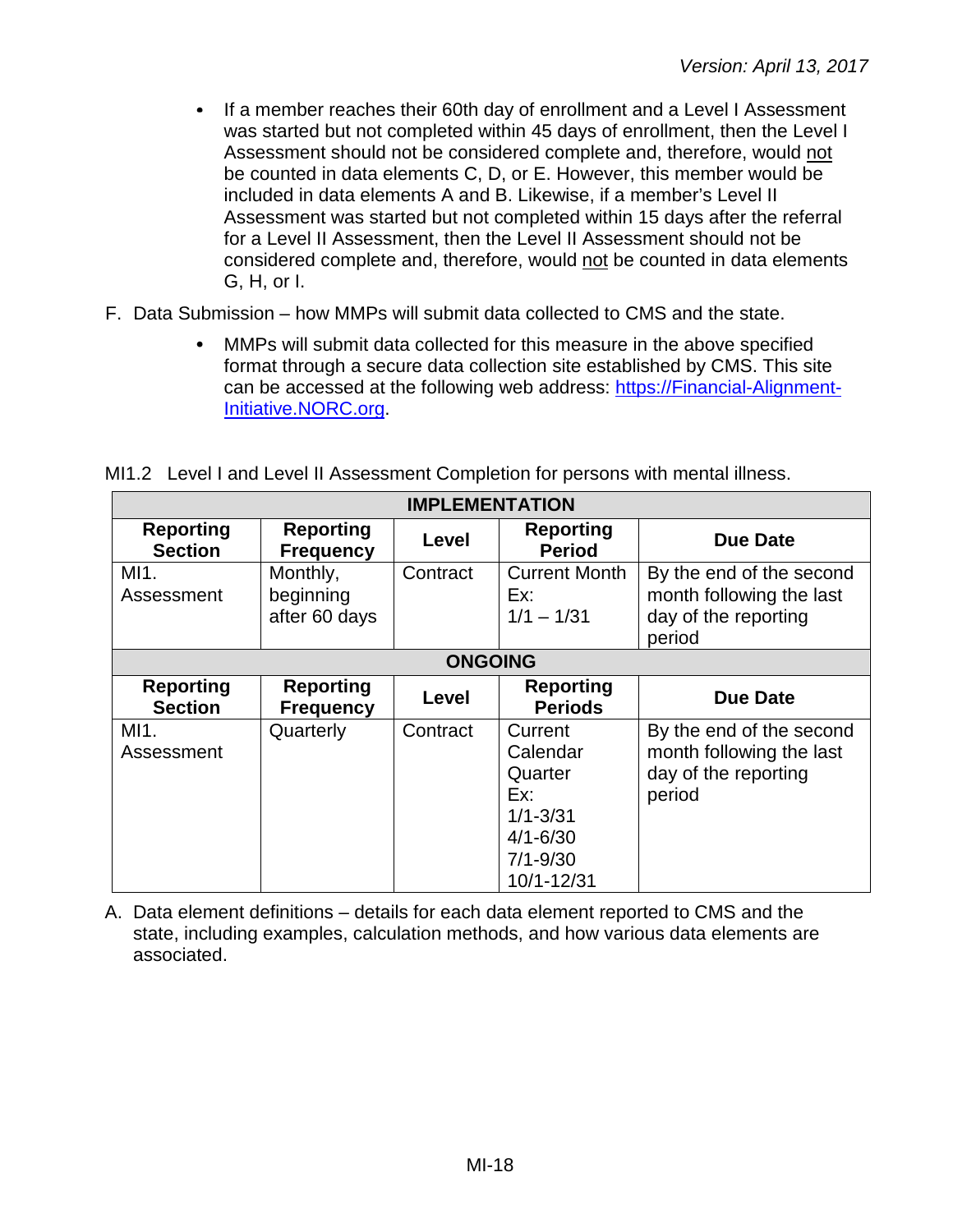- $\bullet$ If a member reaches their 60th day of enrollment and a Level I Assessment was started but not completed within 45 days of enrollment, then the Level I Assessment should not be considered complete and, therefore, would not be counted in data elements C, D, or E. However, this member would be included in data elements A and B. Likewise, if a member's Level II Assessment was started but not completed within 15 days after the referral for a Level II Assessment, then the Level II Assessment should not be considered complete and, therefore, would not be counted in data elements G, H, or I.
- F. Data Submission how MMPs will submit data collected to CMS and the state.
	- MMPs will submit data collected for this measure in the above specified  $\bullet$ format through a secure data collection site established by CMS. This site can be accessed at the following web address: [https://Financial-Alignment-](https://financial-alignment-initiative.norc.org/)[Initiative.NORC.org.](https://financial-alignment-initiative.norc.org/)

|  |  |  | MI1.2 Level I and Level II Assessment Completion for persons with mental illness. |
|--|--|--|-----------------------------------------------------------------------------------|

| <b>IMPLEMENTATION</b>              |                                        |                |                                                                                                     |                                                                                        |  |
|------------------------------------|----------------------------------------|----------------|-----------------------------------------------------------------------------------------------------|----------------------------------------------------------------------------------------|--|
| <b>Reporting</b><br><b>Section</b> | <b>Reporting</b><br><b>Frequency</b>   | Level          | <b>Reporting</b><br><b>Period</b>                                                                   | <b>Due Date</b>                                                                        |  |
| MI1.<br>Assessment                 | Monthly,<br>beginning<br>after 60 days | Contract       | <b>Current Month</b><br>Ex:<br>$1/1 - 1/31$                                                         | By the end of the second<br>month following the last<br>day of the reporting<br>period |  |
|                                    |                                        | <b>ONGOING</b> |                                                                                                     |                                                                                        |  |
| <b>Reporting</b><br><b>Section</b> | <b>Reporting</b><br><b>Frequency</b>   | Level          | <b>Reporting</b><br><b>Periods</b>                                                                  | <b>Due Date</b>                                                                        |  |
| MI1.<br>Assessment                 | Quarterly                              | Contract       | Current<br>Calendar<br>Quarter<br>Ex:<br>$1/1 - 3/31$<br>$4/1 - 6/30$<br>$7/1 - 9/30$<br>10/1-12/31 | By the end of the second<br>month following the last<br>day of the reporting<br>period |  |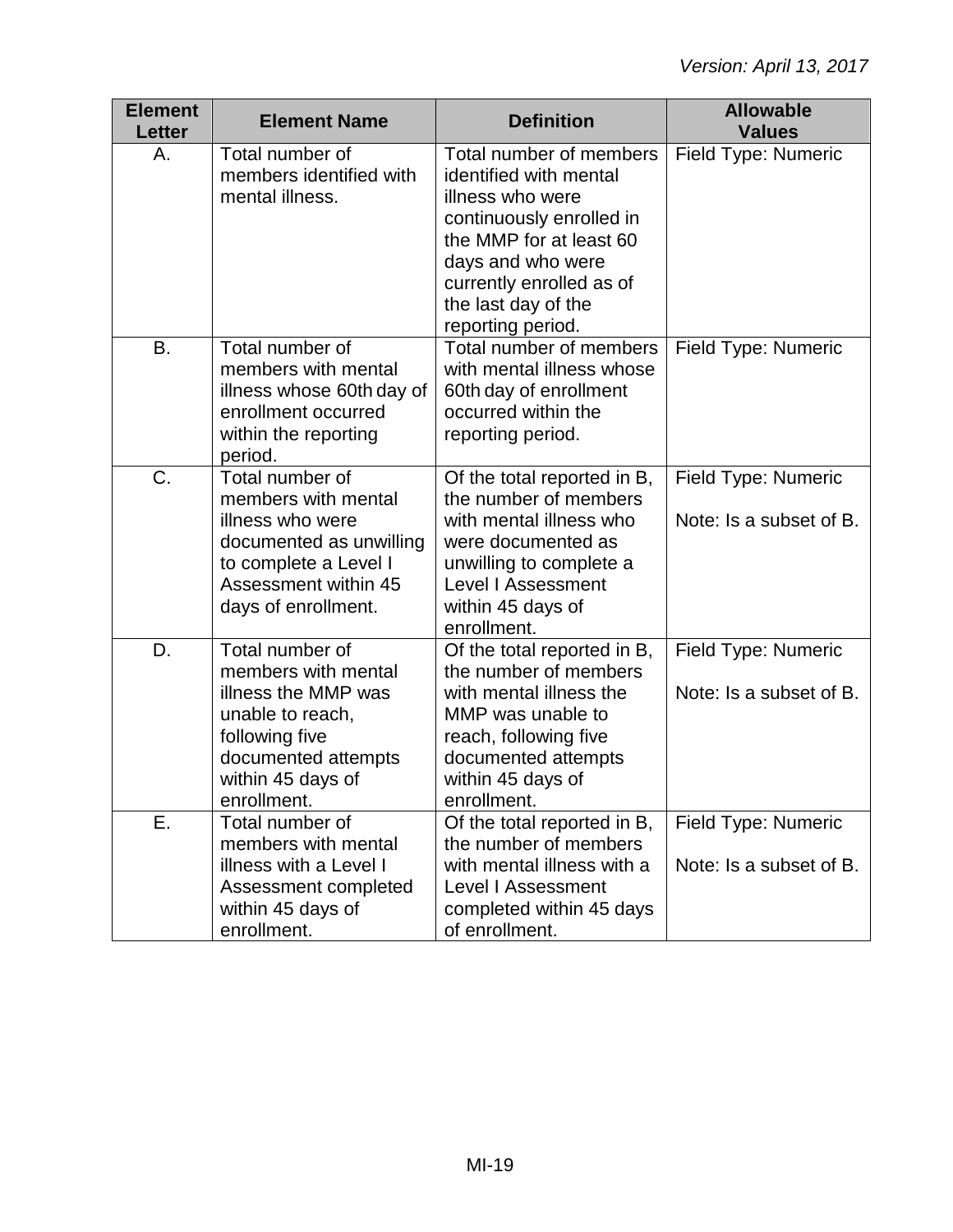| <b>Element</b><br><b>Letter</b> | <b>Element Name</b>                                                                                                                                            | <b>Definition</b>                                                                                                                                                                                                         | <b>Allowable</b><br><b>Values</b>              |
|---------------------------------|----------------------------------------------------------------------------------------------------------------------------------------------------------------|---------------------------------------------------------------------------------------------------------------------------------------------------------------------------------------------------------------------------|------------------------------------------------|
| А.                              | Total number of<br>members identified with<br>mental illness.                                                                                                  | Total number of members<br>identified with mental<br>illness who were<br>continuously enrolled in<br>the MMP for at least 60<br>days and who were<br>currently enrolled as of<br>the last day of the<br>reporting period. | Field Type: Numeric                            |
| B.                              | Total number of<br>members with mental<br>illness whose 60th day of<br>enrollment occurred<br>within the reporting<br>period.                                  | Total number of members<br>with mental illness whose<br>60th day of enrollment<br>occurred within the<br>reporting period.                                                                                                | Field Type: Numeric                            |
| C.                              | Total number of<br>members with mental<br>illness who were<br>documented as unwilling<br>to complete a Level I<br>Assessment within 45<br>days of enrollment.  | Of the total reported in B,<br>the number of members<br>with mental illness who<br>were documented as<br>unwilling to complete a<br><b>Level I Assessment</b><br>within 45 days of<br>enrollment.                         | Field Type: Numeric<br>Note: Is a subset of B. |
| D.                              | Total number of<br>members with mental<br>illness the MMP was<br>unable to reach,<br>following five<br>documented attempts<br>within 45 days of<br>enrollment. | Of the total reported in B,<br>the number of members<br>with mental illness the<br>MMP was unable to<br>reach, following five<br>documented attempts<br>within 45 days of<br>enrollment.                                  | Field Type: Numeric<br>Note: Is a subset of B. |
| Ε.                              | Total number of<br>members with mental<br>illness with a Level I<br>Assessment completed<br>within 45 days of<br>enrollment.                                   | Of the total reported in B,<br>the number of members<br>with mental illness with a<br><b>Level I Assessment</b><br>completed within 45 days<br>of enrollment.                                                             | Field Type: Numeric<br>Note: Is a subset of B. |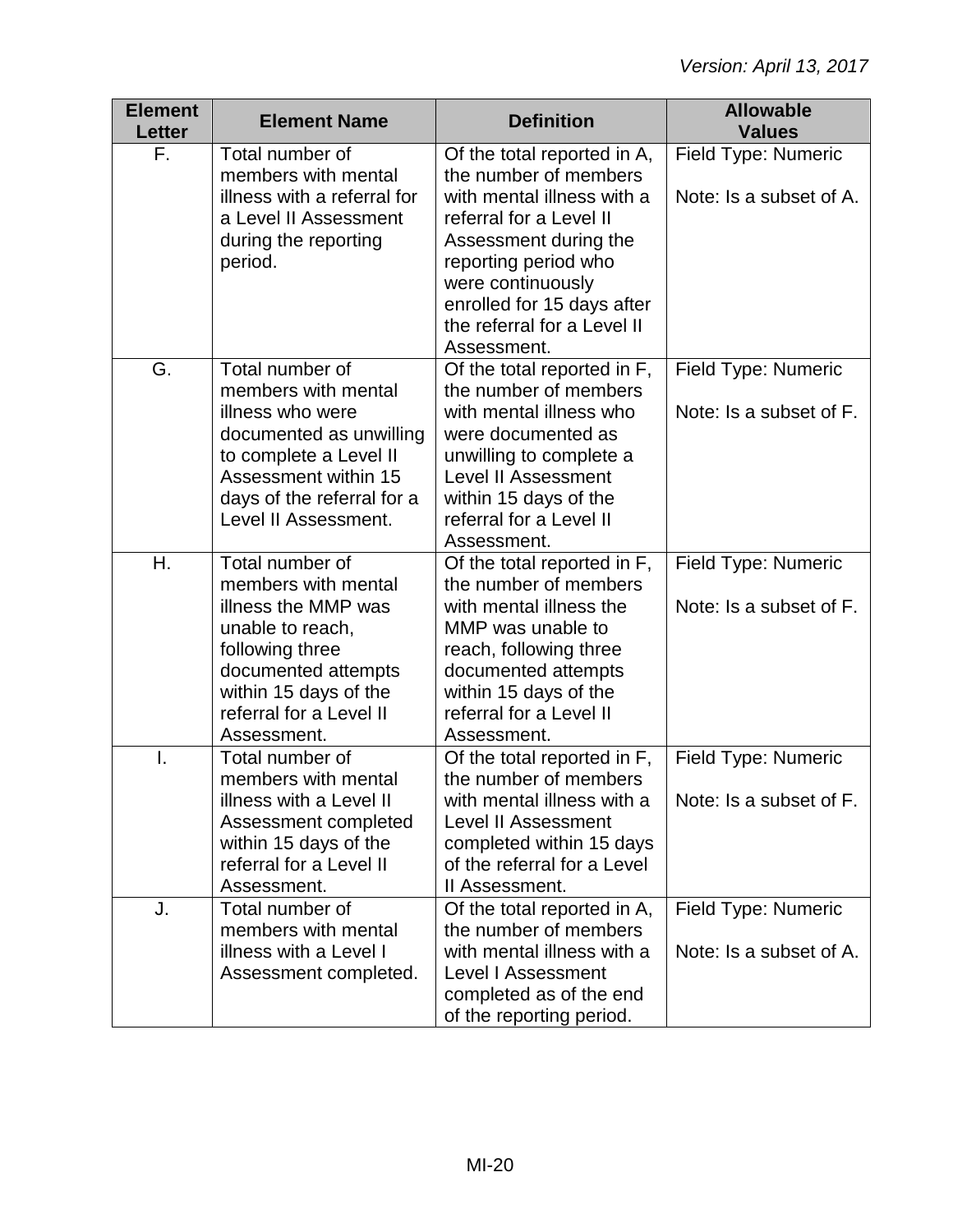| <b>Element</b><br><b>Letter</b> | <b>Element Name</b>                                                                                                                                                                            | <b>Definition</b>                                                                                                                                                                                                                                               | <b>Allowable</b><br><b>Values</b>              |
|---------------------------------|------------------------------------------------------------------------------------------------------------------------------------------------------------------------------------------------|-----------------------------------------------------------------------------------------------------------------------------------------------------------------------------------------------------------------------------------------------------------------|------------------------------------------------|
| F.                              | Total number of<br>members with mental<br>illness with a referral for<br>a Level II Assessment<br>during the reporting<br>period.                                                              | Of the total reported in A,<br>the number of members<br>with mental illness with a<br>referral for a Level II<br>Assessment during the<br>reporting period who<br>were continuously<br>enrolled for 15 days after<br>the referral for a Level II<br>Assessment. | Field Type: Numeric<br>Note: Is a subset of A. |
| G.                              | Total number of<br>members with mental<br>illness who were<br>documented as unwilling<br>to complete a Level II<br>Assessment within 15<br>days of the referral for a<br>Level II Assessment.  | Of the total reported in F,<br>the number of members<br>with mental illness who<br>were documented as<br>unwilling to complete a<br><b>Level II Assessment</b><br>within 15 days of the<br>referral for a Level II<br>Assessment.                               | Field Type: Numeric<br>Note: Is a subset of F. |
| Η.                              | Total number of<br>members with mental<br>illness the MMP was<br>unable to reach,<br>following three<br>documented attempts<br>within 15 days of the<br>referral for a Level II<br>Assessment. | Of the total reported in F,<br>the number of members<br>with mental illness the<br>MMP was unable to<br>reach, following three<br>documented attempts<br>within 15 days of the<br>referral for a Level II<br>Assessment.                                        | Field Type: Numeric<br>Note: Is a subset of F. |
| I.                              | Total number of<br>members with mental<br>illness with a Level II<br>Assessment completed<br>within 15 days of the<br>referral for a Level II<br>Assessment.                                   | Of the total reported in F,<br>the number of members<br>with mental illness with a<br><b>Level II Assessment</b><br>completed within 15 days<br>of the referral for a Level<br>II Assessment.                                                                   | Field Type: Numeric<br>Note: Is a subset of F. |
| J.                              | Total number of<br>members with mental<br>illness with a Level I<br>Assessment completed.                                                                                                      | Of the total reported in A,<br>the number of members<br>with mental illness with a<br>Level I Assessment<br>completed as of the end<br>of the reporting period.                                                                                                 | Field Type: Numeric<br>Note: Is a subset of A. |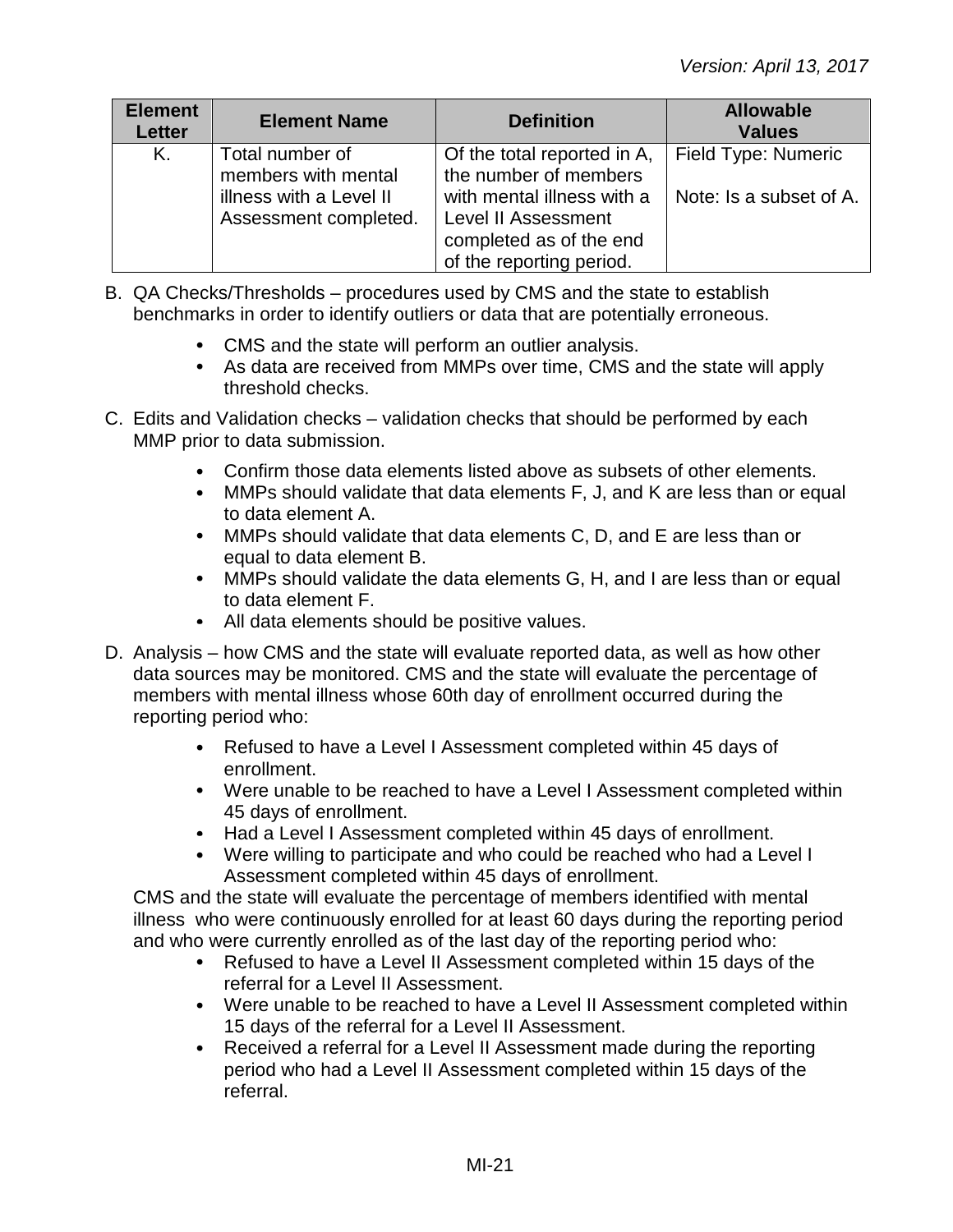| <b>Element</b><br>Letter | <b>Element Name</b>                                                                        | <b>Definition</b>                                                                                                                                                | <b>Allowable</b><br><b>Values</b>              |
|--------------------------|--------------------------------------------------------------------------------------------|------------------------------------------------------------------------------------------------------------------------------------------------------------------|------------------------------------------------|
| Κ.                       | Total number of<br>members with mental<br>illness with a Level II<br>Assessment completed. | Of the total reported in A,<br>the number of members<br>with mental illness with a<br>Level II Assessment<br>completed as of the end<br>of the reporting period. | Field Type: Numeric<br>Note: Is a subset of A. |

- B. QA Checks/Thresholds procedures used by CMS and the state to establish benchmarks in order to identify outliers or data that are potentially erroneous.
	- CMS and the state will perform an outlier analysis.
	- As data are received from MMPs over time, CMS and the state will apply threshold checks.
- C. Edits and Validation checks validation checks that should be performed by each MMP prior to data submission.
	- Confirm those data elements listed above as subsets of other elements.  $\bullet$
	- MMPs should validate that data elements F, J, and K are less than or equal to data element A.
	- MMPs should validate that data elements C, D, and E are less than or equal to data element B.
	- MMPs should validate the data elements G, H, and I are less than or equal to data element F.
	- All data elements should be positive values.
- D. Analysis how CMS and the state will evaluate reported data, as well as how other data sources may be monitored. CMS and the state will evaluate the percentage of members with mental illness whose 60th day of enrollment occurred during the reporting period who:
	- Refused to have a Level I Assessment completed within 45 days of enrollment.
	- Were unable to be reached to have a Level I Assessment completed within 45 days of enrollment.
	- Had a Level I Assessment completed within 45 days of enrollment.
	- Were willing to participate and who could be reached who had a Level I Assessment completed within 45 days of enrollment.

CMS and the state will evaluate the percentage of members identified with mental illness who were continuously enrolled for at least 60 days during the reporting period and who were currently enrolled as of the last day of the reporting period who:

- Refused to have a Level II Assessment completed within 15 days of the referral for a Level II Assessment.
- Were unable to be reached to have a Level II Assessment completed within 15 days of the referral for a Level II Assessment.
- $\bullet$ Received a referral for a Level II Assessment made during the reporting period who had a Level II Assessment completed within 15 days of the referral.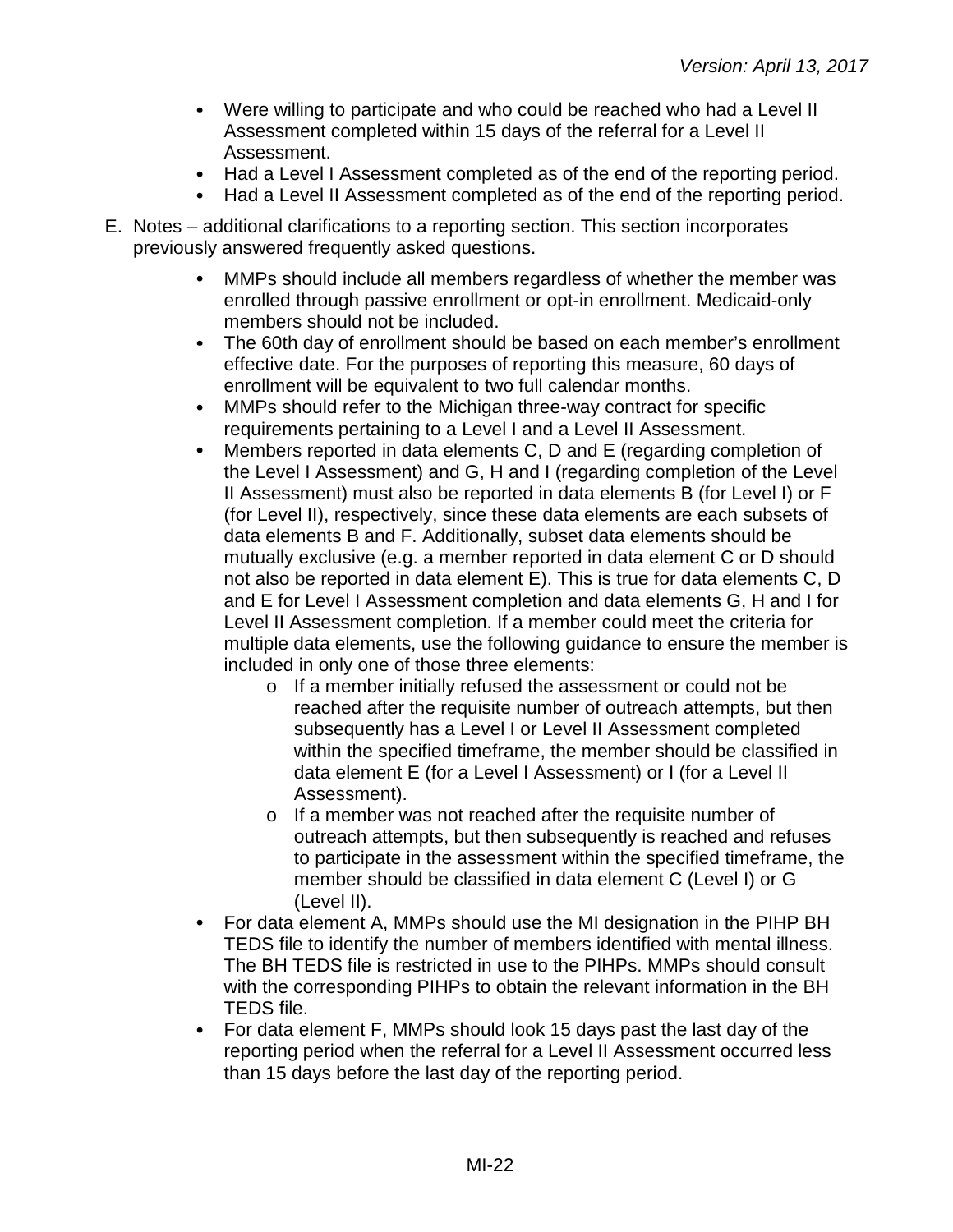- Were willing to participate and who could be reached who had a Level II Assessment completed within 15 days of the referral for a Level II Assessment.
- Had a Level I Assessment completed as of the end of the reporting period.
- Had a Level II Assessment completed as of the end of the reporting period.
- E. Notes additional clarifications to a reporting section. This section incorporates previously answered frequently asked questions.
	- MMPs should include all members regardless of whether the member was enrolled through passive enrollment or opt-in enrollment. Medicaid-only members should not be included.
	- The 60th day of enrollment should be based on each member's enrollment  $\bullet$ effective date. For the purposes of reporting this measure, 60 days of enrollment will be equivalent to two full calendar months.
	- $\bullet$ MMPs should refer to the Michigan three-way contract for specific requirements pertaining to a Level I and a Level II Assessment.
	- Members reported in data elements C, D and E (regarding completion of  $\bullet$ the Level I Assessment) and G, H and I (regarding completion of the Level II Assessment) must also be reported in data elements B (for Level I) or F (for Level II), respectively, since these data elements are each subsets of data elements B and F. Additionally, subset data elements should be mutually exclusive (e.g. a member reported in data element C or D should not also be reported in data element E). This is true for data elements C, D and E for Level I Assessment completion and data elements G, H and I for Level II Assessment completion. If a member could meet the criteria for multiple data elements, use the following guidance to ensure the member is included in only one of those three elements:
		- o If a member initially refused the assessment or could not be reached after the requisite number of outreach attempts, but then subsequently has a Level I or Level II Assessment completed within the specified timeframe, the member should be classified in data element E (for a Level I Assessment) or I (for a Level II Assessment).
		- o If a member was not reached after the requisite number of outreach attempts, but then subsequently is reached and refuses to participate in the assessment within the specified timeframe, the member should be classified in data element C (Level I) or G (Level II).
	- For data element A, MMPs should use the MI designation in the PIHP BH TEDS file to identify the number of members identified with mental illness. The BH TEDS file is restricted in use to the PIHPs. MMPs should consult with the corresponding PIHPs to obtain the relevant information in the BH TEDS file.
	- For data element F, MMPs should look 15 days past the last day of the reporting period when the referral for a Level II Assessment occurred less than 15 days before the last day of the reporting period.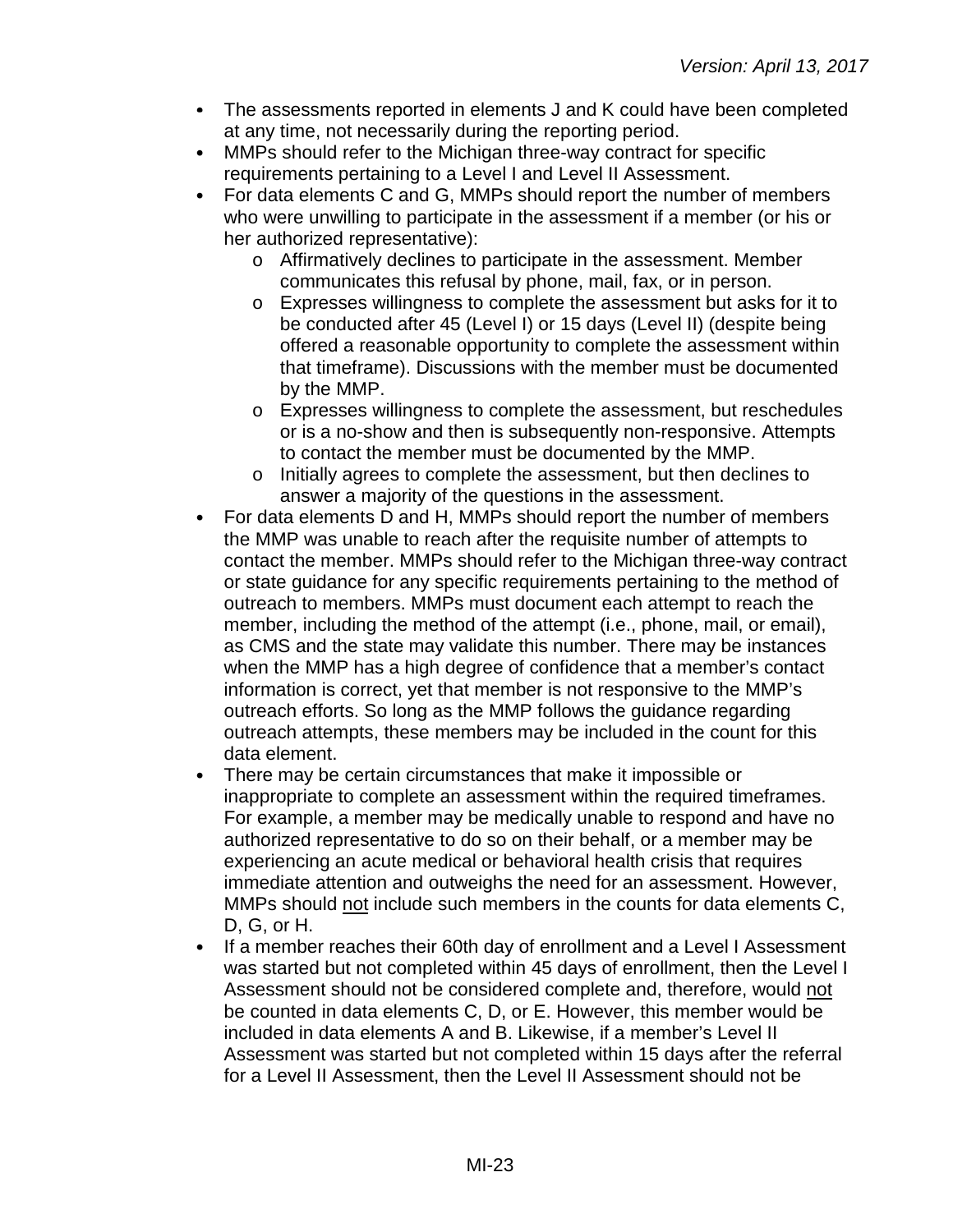- $\bullet$ The assessments reported in elements J and K could have been completed at any time, not necessarily during the reporting period.
- MMPs should refer to the Michigan three-way contract for specific  $\bullet$ requirements pertaining to a Level I and Level II Assessment.
- For data elements C and G, MMPs should report the number of members  $\bullet$ who were unwilling to participate in the assessment if a member (or his or her authorized representative):
	- o Affirmatively declines to participate in the assessment. Member communicates this refusal by phone, mail, fax, or in person.
	- o Expresses willingness to complete the assessment but asks for it to be conducted after 45 (Level I) or 15 days (Level II) (despite being offered a reasonable opportunity to complete the assessment within that timeframe). Discussions with the member must be documented by the MMP.
	- o Expresses willingness to complete the assessment, but reschedules or is a no-show and then is subsequently non-responsive. Attempts to contact the member must be documented by the MMP.
	- o Initially agrees to complete the assessment, but then declines to answer a majority of the questions in the assessment.
- For data elements D and H, MMPs should report the number of members the MMP was unable to reach after the requisite number of attempts to contact the member. MMPs should refer to the Michigan three-way contract or state guidance for any specific requirements pertaining to the method of outreach to members. MMPs must document each attempt to reach the member, including the method of the attempt (i.e., phone, mail, or email), as CMS and the state may validate this number. There may be instances when the MMP has a high degree of confidence that a member's contact information is correct, yet that member is not responsive to the MMP's outreach efforts. So long as the MMP follows the guidance regarding outreach attempts, these members may be included in the count for this data element.
- There may be certain circumstances that make it impossible or  $\bullet$ inappropriate to complete an assessment within the required timeframes. For example, a member may be medically unable to respond and have no authorized representative to do so on their behalf, or a member may be experiencing an acute medical or behavioral health crisis that requires immediate attention and outweighs the need for an assessment. However, MMPs should not include such members in the counts for data elements C, D, G, or H.
- If a member reaches their 60th day of enrollment and a Level I Assessment  $\bullet$ was started but not completed within 45 days of enrollment, then the Level I Assessment should not be considered complete and, therefore, would not be counted in data elements C, D, or E. However, this member would be included in data elements A and B. Likewise, if a member's Level II Assessment was started but not completed within 15 days after the referral for a Level II Assessment, then the Level II Assessment should not be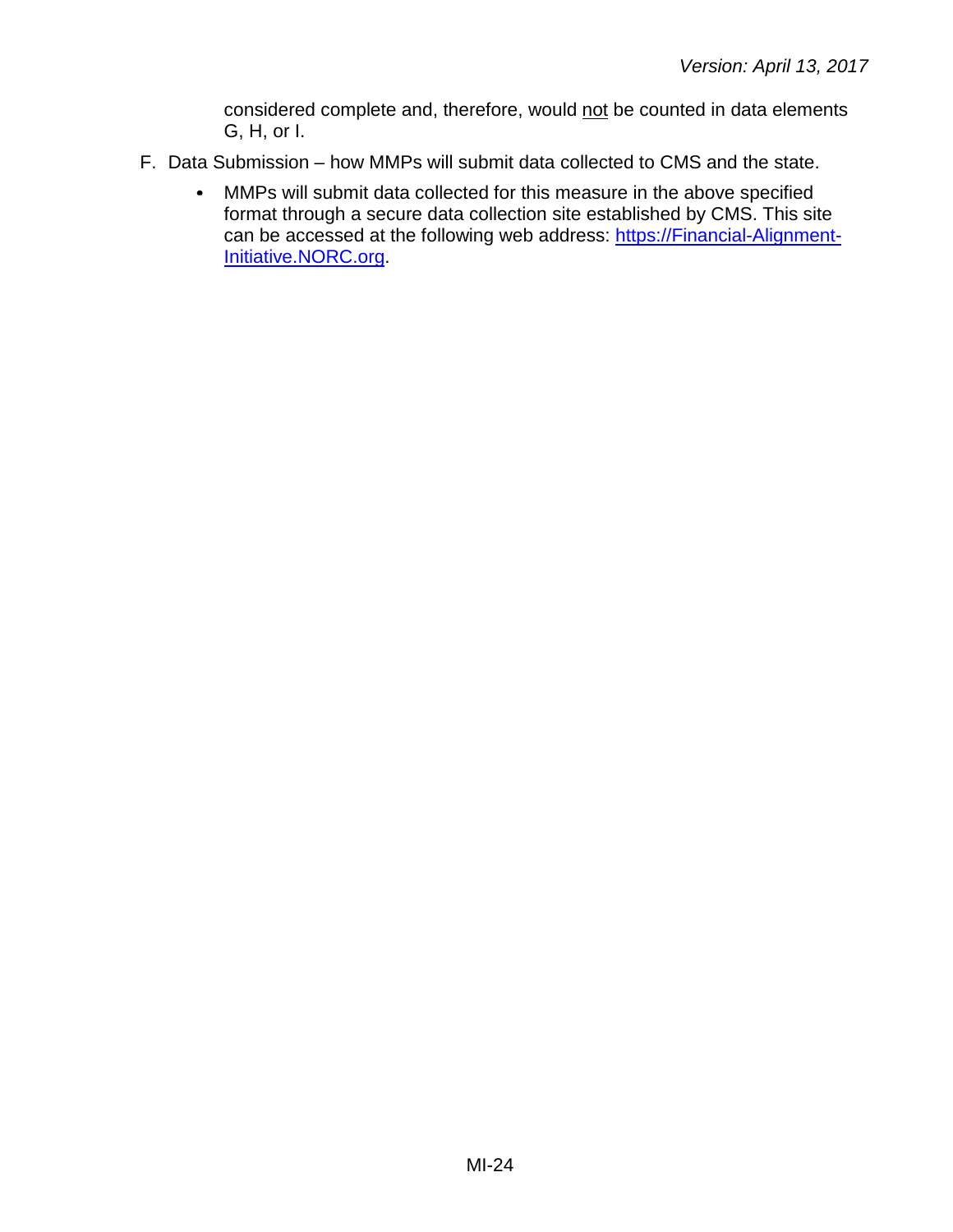considered complete and, therefore, would not be counted in data elements G, H, or I.

- F. Data Submission how MMPs will submit data collected to CMS and the state.
	- $\bullet$ MMPs will submit data collected for this measure in the above specified format through a secure data collection site established by CMS. This site can be accessed at the following web address: [https://Financial-Alignment-](https://financial-alignment-initiative.norc.org/)[Initiative.NORC.org.](https://financial-alignment-initiative.norc.org/)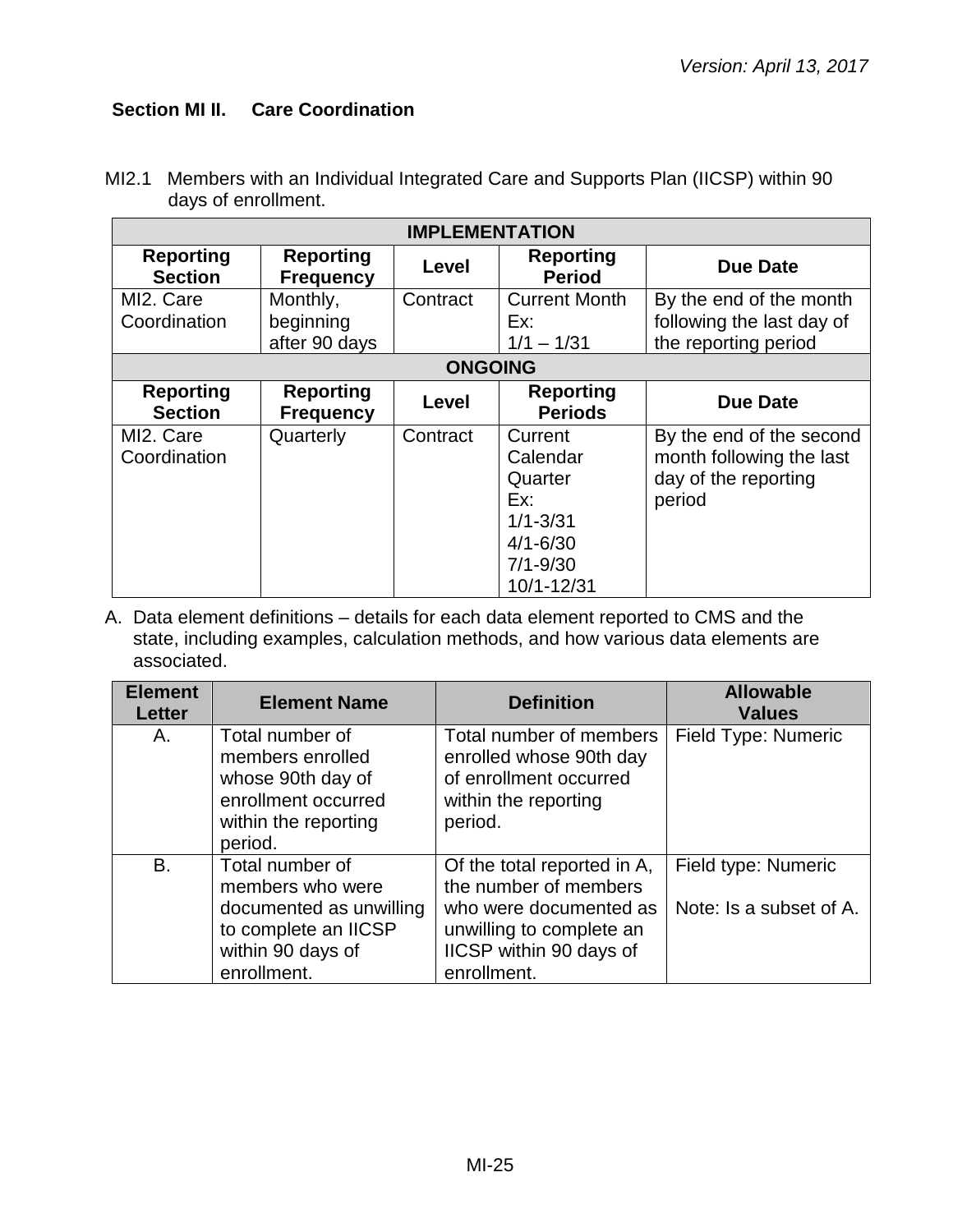## <span id="page-24-0"></span>**Section MI II. Care Coordination**

| <b>IMPLEMENTATION</b>              |                                        |                |                                                                                                     |                                                                                        |  |
|------------------------------------|----------------------------------------|----------------|-----------------------------------------------------------------------------------------------------|----------------------------------------------------------------------------------------|--|
| <b>Reporting</b><br><b>Section</b> | <b>Reporting</b><br><b>Frequency</b>   | Level          | <b>Reporting</b><br><b>Period</b>                                                                   | <b>Due Date</b>                                                                        |  |
| MI2. Care<br>Coordination          | Monthly,<br>beginning<br>after 90 days | Contract       | <b>Current Month</b><br>Ex:<br>$1/1 - 1/31$                                                         | By the end of the month<br>following the last day of<br>the reporting period           |  |
|                                    |                                        | <b>ONGOING</b> |                                                                                                     |                                                                                        |  |
| <b>Reporting</b><br><b>Section</b> | <b>Reporting</b><br><b>Frequency</b>   | Level          | <b>Reporting</b><br><b>Periods</b>                                                                  | <b>Due Date</b>                                                                        |  |
| MI2. Care<br>Coordination          | Quarterly                              | Contract       | Current<br>Calendar<br>Quarter<br>Ex:<br>$1/1 - 3/31$<br>$4/1 - 6/30$<br>$7/1 - 9/30$<br>10/1-12/31 | By the end of the second<br>month following the last<br>day of the reporting<br>period |  |

MI2.1 Members with an Individual Integrated Care and Supports Plan (IICSP) within 90 days of enrollment.

| <b>Element</b><br><b>Letter</b> | <b>Element Name</b>                                                                                                        | <b>Definition</b>                                                                                                                                    | <b>Allowable</b><br><b>Values</b>              |
|---------------------------------|----------------------------------------------------------------------------------------------------------------------------|------------------------------------------------------------------------------------------------------------------------------------------------------|------------------------------------------------|
| A.                              | Total number of<br>members enrolled<br>whose 90th day of<br>enrollment occurred<br>within the reporting<br>period.         | Total number of members<br>enrolled whose 90th day<br>of enrollment occurred<br>within the reporting<br>period.                                      | Field Type: Numeric                            |
| B.                              | Total number of<br>members who were<br>documented as unwilling<br>to complete an IICSP<br>within 90 days of<br>enrollment. | Of the total reported in A,<br>the number of members<br>who were documented as<br>unwilling to complete an<br>IICSP within 90 days of<br>enrollment. | Field type: Numeric<br>Note: Is a subset of A. |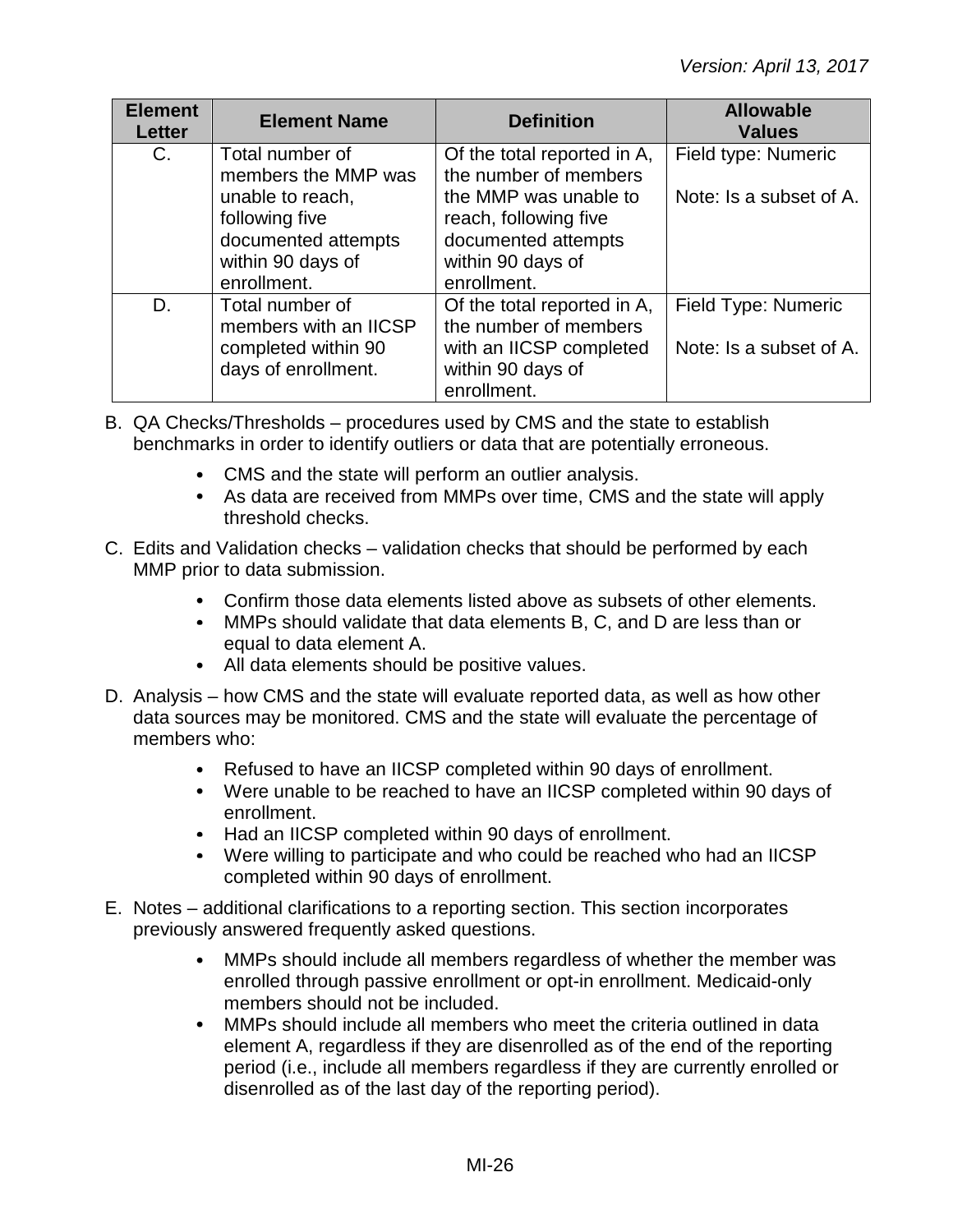| <b>Element</b><br>Letter | <b>Element Name</b>                                                                           | <b>Definition</b>                                                                                                   | <b>Allowable</b><br><b>Values</b>              |
|--------------------------|-----------------------------------------------------------------------------------------------|---------------------------------------------------------------------------------------------------------------------|------------------------------------------------|
| C.                       | Total number of<br>members the MMP was                                                        | Of the total reported in A,<br>the number of members                                                                | Field type: Numeric                            |
|                          | unable to reach,<br>following five<br>documented attempts<br>within 90 days of<br>enrollment. | the MMP was unable to<br>reach, following five<br>documented attempts<br>within 90 days of<br>enrollment.           | Note: Is a subset of A.                        |
| D.                       | Total number of<br>members with an IICSP<br>completed within 90<br>days of enrollment.        | Of the total reported in A,<br>the number of members<br>with an IICSP completed<br>within 90 days of<br>enrollment. | Field Type: Numeric<br>Note: Is a subset of A. |

B. QA Checks/Thresholds – procedures used by CMS and the state to establish benchmarks in order to identify outliers or data that are potentially erroneous.

- CMS and the state will perform an outlier analysis.
- As data are received from MMPs over time, CMS and the state will apply threshold checks.
- C. Edits and Validation checks validation checks that should be performed by each MMP prior to data submission.
	- Confirm those data elements listed above as subsets of other elements.
	- MMPs should validate that data elements B, C, and D are less than or equal to data element A.
	- All data elements should be positive values.
- D. Analysis how CMS and the state will evaluate reported data, as well as how other data sources may be monitored. CMS and the state will evaluate the percentage of members who:
	- Refused to have an IICSP completed within 90 days of enrollment.
	- Were unable to be reached to have an IICSP completed within 90 days of enrollment.
	- Had an IICSP completed within 90 days of enrollment.
	- Were willing to participate and who could be reached who had an IICSP completed within 90 days of enrollment.
- E. Notes additional clarifications to a reporting section. This section incorporates previously answered frequently asked questions.
	- MMPs should include all members regardless of whether the member was  $\bullet$ enrolled through passive enrollment or opt-in enrollment. Medicaid-only members should not be included.
	- MMPs should include all members who meet the criteria outlined in data  $\bullet$ element A, regardless if they are disenrolled as of the end of the reporting period (i.e., include all members regardless if they are currently enrolled or disenrolled as of the last day of the reporting period).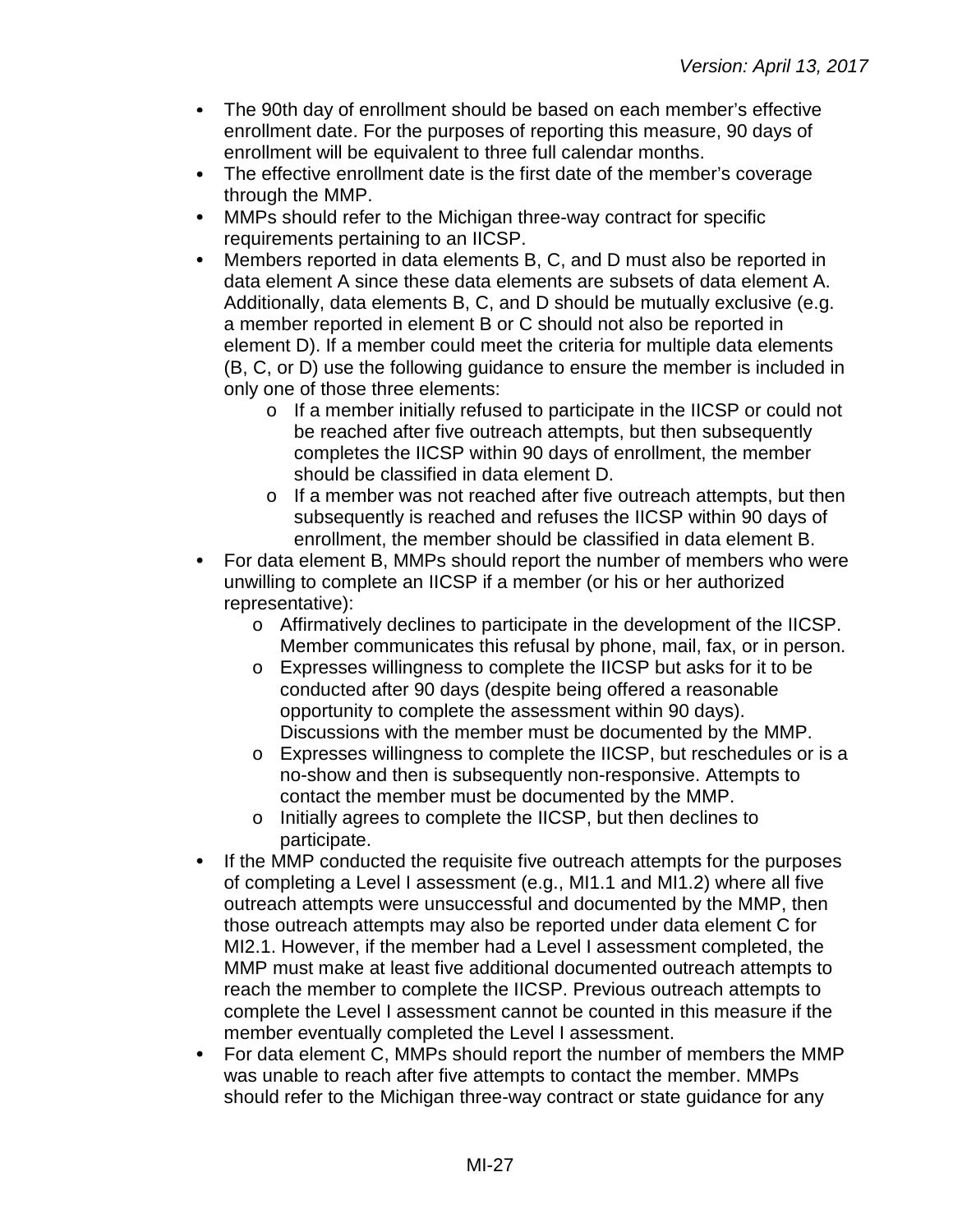- $\bullet$ The 90th day of enrollment should be based on each member's effective enrollment date. For the purposes of reporting this measure, 90 days of enrollment will be equivalent to three full calendar months.
- The effective enrollment date is the first date of the member's coverage through the MMP.
- $\bullet$ MMPs should refer to the Michigan three-way contract for specific requirements pertaining to an IICSP.
- Members reported in data elements B, C, and D must also be reported in  $\bullet$ data element A since these data elements are subsets of data element A. Additionally, data elements B, C, and D should be mutually exclusive (e.g. a member reported in element B or C should not also be reported in element D). If a member could meet the criteria for multiple data elements (B, C, or D) use the following guidance to ensure the member is included in only one of those three elements:
	- o If a member initially refused to participate in the IICSP or could not be reached after five outreach attempts, but then subsequently completes the IICSP within 90 days of enrollment, the member should be classified in data element D.
	- o If a member was not reached after five outreach attempts, but then subsequently is reached and refuses the IICSP within 90 days of enrollment, the member should be classified in data element B.
- For data element B, MMPs should report the number of members who were  $\bullet$ unwilling to complete an IICSP if a member (or his or her authorized representative):
	- o Affirmatively declines to participate in the development of the IICSP. Member communicates this refusal by phone, mail, fax, or in person.
	- o Expresses willingness to complete the IICSP but asks for it to be conducted after 90 days (despite being offered a reasonable opportunity to complete the assessment within 90 days). Discussions with the member must be documented by the MMP.
	- o Expresses willingness to complete the IICSP, but reschedules or is a no-show and then is subsequently non-responsive. Attempts to contact the member must be documented by the MMP.
	- o Initially agrees to complete the IICSP, but then declines to participate.
- If the MMP conducted the requisite five outreach attempts for the purposes  $\bullet$ of completing a Level I assessment (e.g., MI1.1 and MI1.2) where all five outreach attempts were unsuccessful and documented by the MMP, then those outreach attempts may also be reported under data element C for MI2.1. However, if the member had a Level I assessment completed, the MMP must make at least five additional documented outreach attempts to reach the member to complete the IICSP. Previous outreach attempts to complete the Level I assessment cannot be counted in this measure if the member eventually completed the Level I assessment.
- For data element C, MMPs should report the number of members the MMP  $\bullet$ was unable to reach after five attempts to contact the member. MMPs should refer to the Michigan three-way contract or state guidance for any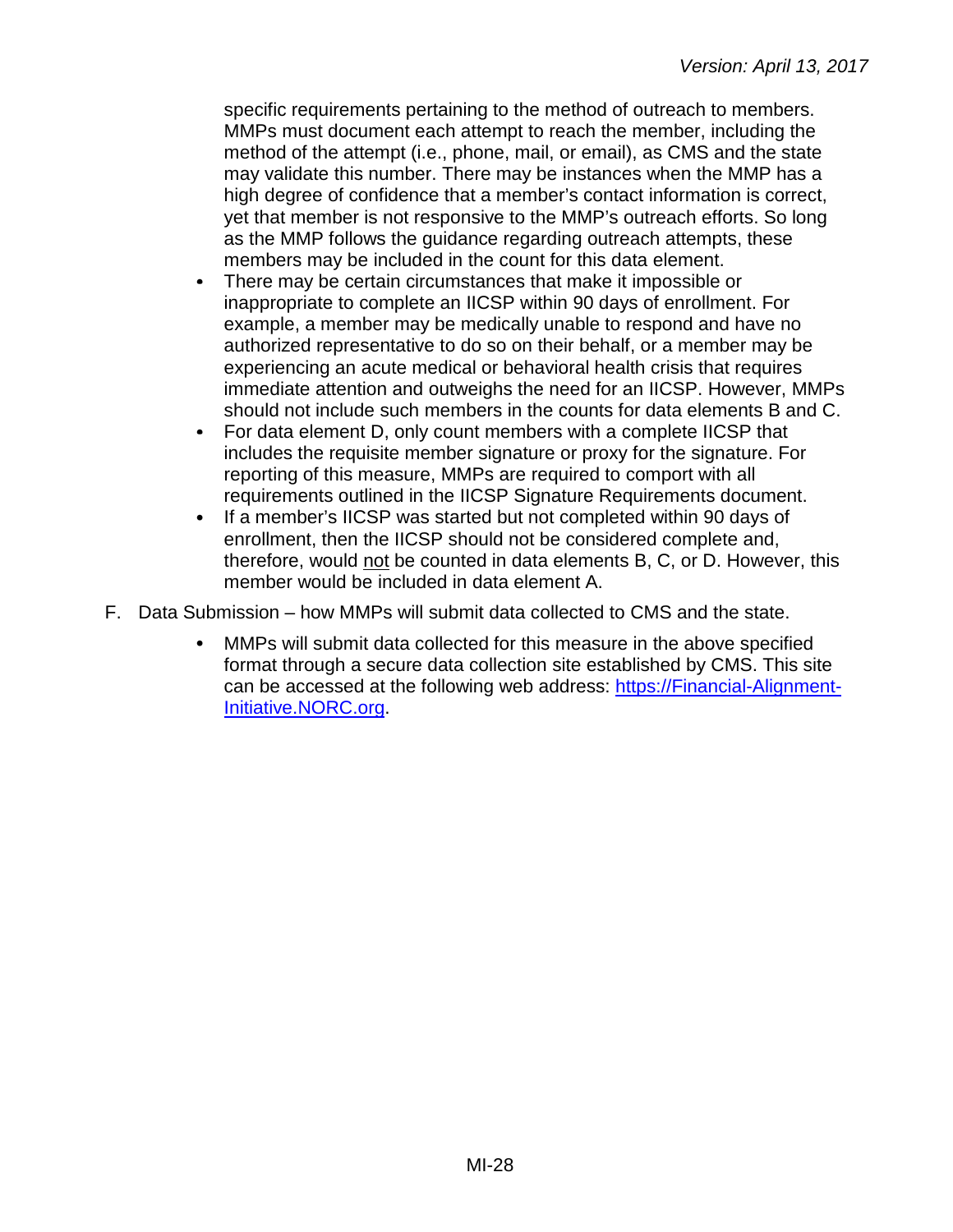specific requirements pertaining to the method of outreach to members. MMPs must document each attempt to reach the member, including the method of the attempt (i.e., phone, mail, or email), as CMS and the state may validate this number. There may be instances when the MMP has a high degree of confidence that a member's contact information is correct, yet that member is not responsive to the MMP's outreach efforts. So long as the MMP follows the guidance regarding outreach attempts, these members may be included in the count for this data element.

- $\bullet$ There may be certain circumstances that make it impossible or inappropriate to complete an IICSP within 90 days of enrollment. For example, a member may be medically unable to respond and have no authorized representative to do so on their behalf, or a member may be experiencing an acute medical or behavioral health crisis that requires immediate attention and outweighs the need for an IICSP. However, MMPs should not include such members in the counts for data elements B and C.
- $\bullet$ For data element D, only count members with a complete IICSP that includes the requisite member signature or proxy for the signature. For reporting of this measure, MMPs are required to comport with all requirements outlined in the IICSP Signature Requirements document.
- If a member's IICSP was started but not completed within 90 days of  $\bullet$ enrollment, then the IICSP should not be considered complete and, therefore, would not be counted in data elements B, C, or D. However, this member would be included in data element A.
- F. Data Submission how MMPs will submit data collected to CMS and the state.
	- MMPs will submit data collected for this measure in the above specified format through a secure data collection site established by CMS. This site can be accessed at the following web address: [https://Financial-Alignment-](https://financial-alignment-initiative.norc.org/)[Initiative.NORC.org.](https://financial-alignment-initiative.norc.org/)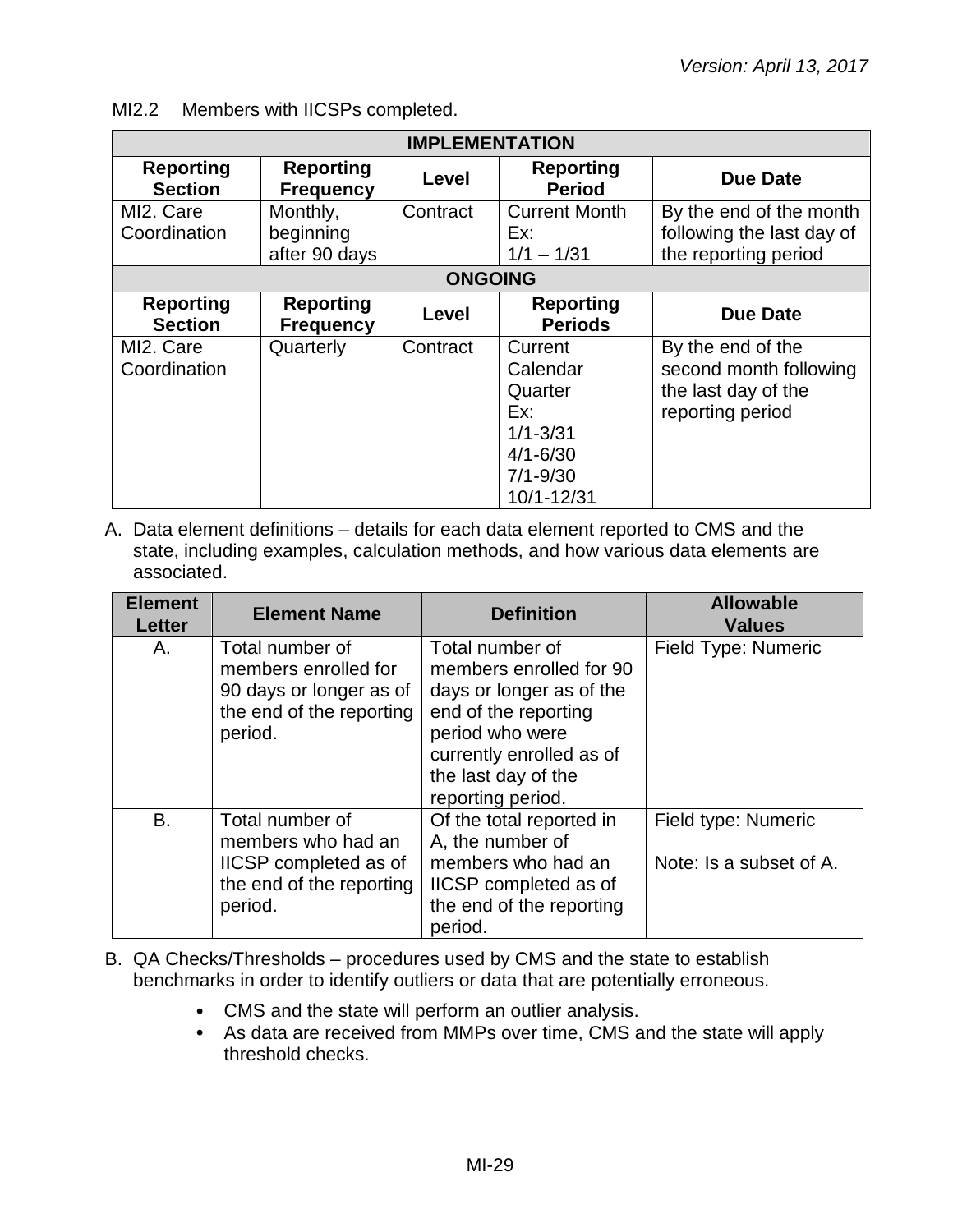| <b>IMPLEMENTATION</b>              |                                        |                |                                                                                                     |                                                                                        |
|------------------------------------|----------------------------------------|----------------|-----------------------------------------------------------------------------------------------------|----------------------------------------------------------------------------------------|
| <b>Reporting</b><br><b>Section</b> | <b>Reporting</b><br><b>Frequency</b>   | Level          | <b>Reporting</b><br><b>Period</b>                                                                   | <b>Due Date</b>                                                                        |
| MI2. Care<br>Coordination          | Monthly,<br>beginning<br>after 90 days | Contract       | <b>Current Month</b><br>Ex:<br>$1/1 - 1/31$                                                         | By the end of the month<br>following the last day of<br>the reporting period           |
|                                    |                                        | <b>ONGOING</b> |                                                                                                     |                                                                                        |
| <b>Reporting</b><br><b>Section</b> | <b>Reporting</b><br><b>Frequency</b>   | Level          | <b>Reporting</b><br><b>Periods</b>                                                                  | Due Date                                                                               |
| MI2. Care<br>Coordination          | Quarterly                              | Contract       | Current<br>Calendar<br>Quarter<br>Ex:<br>$1/1 - 3/31$<br>$4/1 - 6/30$<br>$7/1 - 9/30$<br>10/1-12/31 | By the end of the<br>second month following<br>the last day of the<br>reporting period |

MI2.2 Members with IICSPs completed.

| <b>Element</b><br><b>Letter</b> | <b>Element Name</b>                                                                                       | <b>Definition</b>                                                                                                                                                                         | <b>Allowable</b><br><b>Values</b>              |
|---------------------------------|-----------------------------------------------------------------------------------------------------------|-------------------------------------------------------------------------------------------------------------------------------------------------------------------------------------------|------------------------------------------------|
| Α.                              | Total number of<br>members enrolled for<br>90 days or longer as of<br>the end of the reporting<br>period. | Total number of<br>members enrolled for 90<br>days or longer as of the<br>end of the reporting<br>period who were<br>currently enrolled as of<br>the last day of the<br>reporting period. | Field Type: Numeric                            |
| B.                              | Total number of<br>members who had an<br>IICSP completed as of<br>the end of the reporting<br>period.     | Of the total reported in<br>A, the number of<br>members who had an<br>IICSP completed as of<br>the end of the reporting<br>period.                                                        | Field type: Numeric<br>Note: Is a subset of A. |

- B. QA Checks/Thresholds procedures used by CMS and the state to establish benchmarks in order to identify outliers or data that are potentially erroneous.
	- CMS and the state will perform an outlier analysis.
	- As data are received from MMPs over time, CMS and the state will apply threshold checks.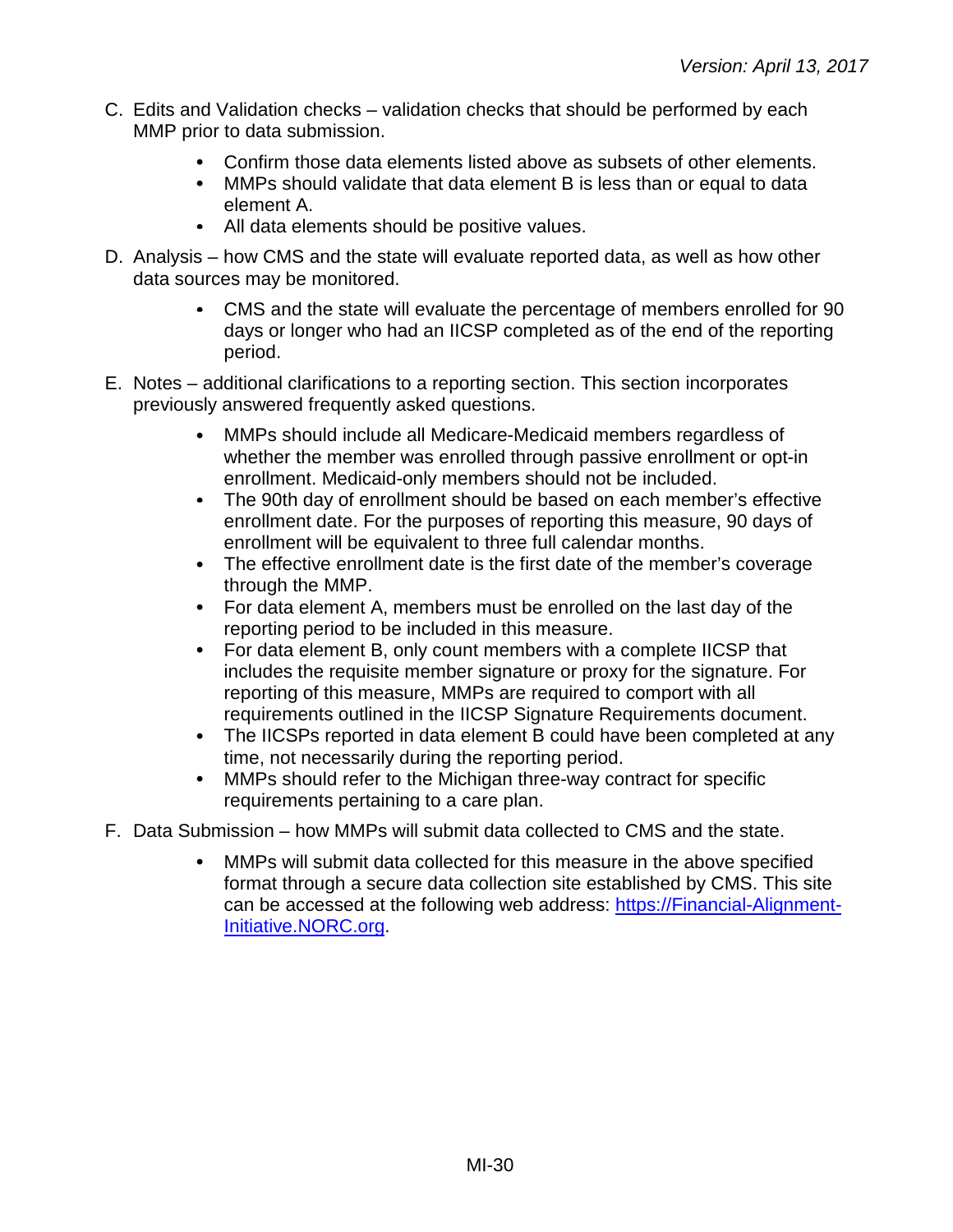- C. Edits and Validation checks validation checks that should be performed by each MMP prior to data submission.
	- Confirm those data elements listed above as subsets of other elements.
	- MMPs should validate that data element B is less than or equal to data element A.
	- All data elements should be positive values.
- D. Analysis how CMS and the state will evaluate reported data, as well as how other data sources may be monitored.
	- CMS and the state will evaluate the percentage of members enrolled for 90 days or longer who had an IICSP completed as of the end of the reporting period.
- E. Notes additional clarifications to a reporting section. This section incorporates previously answered frequently asked questions.
	- MMPs should include all Medicare-Medicaid members regardless of  $\bullet$ whether the member was enrolled through passive enrollment or opt-in enrollment. Medicaid-only members should not be included.
	- The 90th day of enrollment should be based on each member's effective enrollment date. For the purposes of reporting this measure, 90 days of enrollment will be equivalent to three full calendar months.
	- The effective enrollment date is the first date of the member's coverage through the MMP.
	- For data element A, members must be enrolled on the last day of the reporting period to be included in this measure.
	- For data element B, only count members with a complete IICSP that includes the requisite member signature or proxy for the signature. For reporting of this measure, MMPs are required to comport with all requirements outlined in the IICSP Signature Requirements document.
	- The IICSPs reported in data element B could have been completed at any time, not necessarily during the reporting period.
	- $\bullet$ MMPs should refer to the Michigan three-way contract for specific requirements pertaining to a care plan.
- F. Data Submission how MMPs will submit data collected to CMS and the state.
	- $\bullet$ MMPs will submit data collected for this measure in the above specified format through a secure data collection site established by CMS. This site can be accessed at the following web address: [https://Financial-Alignment-](https://financial-alignment-initiative.norc.org/)[Initiative.NORC.org.](https://financial-alignment-initiative.norc.org/)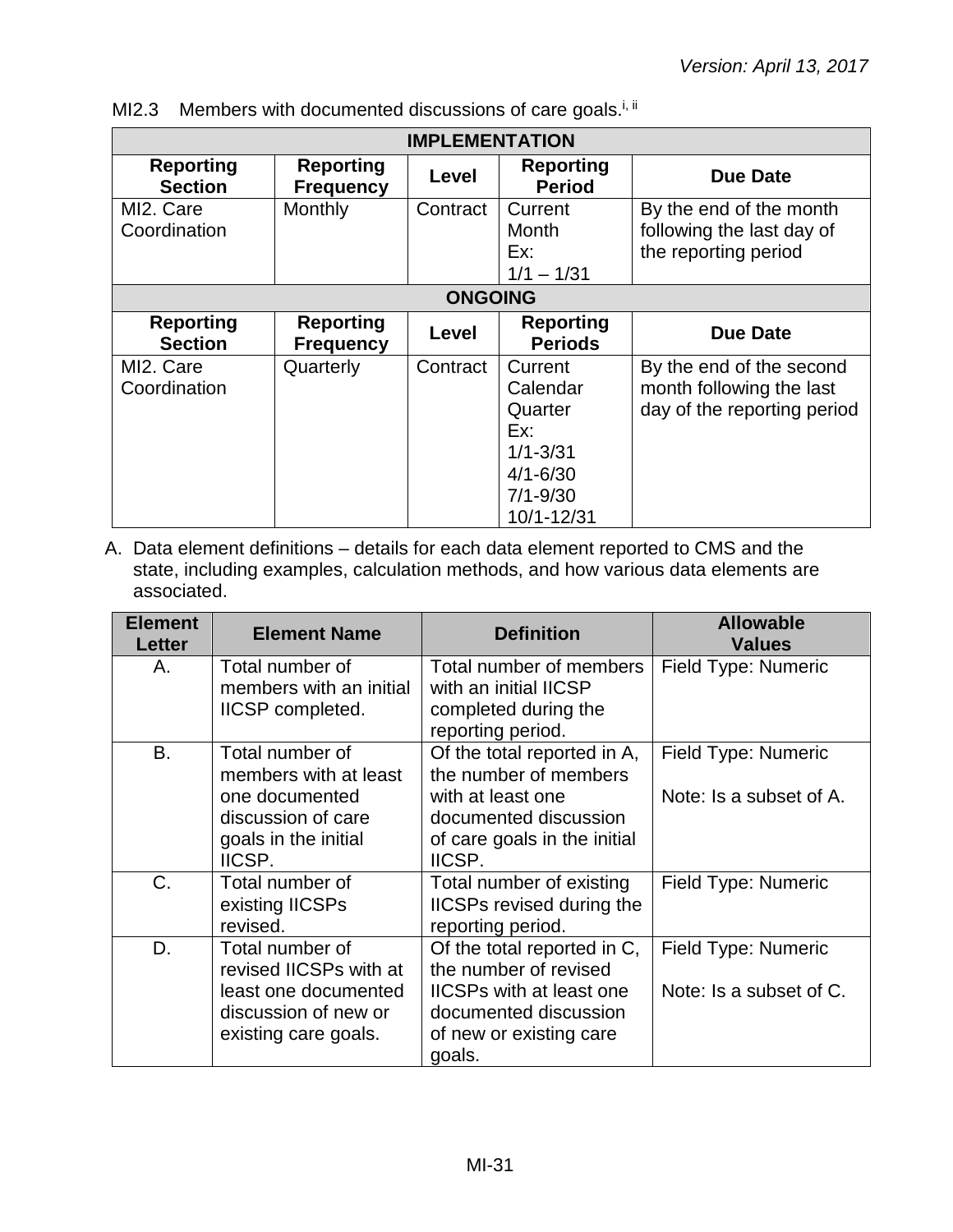|  | MI2.3 Members with documented discussions of care goals. <sup>i, ii</sup> |  |  |  |
|--|---------------------------------------------------------------------------|--|--|--|
|--|---------------------------------------------------------------------------|--|--|--|

| <b>IMPLEMENTATION</b>              |                                      |                |                                                                                                     |                                                                                     |  |
|------------------------------------|--------------------------------------|----------------|-----------------------------------------------------------------------------------------------------|-------------------------------------------------------------------------------------|--|
| <b>Reporting</b><br><b>Section</b> | <b>Reporting</b><br><b>Frequency</b> | Level          | <b>Reporting</b><br><b>Period</b>                                                                   | <b>Due Date</b>                                                                     |  |
| MI2. Care<br>Coordination          | Monthly                              | Contract       | Current<br>Month<br>Ex:<br>$1/1 - 1/31$                                                             | By the end of the month<br>following the last day of<br>the reporting period        |  |
|                                    |                                      | <b>ONGOING</b> |                                                                                                     |                                                                                     |  |
| <b>Reporting</b><br><b>Section</b> | <b>Reporting</b><br><b>Frequency</b> | Level          | <b>Reporting</b><br><b>Periods</b>                                                                  | <b>Due Date</b>                                                                     |  |
| MI2. Care<br>Coordination          | Quarterly                            | Contract       | Current<br>Calendar<br>Quarter<br>Ex:<br>$1/1 - 3/31$<br>$4/1 - 6/30$<br>$7/1 - 9/30$<br>10/1-12/31 | By the end of the second<br>month following the last<br>day of the reporting period |  |

| <b>Element</b><br><b>Letter</b> | <b>Element Name</b>                                                                                                | <b>Definition</b>                                                                                                                                     | <b>Allowable</b><br><b>Values</b>              |
|---------------------------------|--------------------------------------------------------------------------------------------------------------------|-------------------------------------------------------------------------------------------------------------------------------------------------------|------------------------------------------------|
| А.                              | Total number of<br>members with an initial<br>IICSP completed.                                                     | Total number of members<br>with an initial IICSP<br>completed during the<br>reporting period.                                                         | Field Type: Numeric                            |
| Β.                              | Total number of<br>members with at least<br>one documented<br>discussion of care<br>goals in the initial<br>IICSP. | Of the total reported in A,<br>the number of members<br>with at least one<br>documented discussion<br>of care goals in the initial<br>IICSP.          | Field Type: Numeric<br>Note: Is a subset of A. |
| C.                              | Total number of<br>existing IICSPs<br>revised.                                                                     | Total number of existing<br><b>IICSPs revised during the</b><br>reporting period.                                                                     | Field Type: Numeric                            |
| D.                              | Total number of<br>revised IICSPs with at<br>least one documented<br>discussion of new or<br>existing care goals.  | Of the total reported in C,<br>the number of revised<br><b>IICSPs with at least one</b><br>documented discussion<br>of new or existing care<br>goals. | Field Type: Numeric<br>Note: Is a subset of C. |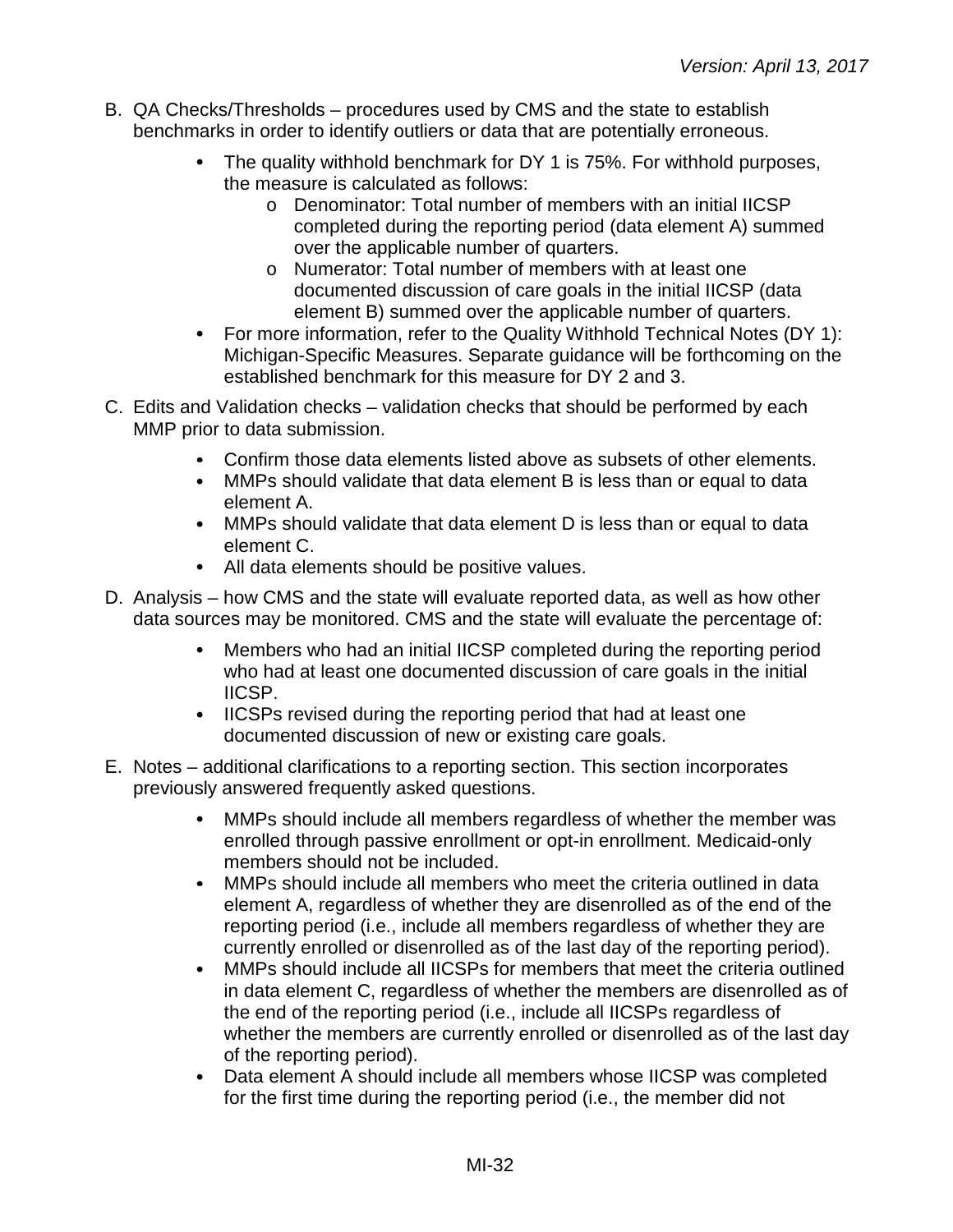- B. QA Checks/Thresholds procedures used by CMS and the state to establish benchmarks in order to identify outliers or data that are potentially erroneous.
	- The quality withhold benchmark for DY 1 is 75%. For withhold purposes, the measure is calculated as follows:
		- o Denominator: Total number of members with an initial IICSP completed during the reporting period (data element A) summed over the applicable number of quarters.
		- o Numerator: Total number of members with at least one documented discussion of care goals in the initial IICSP (data element B) summed over the applicable number of quarters.
	- For more information, refer to the Quality Withhold Technical Notes (DY 1): Michigan-Specific Measures. Separate guidance will be forthcoming on the established benchmark for this measure for DY 2 and 3.
- C. Edits and Validation checks validation checks that should be performed by each MMP prior to data submission.
	- Confirm those data elements listed above as subsets of other elements.
	- MMPs should validate that data element B is less than or equal to data element A.
	- MMPs should validate that data element D is less than or equal to data element C.
	- All data elements should be positive values.
- D. Analysis how CMS and the state will evaluate reported data, as well as how other data sources may be monitored. CMS and the state will evaluate the percentage of:
	- Members who had an initial IICSP completed during the reporting period  $\bullet$ who had at least one documented discussion of care goals in the initial IICSP.
	- IICSPs revised during the reporting period that had at least one documented discussion of new or existing care goals.
- E. Notes additional clarifications to a reporting section. This section incorporates previously answered frequently asked questions.
	- MMPs should include all members regardless of whether the member was  $\bullet$ enrolled through passive enrollment or opt-in enrollment. Medicaid-only members should not be included.
	- $\bullet$ MMPs should include all members who meet the criteria outlined in data element A, regardless of whether they are disenrolled as of the end of the reporting period (i.e., include all members regardless of whether they are currently enrolled or disenrolled as of the last day of the reporting period).
	- MMPs should include all IICSPs for members that meet the criteria outlined  $\bullet$ in data element C, regardless of whether the members are disenrolled as of the end of the reporting period (i.e., include all IICSPs regardless of whether the members are currently enrolled or disenrolled as of the last day of the reporting period).
	- Data element A should include all members whose IICSP was completed for the first time during the reporting period (i.e., the member did not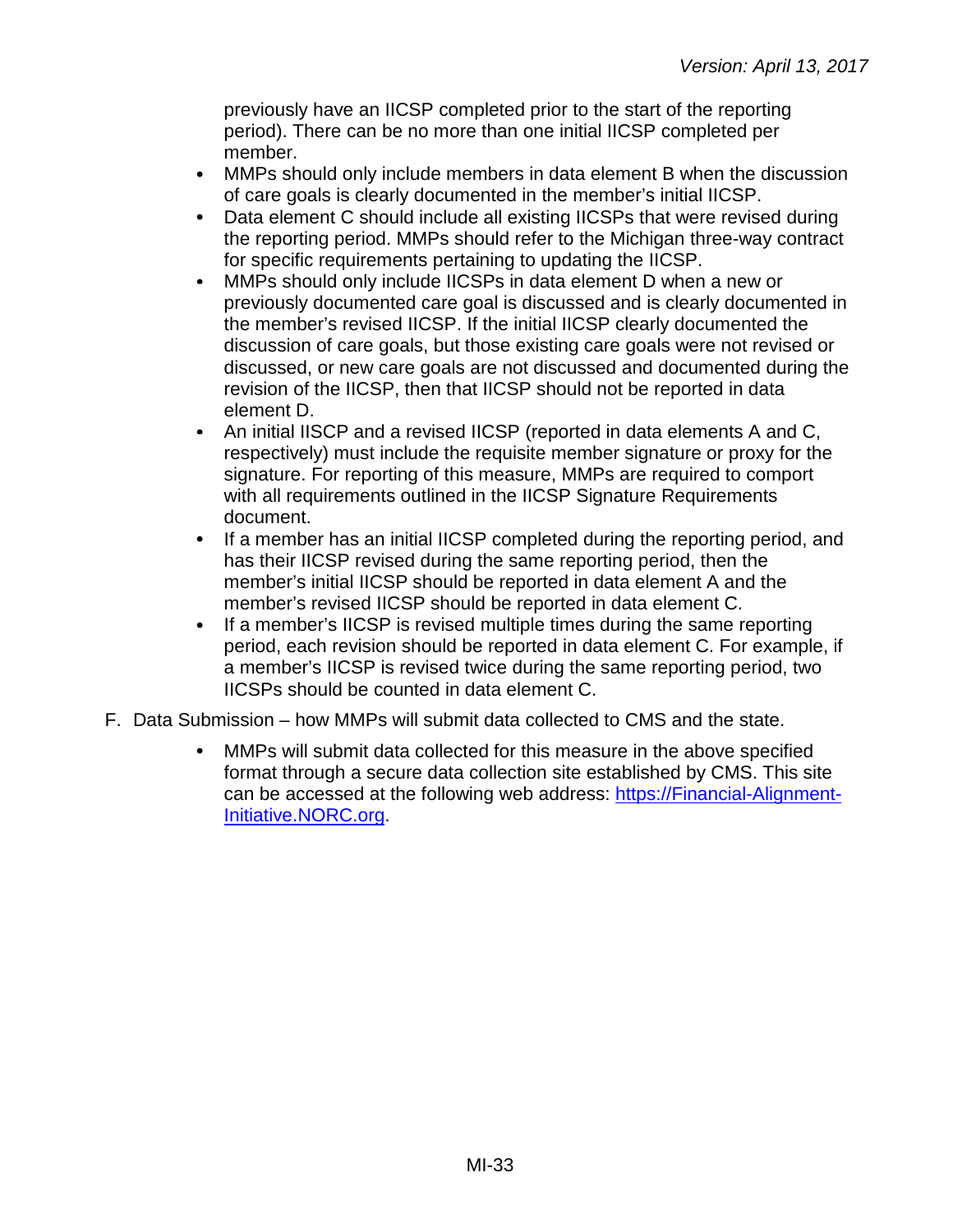previously have an IICSP completed prior to the start of the reporting period). There can be no more than one initial IICSP completed per member.

- $\bullet$ MMPs should only include members in data element B when the discussion of care goals is clearly documented in the member's initial IICSP.
- $\bullet$ Data element C should include all existing IICSPs that were revised during the reporting period. MMPs should refer to the Michigan three-way contract for specific requirements pertaining to updating the IICSP.
- $\bullet$ MMPs should only include IICSPs in data element D when a new or previously documented care goal is discussed and is clearly documented in the member's revised IICSP. If the initial IICSP clearly documented the discussion of care goals, but those existing care goals were not revised or discussed, or new care goals are not discussed and documented during the revision of the IICSP, then that IICSP should not be reported in data element D.
- $\bullet$ An initial IISCP and a revised IICSP (reported in data elements A and C, respectively) must include the requisite member signature or proxy for the signature. For reporting of this measure, MMPs are required to comport with all requirements outlined in the IICSP Signature Requirements document.
- If a member has an initial IICSP completed during the reporting period, and  $\bullet$ has their IICSP revised during the same reporting period, then the member's initial IICSP should be reported in data element A and the member's revised IICSP should be reported in data element C.
- If a member's IICSP is revised multiple times during the same reporting  $\bullet$ period, each revision should be reported in data element C. For example, if a member's IICSP is revised twice during the same reporting period, two IICSPs should be counted in data element C.
- F. Data Submission how MMPs will submit data collected to CMS and the state.
	- $\bullet$ MMPs will submit data collected for this measure in the above specified format through a secure data collection site established by CMS. This site can be accessed at the following web address: [https://Financial-Alignment-](https://financial-alignment-initiative.norc.org/)[Initiative.NORC.org.](https://financial-alignment-initiative.norc.org/)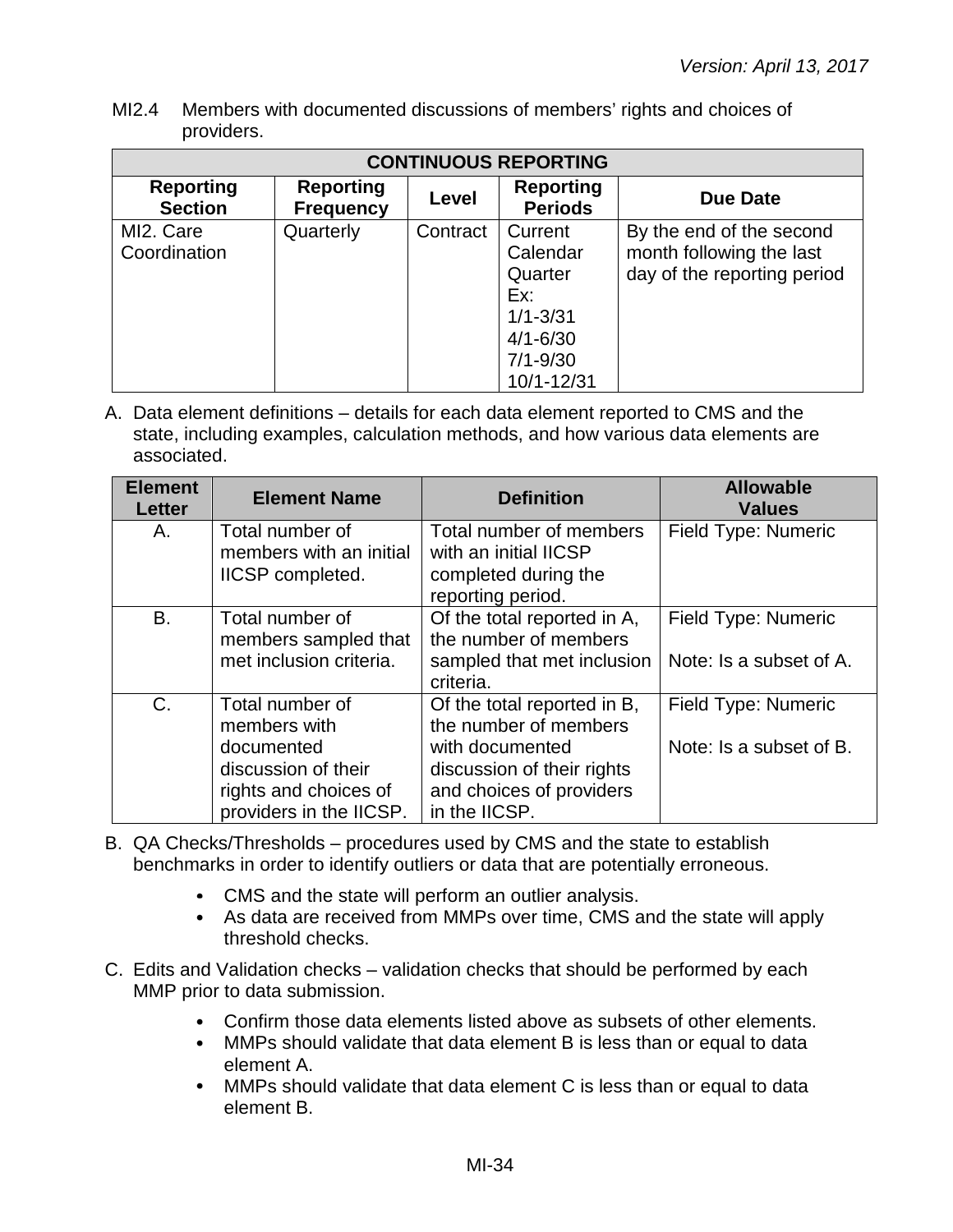MI2.4 Members with documented discussions of members' rights and choices of providers.

| <b>CONTINUOUS REPORTING</b>        |                                      |          |                                                                                                     |                                                                                     |  |
|------------------------------------|--------------------------------------|----------|-----------------------------------------------------------------------------------------------------|-------------------------------------------------------------------------------------|--|
| <b>Reporting</b><br><b>Section</b> | <b>Reporting</b><br><b>Frequency</b> | Level    | <b>Reporting</b><br><b>Periods</b>                                                                  | Due Date                                                                            |  |
| MI2. Care<br>Coordination          | Quarterly                            | Contract | Current<br>Calendar<br>Quarter<br>Ex:<br>$1/1 - 3/31$<br>$4/1 - 6/30$<br>$7/1 - 9/30$<br>10/1-12/31 | By the end of the second<br>month following the last<br>day of the reporting period |  |

| <b>Element</b><br><b>Letter</b> | <b>Element Name</b>                                                                                                      | <b>Definition</b>                                                                                                                                  | <b>Allowable</b><br><b>Values</b>              |
|---------------------------------|--------------------------------------------------------------------------------------------------------------------------|----------------------------------------------------------------------------------------------------------------------------------------------------|------------------------------------------------|
| А.                              | Total number of<br>members with an initial<br>IICSP completed.                                                           | Total number of members<br>with an initial IICSP<br>completed during the<br>reporting period.                                                      | Field Type: Numeric                            |
| <b>B.</b>                       | Total number of<br>members sampled that<br>met inclusion criteria.                                                       | Of the total reported in A,<br>the number of members<br>sampled that met inclusion<br>criteria.                                                    | Field Type: Numeric<br>Note: Is a subset of A. |
| $C_{\cdot}$                     | Total number of<br>members with<br>documented<br>discussion of their<br>rights and choices of<br>providers in the IICSP. | Of the total reported in B,<br>the number of members<br>with documented<br>discussion of their rights<br>and choices of providers<br>in the IICSP. | Field Type: Numeric<br>Note: Is a subset of B. |

- B. QA Checks/Thresholds procedures used by CMS and the state to establish benchmarks in order to identify outliers or data that are potentially erroneous.
	- CMS and the state will perform an outlier analysis.
	- As data are received from MMPs over time, CMS and the state will apply threshold checks.
- C. Edits and Validation checks validation checks that should be performed by each MMP prior to data submission.
	- Confirm those data elements listed above as subsets of other elements.
	- $\bullet$ MMPs should validate that data element B is less than or equal to data element A.
	- $\bullet$ MMPs should validate that data element C is less than or equal to data element B.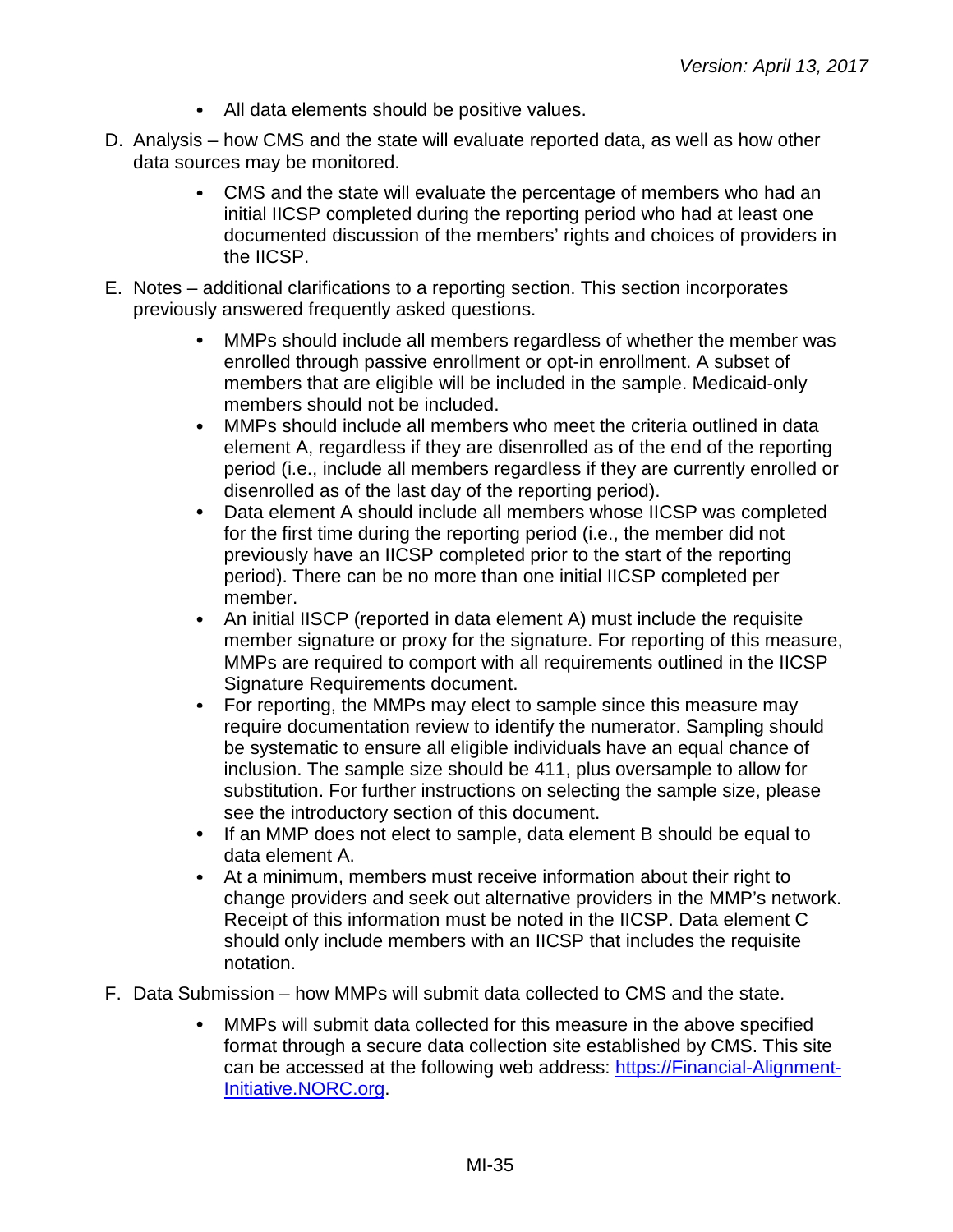- All data elements should be positive values.
- D. Analysis how CMS and the state will evaluate reported data, as well as how other data sources may be monitored.
	- CMS and the state will evaluate the percentage of members who had an  $\bullet$ initial IICSP completed during the reporting period who had at least one documented discussion of the members' rights and choices of providers in the IICSP.
- E. Notes additional clarifications to a reporting section. This section incorporates previously answered frequently asked questions.
	- MMPs should include all members regardless of whether the member was  $\bullet$ enrolled through passive enrollment or opt-in enrollment. A subset of members that are eligible will be included in the sample. Medicaid-only members should not be included.
	- MMPs should include all members who meet the criteria outlined in data  $\bullet$ element A, regardless if they are disenrolled as of the end of the reporting period (i.e., include all members regardless if they are currently enrolled or disenrolled as of the last day of the reporting period).
	- Data element A should include all members whose IICSP was completed  $\bullet$ for the first time during the reporting period (i.e., the member did not previously have an IICSP completed prior to the start of the reporting period). There can be no more than one initial IICSP completed per member.
	- An initial IISCP (reported in data element A) must include the requisite  $\bullet$ member signature or proxy for the signature. For reporting of this measure, MMPs are required to comport with all requirements outlined in the IICSP Signature Requirements document.
	- $\bullet$ For reporting, the MMPs may elect to sample since this measure may require documentation review to identify the numerator. Sampling should be systematic to ensure all eligible individuals have an equal chance of inclusion. The sample size should be 411, plus oversample to allow for substitution. For further instructions on selecting the sample size, please see the introductory section of this document.
	- If an MMP does not elect to sample, data element B should be equal to data element A.
	- At a minimum, members must receive information about their right to change providers and seek out alternative providers in the MMP's network. Receipt of this information must be noted in the IICSP. Data element C should only include members with an IICSP that includes the requisite notation.
- F. Data Submission how MMPs will submit data collected to CMS and the state.
	- MMPs will submit data collected for this measure in the above specified format through a secure data collection site established by CMS. This site can be accessed at the following web address: [https://Financial-Alignment-](https://financial-alignment-initiative.norc.org/)[Initiative.NORC.org.](https://financial-alignment-initiative.norc.org/)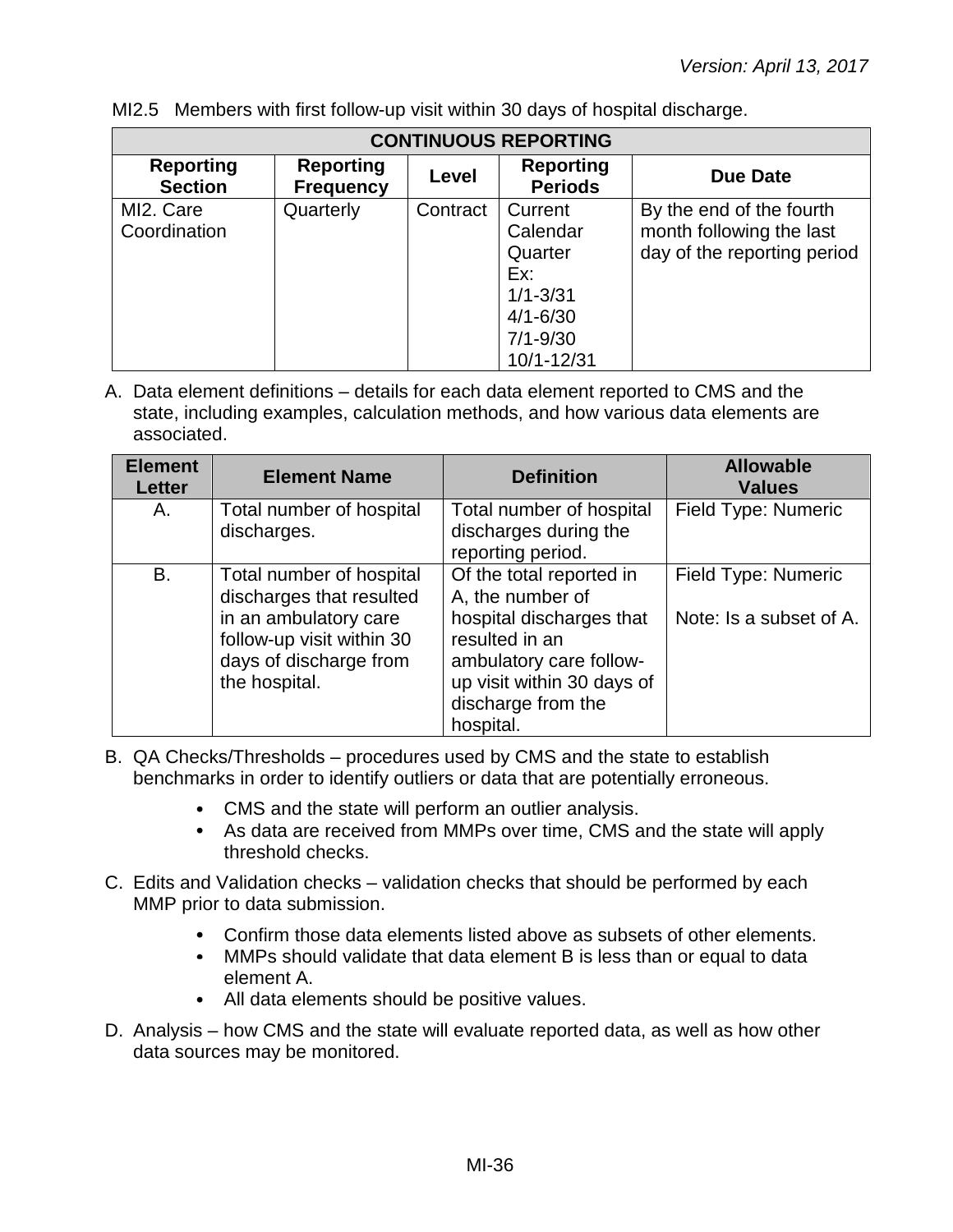| <b>CONTINUOUS REPORTING</b>        |                                      |          |                                                                                                     |                                                                                     |  |
|------------------------------------|--------------------------------------|----------|-----------------------------------------------------------------------------------------------------|-------------------------------------------------------------------------------------|--|
| <b>Reporting</b><br><b>Section</b> | <b>Reporting</b><br><b>Frequency</b> | Level    | <b>Reporting</b><br><b>Periods</b>                                                                  | Due Date                                                                            |  |
| MI2. Care<br>Coordination          | Quarterly                            | Contract | Current<br>Calendar<br>Quarter<br>Ex:<br>$1/1 - 3/31$<br>$4/1 - 6/30$<br>$7/1 - 9/30$<br>10/1-12/31 | By the end of the fourth<br>month following the last<br>day of the reporting period |  |

MI2.5 Members with first follow-up visit within 30 days of hospital discharge.

| <b>Element</b><br><b>Letter</b> | <b>Element Name</b>                                                                                                                                   | <b>Definition</b>                                                                                                                                                                      | <b>Allowable</b><br><b>Values</b>              |
|---------------------------------|-------------------------------------------------------------------------------------------------------------------------------------------------------|----------------------------------------------------------------------------------------------------------------------------------------------------------------------------------------|------------------------------------------------|
| A.                              | Total number of hospital<br>discharges.                                                                                                               | Total number of hospital<br>discharges during the<br>reporting period.                                                                                                                 | Field Type: Numeric                            |
| В.                              | Total number of hospital<br>discharges that resulted<br>in an ambulatory care<br>follow-up visit within 30<br>days of discharge from<br>the hospital. | Of the total reported in<br>A, the number of<br>hospital discharges that<br>resulted in an<br>ambulatory care follow-<br>up visit within 30 days of<br>discharge from the<br>hospital. | Field Type: Numeric<br>Note: Is a subset of A. |

- B. QA Checks/Thresholds procedures used by CMS and the state to establish benchmarks in order to identify outliers or data that are potentially erroneous.
	- CMS and the state will perform an outlier analysis.
	- As data are received from MMPs over time, CMS and the state will apply threshold checks.
- C. Edits and Validation checks validation checks that should be performed by each MMP prior to data submission.
	- Confirm those data elements listed above as subsets of other elements.
	- MMPs should validate that data element B is less than or equal to data element A.
	- All data elements should be positive values.
- D. Analysis how CMS and the state will evaluate reported data, as well as how other data sources may be monitored.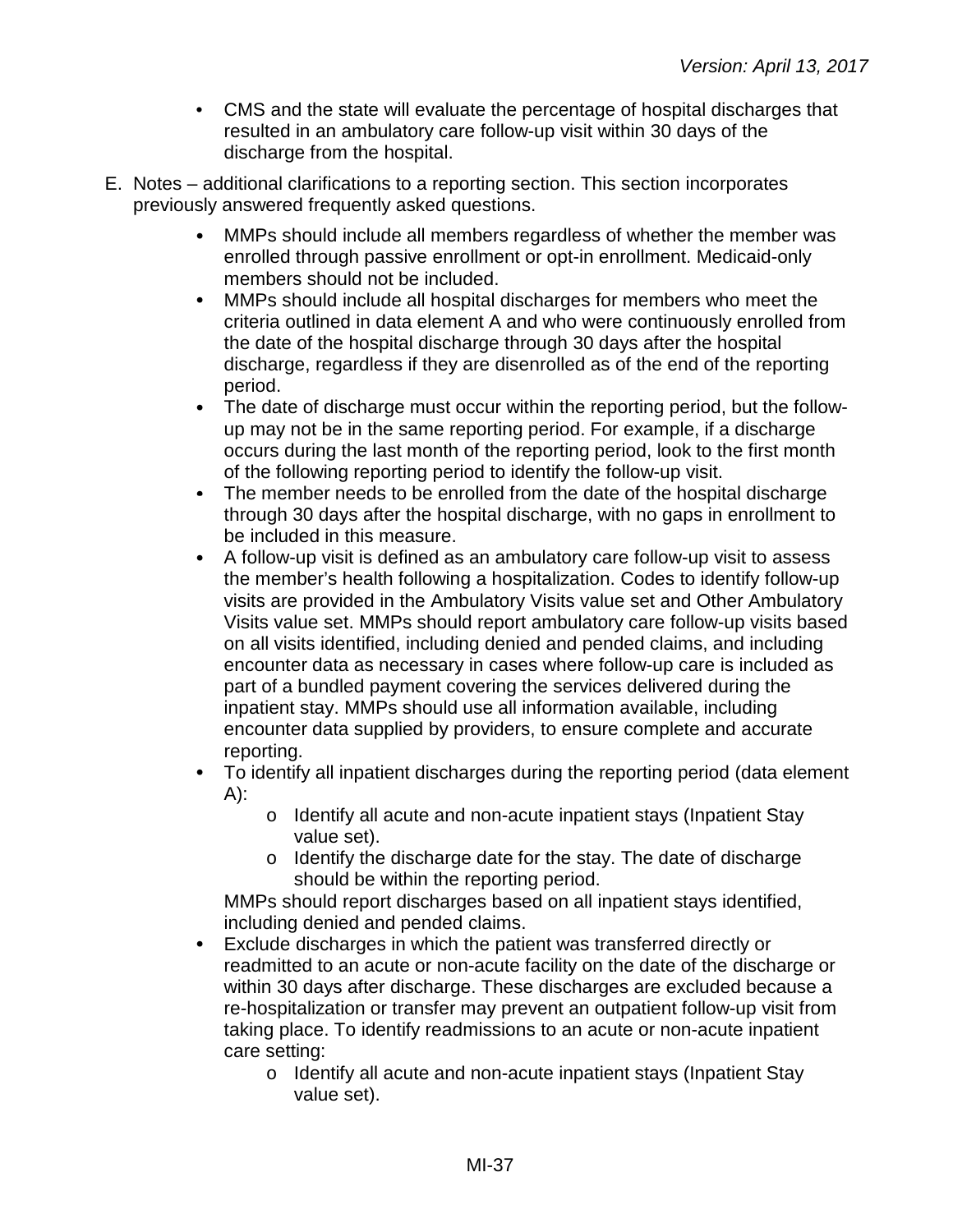- CMS and the state will evaluate the percentage of hospital discharges that resulted in an ambulatory care follow-up visit within 30 days of the discharge from the hospital.
- E. Notes additional clarifications to a reporting section. This section incorporates previously answered frequently asked questions.
	- $\bullet$ MMPs should include all members regardless of whether the member was enrolled through passive enrollment or opt-in enrollment. Medicaid-only members should not be included.
	- $\bullet$ MMPs should include all hospital discharges for members who meet the criteria outlined in data element A and who were continuously enrolled from the date of the hospital discharge through 30 days after the hospital discharge, regardless if they are disenrolled as of the end of the reporting period.
	- The date of discharge must occur within the reporting period, but the followup may not be in the same reporting period. For example, if a discharge occurs during the last month of the reporting period, look to the first month of the following reporting period to identify the follow-up visit.
	- The member needs to be enrolled from the date of the hospital discharge through 30 days after the hospital discharge, with no gaps in enrollment to be included in this measure.
	- A follow-up visit is defined as an ambulatory care follow-up visit to assess  $\bullet$ the member's health following a hospitalization. Codes to identify follow-up visits are provided in the Ambulatory Visits value set and Other Ambulatory Visits value set. MMPs should report ambulatory care follow-up visits based on all visits identified, including denied and pended claims, and including encounter data as necessary in cases where follow-up care is included as part of a bundled payment covering the services delivered during the inpatient stay. MMPs should use all information available, including encounter data supplied by providers, to ensure complete and accurate reporting.
	- To identify all inpatient discharges during the reporting period (data element A):
		- o Identify all acute and non-acute inpatient stays (Inpatient Stay value set).
		- o Identify the discharge date for the stay. The date of discharge should be within the reporting period.

MMPs should report discharges based on all inpatient stays identified, including denied and pended claims.

- $\bullet$ Exclude discharges in which the patient was transferred directly or readmitted to an acute or non-acute facility on the date of the discharge or within 30 days after discharge. These discharges are excluded because a re-hospitalization or transfer may prevent an outpatient follow-up visit from taking place. To identify readmissions to an acute or non-acute inpatient care setting:
	- o Identify all acute and non-acute inpatient stays (Inpatient Stay value set).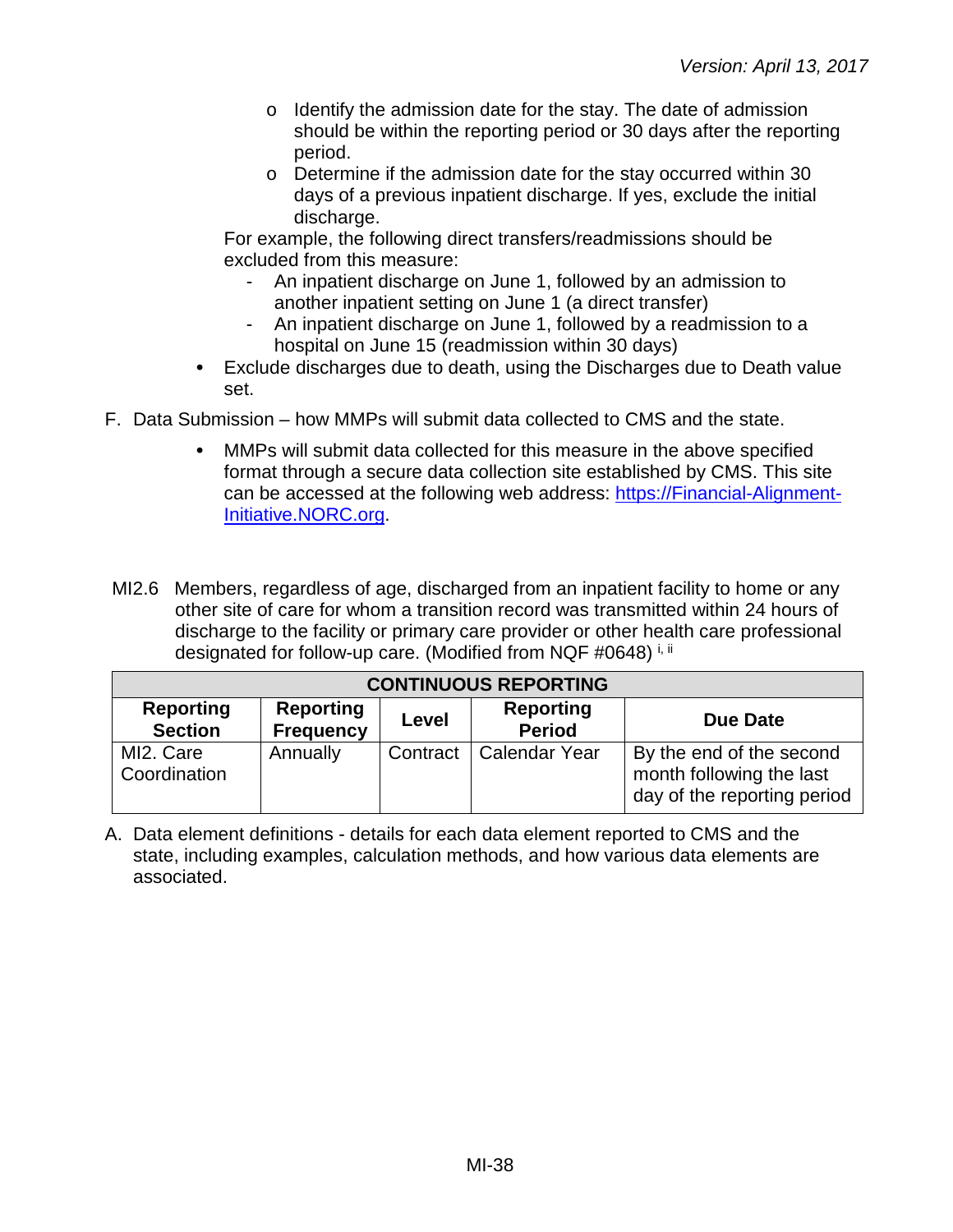- o Identify the admission date for the stay. The date of admission should be within the reporting period or 30 days after the reporting period.
- o Determine if the admission date for the stay occurred within 30 days of a previous inpatient discharge. If yes, exclude the initial discharge.

For example, the following direct transfers/readmissions should be excluded from this measure:

- An inpatient discharge on June 1, followed by an admission to another inpatient setting on June 1 (a direct transfer)
- An inpatient discharge on June 1, followed by a readmission to a hospital on June 15 (readmission within 30 days)
- Exclude discharges due to death, using the Discharges due to Death value set.
- F. Data Submission how MMPs will submit data collected to CMS and the state.
	- MMPs will submit data collected for this measure in the above specified  $\bullet$ format through a secure data collection site established by CMS. This site can be accessed at the following web address: [https://Financial-Alignment-](https://financial-alignment-initiative.norc.org/)[Initiative.NORC.org.](https://financial-alignment-initiative.norc.org/)
- MI2.6 Members, regardless of age, discharged from an inpatient facility to home or any other site of care for whom a transition record was transmitted within 24 hours of discharge to the facility or primary care provider or other health care professional designated for follow-up care. (Modified from NQF #0648) i, ii

| <b>CONTINUOUS REPORTING</b>        |                                      |          |                      |                                                                                     |  |  |
|------------------------------------|--------------------------------------|----------|----------------------|-------------------------------------------------------------------------------------|--|--|
| <b>Reporting</b><br><b>Section</b> | <b>Reporting</b><br><b>Frequency</b> | Due Date |                      |                                                                                     |  |  |
| MI2. Care<br>Coordination          | Annually                             | Contract | <b>Calendar Year</b> | By the end of the second<br>month following the last<br>day of the reporting period |  |  |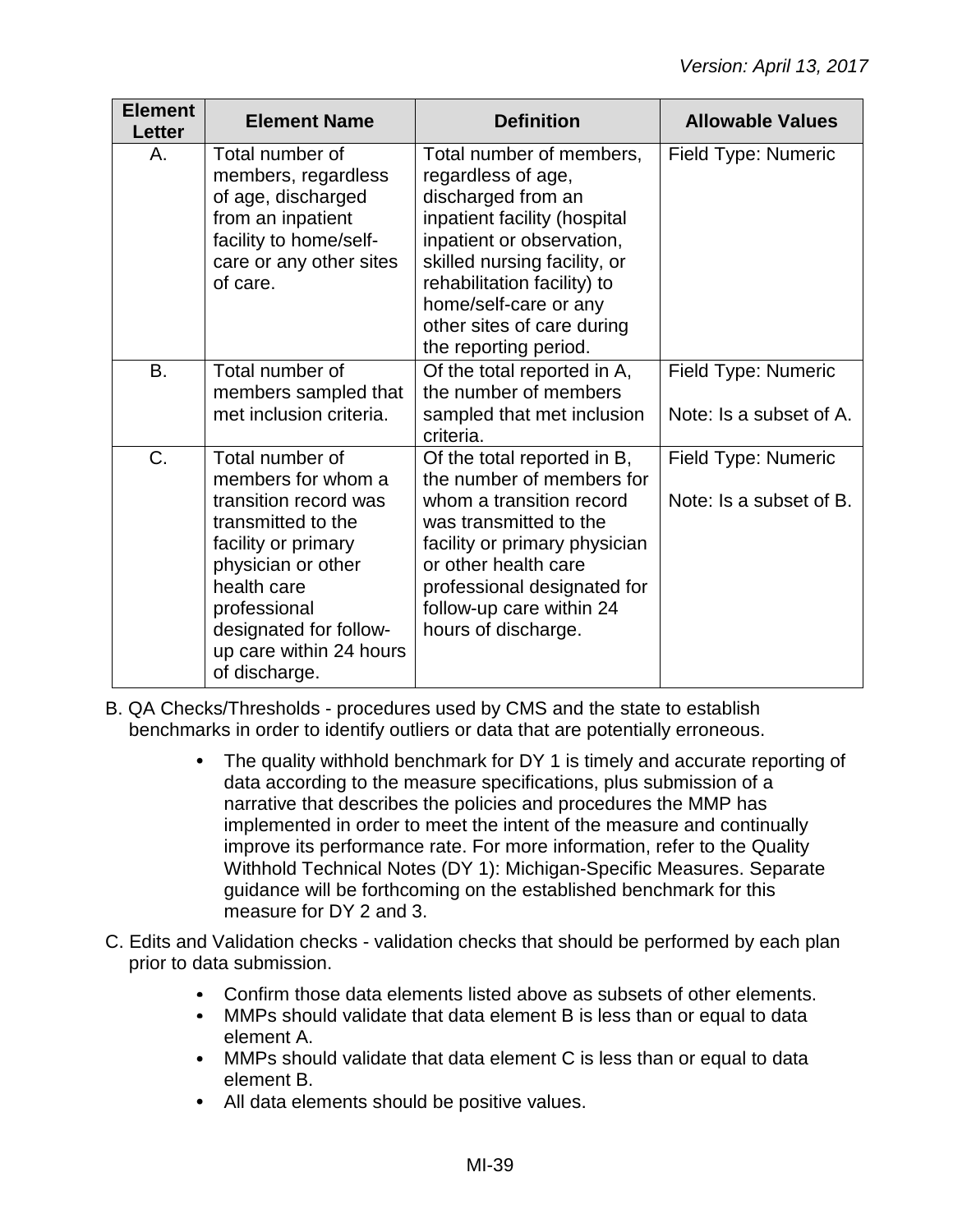| <b>Element</b><br>Letter | <b>Element Name</b>                                                                                                                                                                                                                    | <b>Definition</b>                                                                                                                                                                                                                                                                | <b>Allowable Values</b>                        |
|--------------------------|----------------------------------------------------------------------------------------------------------------------------------------------------------------------------------------------------------------------------------------|----------------------------------------------------------------------------------------------------------------------------------------------------------------------------------------------------------------------------------------------------------------------------------|------------------------------------------------|
| Α.                       | Total number of<br>members, regardless<br>of age, discharged<br>from an inpatient<br>facility to home/self-<br>care or any other sites<br>of care.                                                                                     | Total number of members,<br>regardless of age,<br>discharged from an<br>inpatient facility (hospital<br>inpatient or observation,<br>skilled nursing facility, or<br>rehabilitation facility) to<br>home/self-care or any<br>other sites of care during<br>the reporting period. | Field Type: Numeric                            |
| <b>B.</b>                | Total number of<br>members sampled that<br>met inclusion criteria.                                                                                                                                                                     | Of the total reported in A,<br>the number of members<br>sampled that met inclusion<br>criteria.                                                                                                                                                                                  | Field Type: Numeric<br>Note: Is a subset of A. |
| C.                       | Total number of<br>members for whom a<br>transition record was<br>transmitted to the<br>facility or primary<br>physician or other<br>health care<br>professional<br>designated for follow-<br>up care within 24 hours<br>of discharge. | Of the total reported in B,<br>the number of members for<br>whom a transition record<br>was transmitted to the<br>facility or primary physician<br>or other health care<br>professional designated for<br>follow-up care within 24<br>hours of discharge.                        | Field Type: Numeric<br>Note: Is a subset of B. |

- B. QA Checks/Thresholds procedures used by CMS and the state to establish benchmarks in order to identify outliers or data that are potentially erroneous.
	- The quality withhold benchmark for DY 1 is timely and accurate reporting of  $\bullet$ data according to the measure specifications, plus submission of a narrative that describes the policies and procedures the MMP has implemented in order to meet the intent of the measure and continually improve its performance rate. For more information, refer to the Quality Withhold Technical Notes (DY 1): Michigan-Specific Measures. Separate guidance will be forthcoming on the established benchmark for this measure for DY 2 and 3.
- C. Edits and Validation checks validation checks that should be performed by each plan prior to data submission.
	- Confirm those data elements listed above as subsets of other elements.  $\bullet$
	- $\bullet$ MMPs should validate that data element B is less than or equal to data element A.
	- MMPs should validate that data element C is less than or equal to data element B.
	- All data elements should be positive values.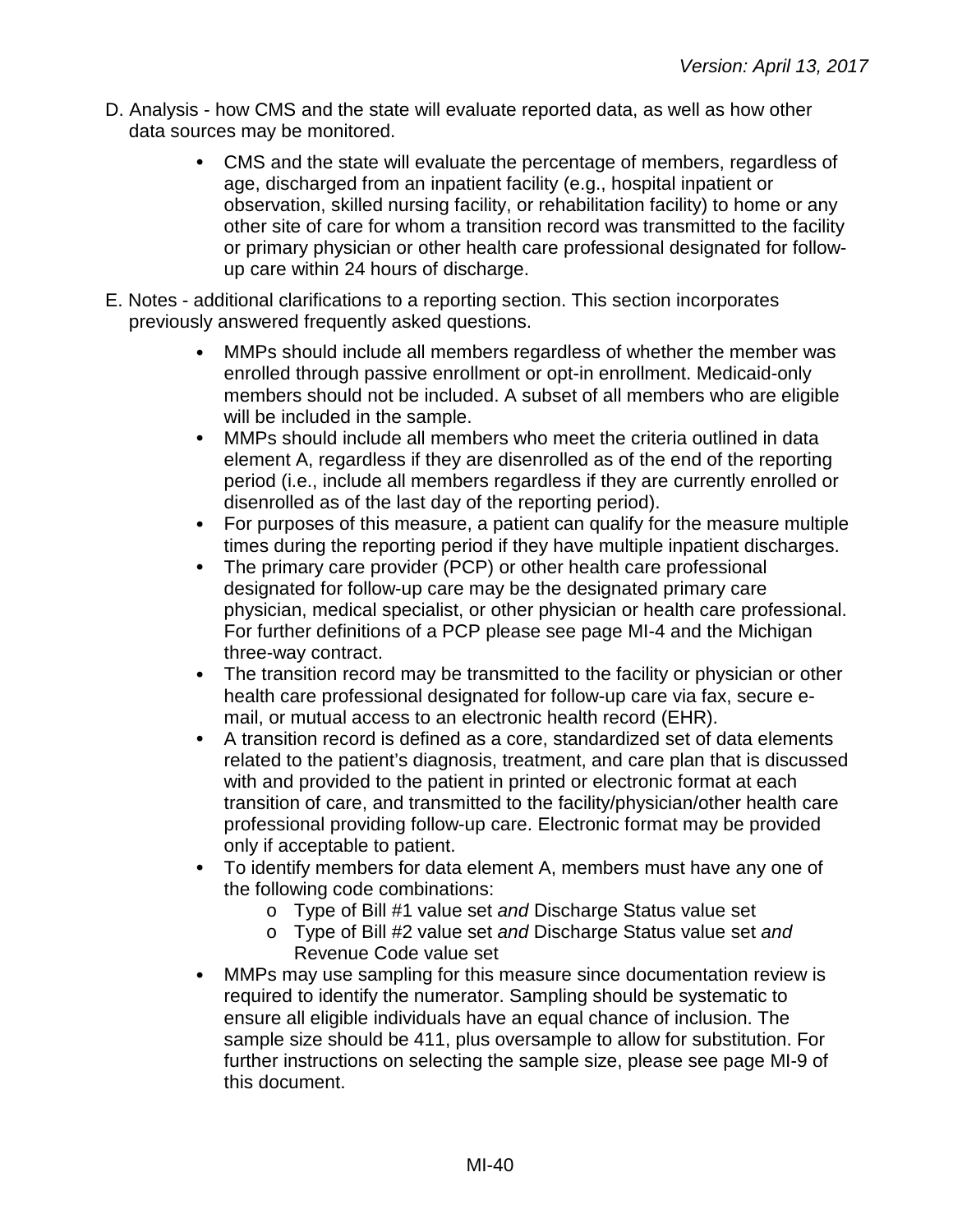- D. Analysis how CMS and the state will evaluate reported data, as well as how other data sources may be monitored.
	- $\bullet$ CMS and the state will evaluate the percentage of members, regardless of age, discharged from an inpatient facility (e.g., hospital inpatient or observation, skilled nursing facility, or rehabilitation facility) to home or any other site of care for whom a transition record was transmitted to the facility or primary physician or other health care professional designated for followup care within 24 hours of discharge.
- E. Notes additional clarifications to a reporting section. This section incorporates previously answered frequently asked questions.
	- $\bullet$ MMPs should include all members regardless of whether the member was enrolled through passive enrollment or opt-in enrollment. Medicaid-only members should not be included. A subset of all members who are eligible will be included in the sample.
	- $\bullet$ MMPs should include all members who meet the criteria outlined in data element A, regardless if they are disenrolled as of the end of the reporting period (i.e., include all members regardless if they are currently enrolled or disenrolled as of the last day of the reporting period).
	- For purposes of this measure, a patient can qualify for the measure multiple  $\bullet$ times during the reporting period if they have multiple inpatient discharges.
	- The primary care provider (PCP) or other health care professional designated for follow-up care may be the designated primary care physician, medical specialist, or other physician or health care professional. For further definitions of a PCP please see page MI-4 and the Michigan three-way contract.
	- $\bullet$ The transition record may be transmitted to the facility or physician or other health care professional designated for follow-up care via fax, secure email, or mutual access to an electronic health record (EHR).
	- A transition record is defined as a core, standardized set of data elements  $\bullet$ related to the patient's diagnosis, treatment, and care plan that is discussed with and provided to the patient in printed or electronic format at each transition of care, and transmitted to the facility/physician/other health care professional providing follow-up care. Electronic format may be provided only if acceptable to patient.
	- To identify members for data element A, members must have any one of the following code combinations:
		- o Type of Bill #1 value set *and* Discharge Status value set
		- o Type of Bill #2 value set *and* Discharge Status value set *and* Revenue Code value set
	- MMPs may use sampling for this measure since documentation review is  $\bullet$ required to identify the numerator. Sampling should be systematic to ensure all eligible individuals have an equal chance of inclusion. The sample size should be 411, plus oversample to allow for substitution. For further instructions on selecting the sample size, please see page MI-9 of this document.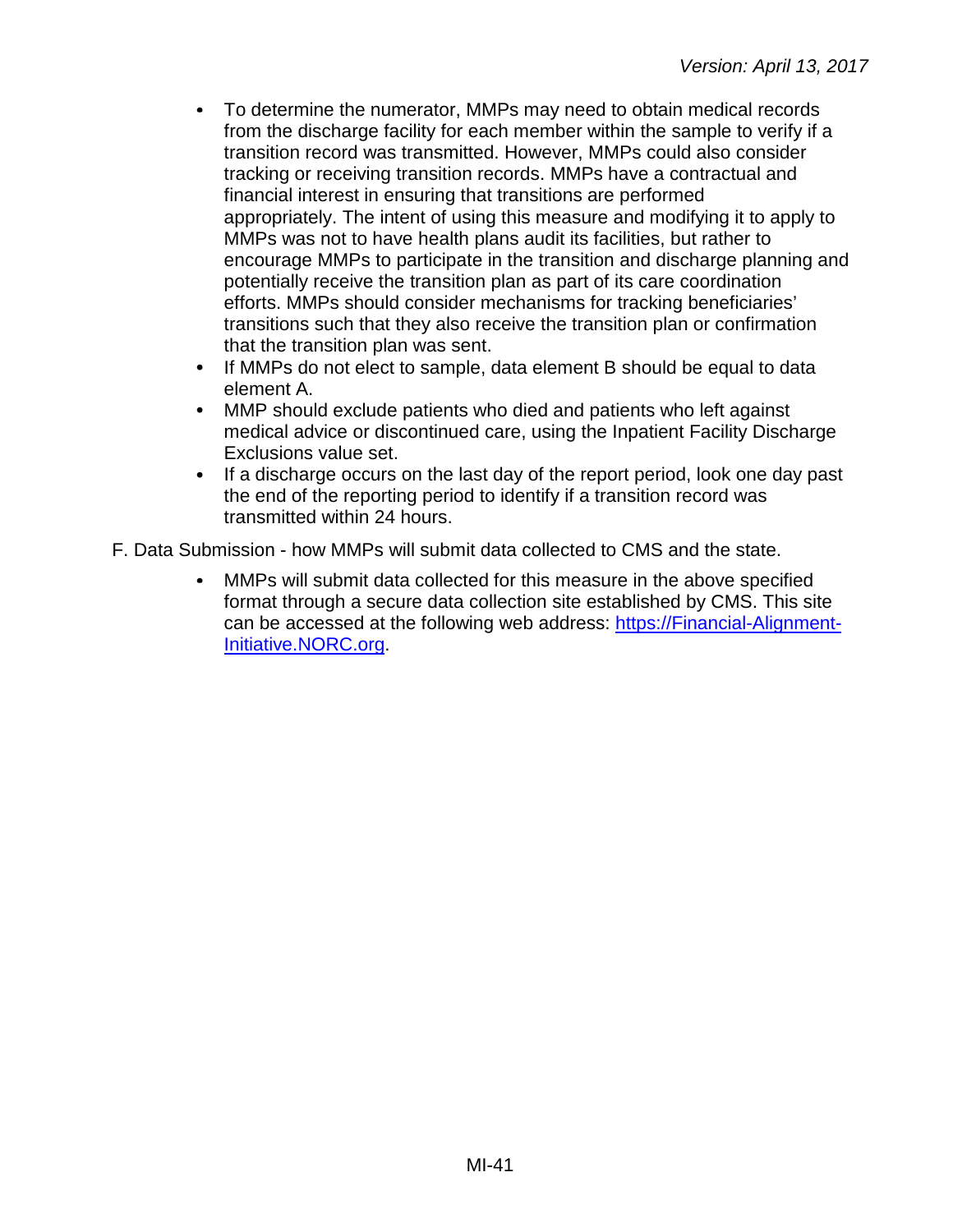- $\bullet$ To determine the numerator, MMPs may need to obtain medical records from the discharge facility for each member within the sample to verify if a transition record was transmitted. However, MMPs could also consider tracking or receiving transition records. MMPs have a contractual and financial interest in ensuring that transitions are performed appropriately. The intent of using this measure and modifying it to apply to MMPs was not to have health plans audit its facilities, but rather to encourage MMPs to participate in the transition and discharge planning and potentially receive the transition plan as part of its care coordination efforts. MMPs should consider mechanisms for tracking beneficiaries' transitions such that they also receive the transition plan or confirmation that the transition plan was sent.
- $\bullet$ If MMPs do not elect to sample, data element B should be equal to data element A.
- $\bullet$ MMP should exclude patients who died and patients who left against medical advice or discontinued care, using the Inpatient Facility Discharge Exclusions value set.
- If a discharge occurs on the last day of the report period, look one day past the end of the reporting period to identify if a transition record was transmitted within 24 hours.

F. Data Submission - how MMPs will submit data collected to CMS and the state.

MMPs will submit data collected for this measure in the above specified format through a secure data collection site established by CMS. This site can be accessed at the following web address: [https://Financial-Alignment-](https://financial-alignment-initiative.norc.org/)[Initiative.NORC.org.](https://financial-alignment-initiative.norc.org/)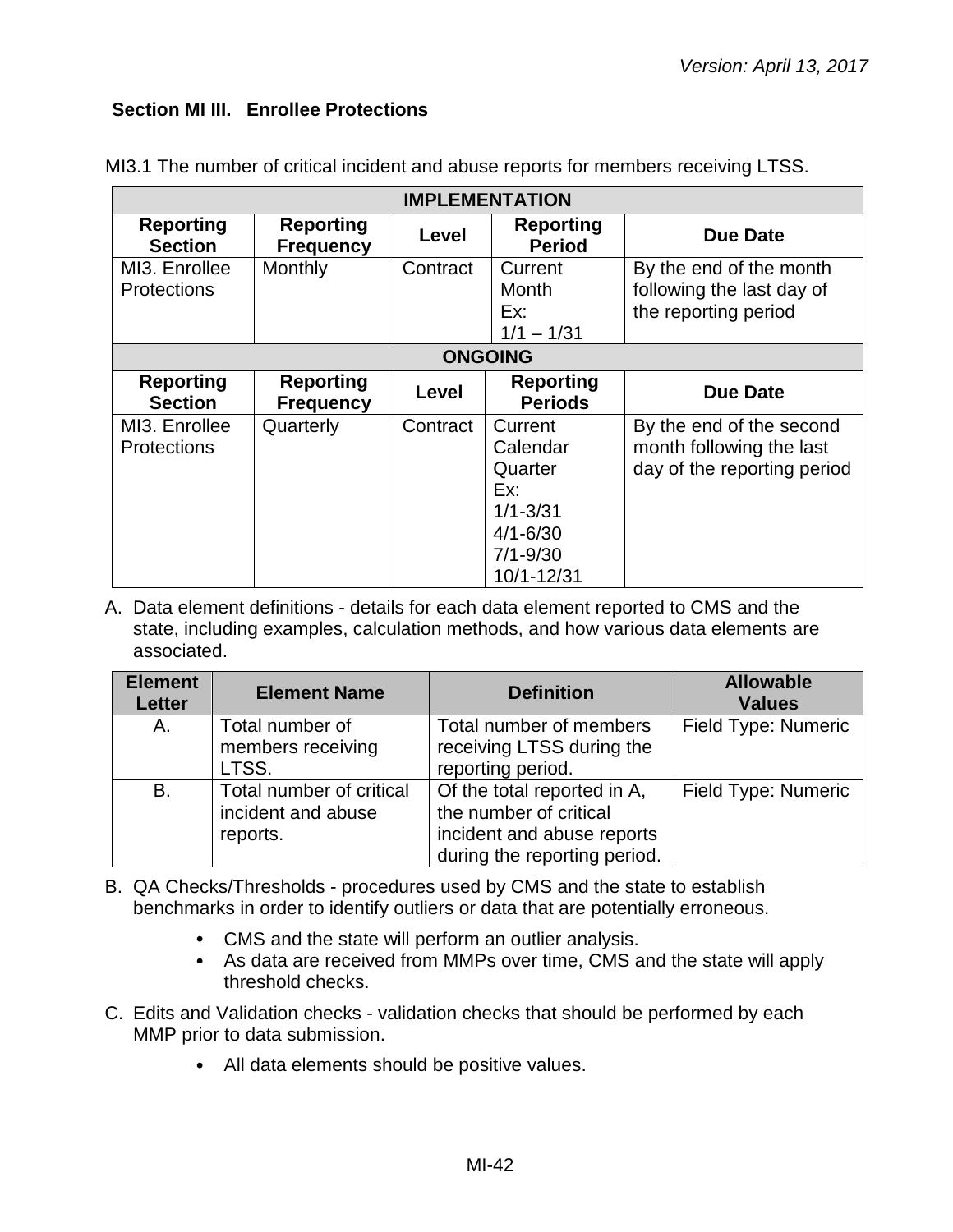#### **Section MI III. Enrollee Protections**

|                                     | <b>IMPLEMENTATION</b>                |          |                                                                                                         |                                                                                     |  |  |
|-------------------------------------|--------------------------------------|----------|---------------------------------------------------------------------------------------------------------|-------------------------------------------------------------------------------------|--|--|
| <b>Reporting</b><br><b>Section</b>  | <b>Reporting</b><br><b>Frequency</b> | Level    | <b>Reporting</b><br><b>Period</b>                                                                       | <b>Due Date</b>                                                                     |  |  |
| MI3. Enrollee<br><b>Protections</b> | Monthly                              | Contract | Current<br><b>Month</b><br>Ex:<br>$1/1 - 1/31$                                                          | By the end of the month<br>following the last day of<br>the reporting period        |  |  |
|                                     |                                      |          | <b>ONGOING</b>                                                                                          |                                                                                     |  |  |
| <b>Reporting</b><br><b>Section</b>  | <b>Reporting</b><br><b>Frequency</b> | Level    | <b>Reporting</b><br><b>Periods</b>                                                                      | <b>Due Date</b>                                                                     |  |  |
| MI3. Enrollee<br><b>Protections</b> | Quarterly                            | Contract | Current<br>Calendar<br>Quarter<br>Ex:<br>$1/1 - 3/31$<br>$4/1 - 6/30$<br>$7/1 - 9/30$<br>$10/1 - 12/31$ | By the end of the second<br>month following the last<br>day of the reporting period |  |  |

MI3.1 The number of critical incident and abuse reports for members receiving LTSS.

| <b>Element</b><br><b>Letter</b> | <b>Element Name</b>                                        | <b>Definition</b>                                                                                                   | <b>Allowable</b><br><b>Values</b> |
|---------------------------------|------------------------------------------------------------|---------------------------------------------------------------------------------------------------------------------|-----------------------------------|
| A.                              | Total number of<br>members receiving<br>LTSS.              | Total number of members<br>receiving LTSS during the<br>reporting period.                                           | Field Type: Numeric               |
| <b>B.</b>                       | Total number of critical<br>incident and abuse<br>reports. | Of the total reported in A,<br>the number of critical<br>incident and abuse reports<br>during the reporting period. | Field Type: Numeric               |

- B. QA Checks/Thresholds procedures used by CMS and the state to establish benchmarks in order to identify outliers or data that are potentially erroneous.
	- CMS and the state will perform an outlier analysis.
	- As data are received from MMPs over time, CMS and the state will apply threshold checks.
- C. Edits and Validation checks validation checks that should be performed by each MMP prior to data submission.
	- All data elements should be positive values.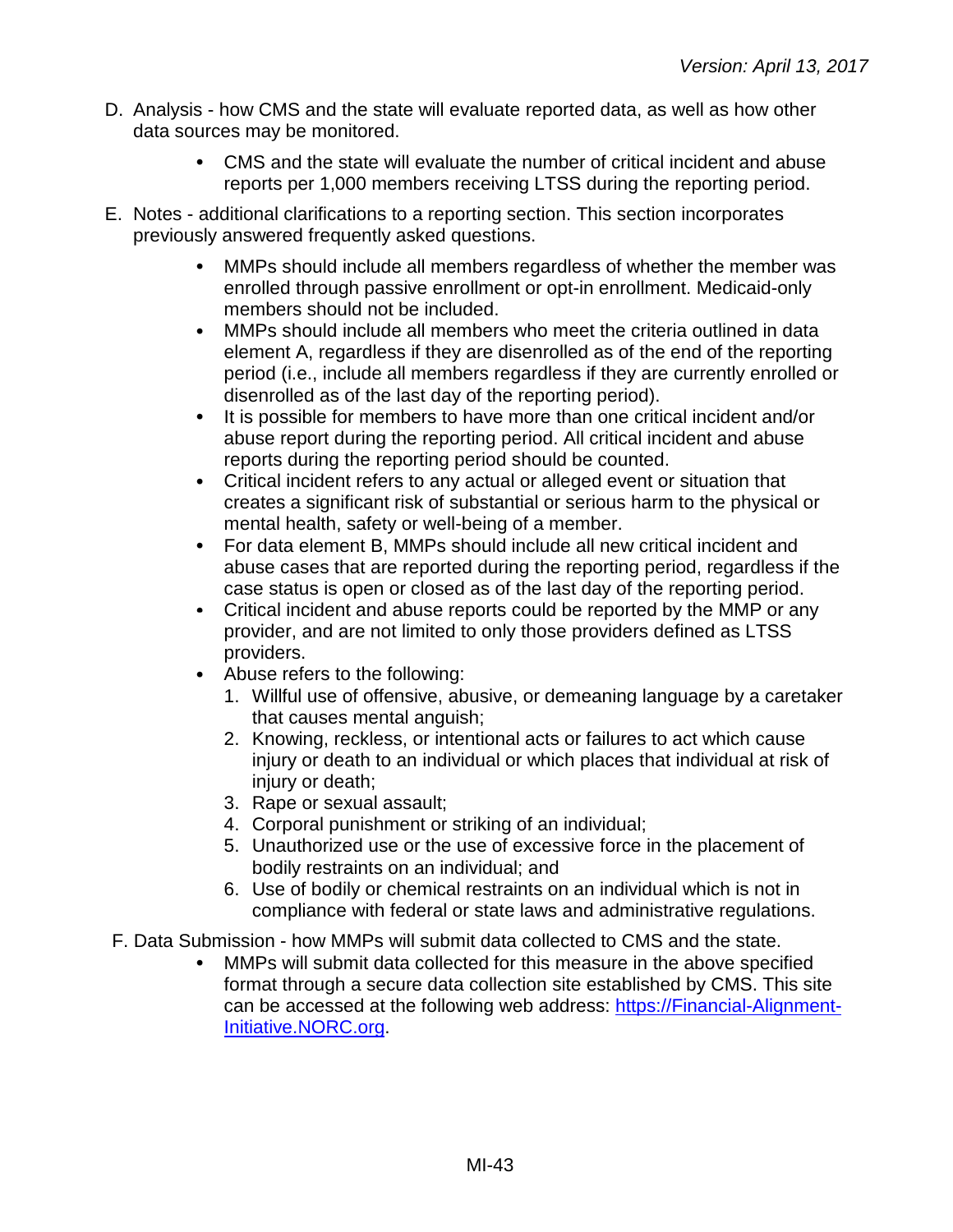- D. Analysis how CMS and the state will evaluate reported data, as well as how other data sources may be monitored.
	- CMS and the state will evaluate the number of critical incident and abuse reports per 1,000 members receiving LTSS during the reporting period.
- E. Notes additional clarifications to a reporting section. This section incorporates previously answered frequently asked questions.
	- MMPs should include all members regardless of whether the member was  $\bullet$ enrolled through passive enrollment or opt-in enrollment. Medicaid-only members should not be included.
	- $\bullet$ MMPs should include all members who meet the criteria outlined in data element A, regardless if they are disenrolled as of the end of the reporting period (i.e., include all members regardless if they are currently enrolled or disenrolled as of the last day of the reporting period).
	- It is possible for members to have more than one critical incident and/or  $\bullet$ abuse report during the reporting period. All critical incident and abuse reports during the reporting period should be counted.
	- $\bullet$ Critical incident refers to any actual or alleged event or situation that creates a significant risk of substantial or serious harm to the physical or mental health, safety or well-being of a member.
	- For data element B, MMPs should include all new critical incident and  $\bullet$ abuse cases that are reported during the reporting period, regardless if the case status is open or closed as of the last day of the reporting period.
	- Critical incident and abuse reports could be reported by the MMP or any  $\bullet$ provider, and are not limited to only those providers defined as LTSS providers.
	- Abuse refers to the following:  $\bullet$ 
		- 1. Willful use of offensive, abusive, or demeaning language by a caretaker that causes mental anguish;
		- 2. Knowing, reckless, or intentional acts or failures to act which cause injury or death to an individual or which places that individual at risk of injury or death;
		- 3. Rape or sexual assault;
		- 4. Corporal punishment or striking of an individual;
		- 5. Unauthorized use or the use of excessive force in the placement of bodily restraints on an individual; and
		- 6. Use of bodily or chemical restraints on an individual which is not in compliance with federal or state laws and administrative regulations.
- F. Data Submission how MMPs will submit data collected to CMS and the state.
	- MMPs will submit data collected for this measure in the above specified format through a secure data collection site established by CMS. This site can be accessed at the following web address: [https://Financial-Alignment-](https://financial-alignment-initiative.norc.org/)[Initiative.NORC.org.](https://financial-alignment-initiative.norc.org/)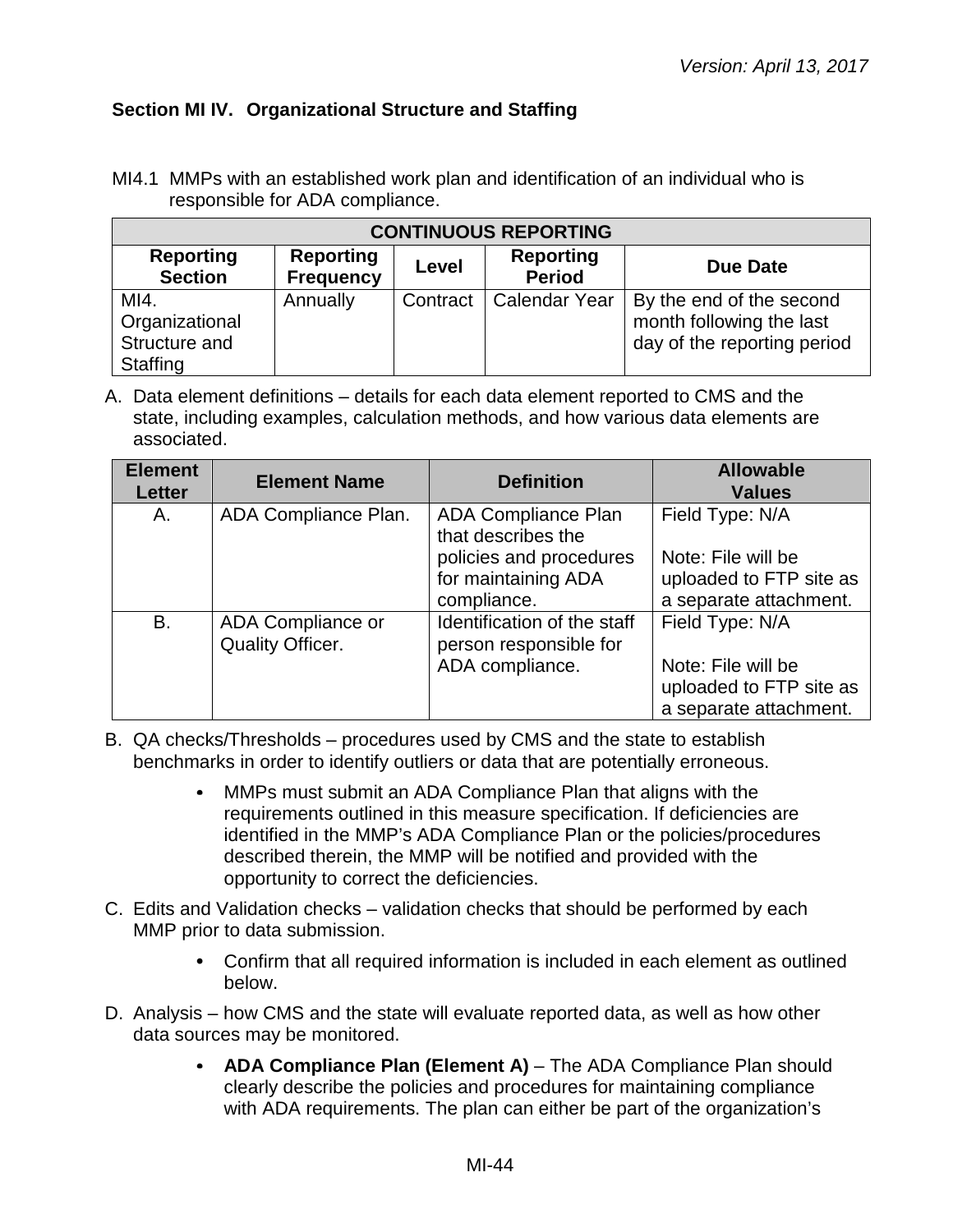### **Section MI IV. Organizational Structure and Staffing**

MI4.1 MMPs with an established work plan and identification of an individual who is responsible for ADA compliance.

| <b>CONTINUOUS REPORTING</b>                                                                                                                 |          |          |                      |                                                                                     |  |  |
|---------------------------------------------------------------------------------------------------------------------------------------------|----------|----------|----------------------|-------------------------------------------------------------------------------------|--|--|
| <b>Reporting</b><br><b>Reporting</b><br><b>Reporting</b><br><b>Due Date</b><br>Level<br><b>Period</b><br><b>Section</b><br><b>Frequency</b> |          |          |                      |                                                                                     |  |  |
| MI4.<br>Organizational<br>Structure and<br>Staffing                                                                                         | Annually | Contract | <b>Calendar Year</b> | By the end of the second<br>month following the last<br>day of the reporting period |  |  |

| <b>Element</b><br><b>Letter</b> | <b>Element Name</b>                          | <b>Definition</b>                                     | <b>Allowable</b><br><b>Values</b> |
|---------------------------------|----------------------------------------------|-------------------------------------------------------|-----------------------------------|
| А.                              | ADA Compliance Plan.                         | <b>ADA Compliance Plan</b><br>that describes the      | Field Type: N/A                   |
|                                 |                                              | policies and procedures                               | Note: File will be                |
|                                 |                                              | for maintaining ADA                                   | uploaded to FTP site as           |
|                                 |                                              | compliance.                                           | a separate attachment.            |
| B.                              | ADA Compliance or<br><b>Quality Officer.</b> | Identification of the staff<br>person responsible for | Field Type: N/A                   |
|                                 |                                              | ADA compliance.                                       | Note: File will be                |
|                                 |                                              |                                                       |                                   |
|                                 |                                              |                                                       | uploaded to FTP site as           |
|                                 |                                              |                                                       | a separate attachment.            |

- B. QA checks/Thresholds procedures used by CMS and the state to establish benchmarks in order to identify outliers or data that are potentially erroneous.
	- MMPs must submit an ADA Compliance Plan that aligns with the  $\bullet$ requirements outlined in this measure specification. If deficiencies are identified in the MMP's ADA Compliance Plan or the policies/procedures described therein, the MMP will be notified and provided with the opportunity to correct the deficiencies.
- C. Edits and Validation checks validation checks that should be performed by each MMP prior to data submission.
	- Confirm that all required information is included in each element as outlined below.
- D. Analysis how CMS and the state will evaluate reported data, as well as how other data sources may be monitored.
	- **ADA Compliance Plan (Element A)** The ADA Compliance Plan should clearly describe the policies and procedures for maintaining compliance with ADA requirements. The plan can either be part of the organization's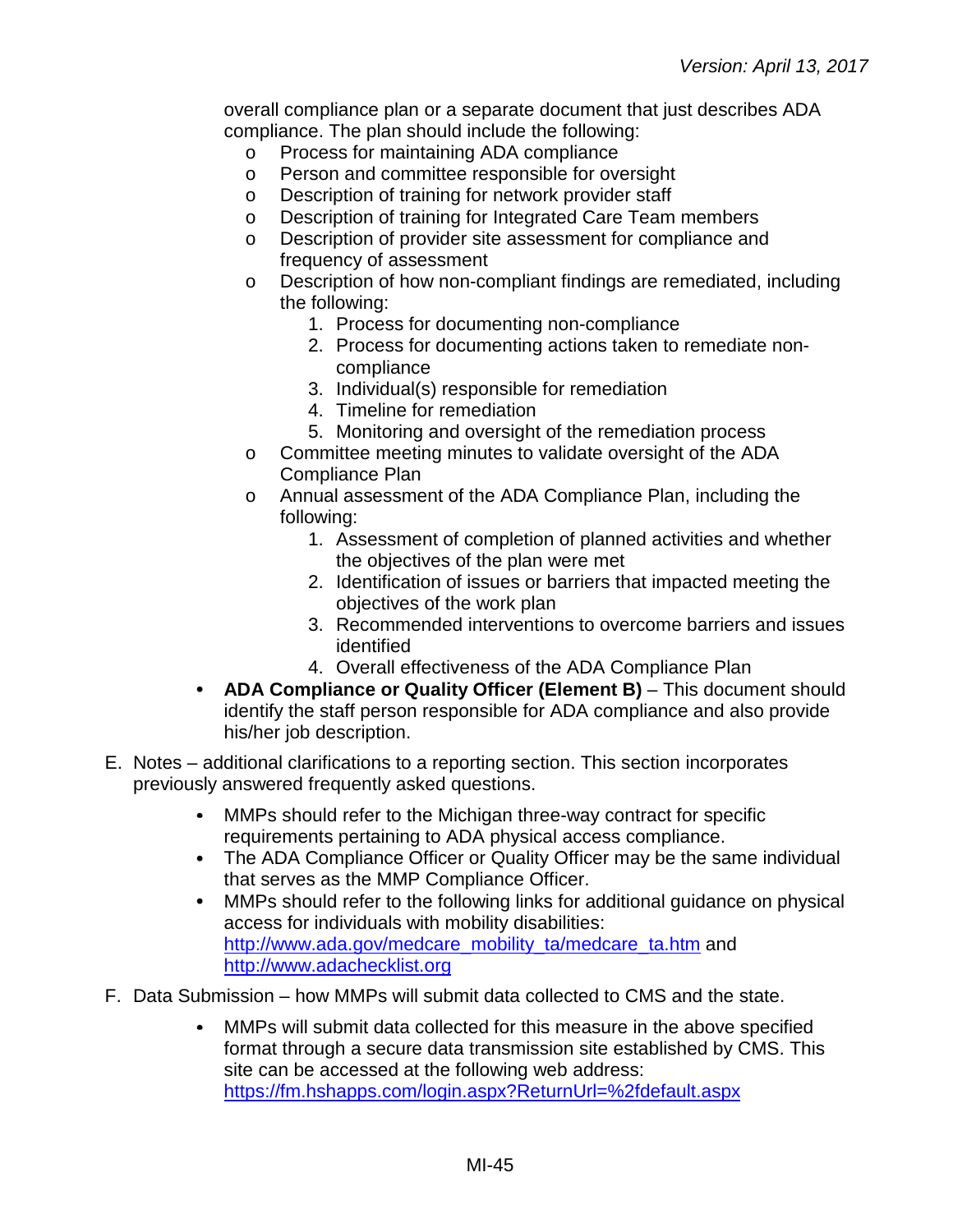overall compliance plan or a separate document that just describes ADA compliance. The plan should include the following:

- o Process for maintaining ADA compliance
- o Person and committee responsible for oversight<br>
o Description of training for network provider staff
- Description of training for network provider staff
- o Description of training for Integrated Care Team members
- o Description of provider site assessment for compliance and frequency of assessment
- o Description of how non-compliant findings are remediated, including the following:
	- 1. Process for documenting non-compliance
	- 2. Process for documenting actions taken to remediate noncompliance
	- 3. Individual(s) responsible for remediation
	- 4. Timeline for remediation
	- 5. Monitoring and oversight of the remediation process
- o Committee meeting minutes to validate oversight of the ADA Compliance Plan
- o Annual assessment of the ADA Compliance Plan, including the following:
	- 1. Assessment of completion of planned activities and whether the objectives of the plan were met
	- 2. Identification of issues or barriers that impacted meeting the objectives of the work plan
	- 3. Recommended interventions to overcome barriers and issues identified
	- 4. Overall effectiveness of the ADA Compliance Plan
- **ADA Compliance or Quality Officer (Element B)** This document should identify the staff person responsible for ADA compliance and also provide his/her job description.
- E. Notes additional clarifications to a reporting section. This section incorporates previously answered frequently asked questions.
	- MMPs should refer to the Michigan three-way contract for specific  $\bullet$ requirements pertaining to ADA physical access compliance.
	- The ADA Compliance Officer or Quality Officer may be the same individual that serves as the MMP Compliance Officer.
	- $\bullet$ MMPs should refer to the following links for additional guidance on physical access for individuals with mobility disabilities: [http://www.ada.gov/medcare\\_mobility\\_ta/medcare\\_ta.htm](http://www.ada.gov/medcare_mobility_ta/medcare_ta.htm) and [http://www.adachecklist.org](http://www.adachecklist.org/)
- F. Data Submission how MMPs will submit data collected to CMS and the state.
	- $\bullet$ MMPs will submit data collected for this measure in the above specified format through a secure data transmission site established by CMS. This site can be accessed at the following web address: <https://fm.hshapps.com/login.aspx?ReturnUrl=%2fdefault.aspx>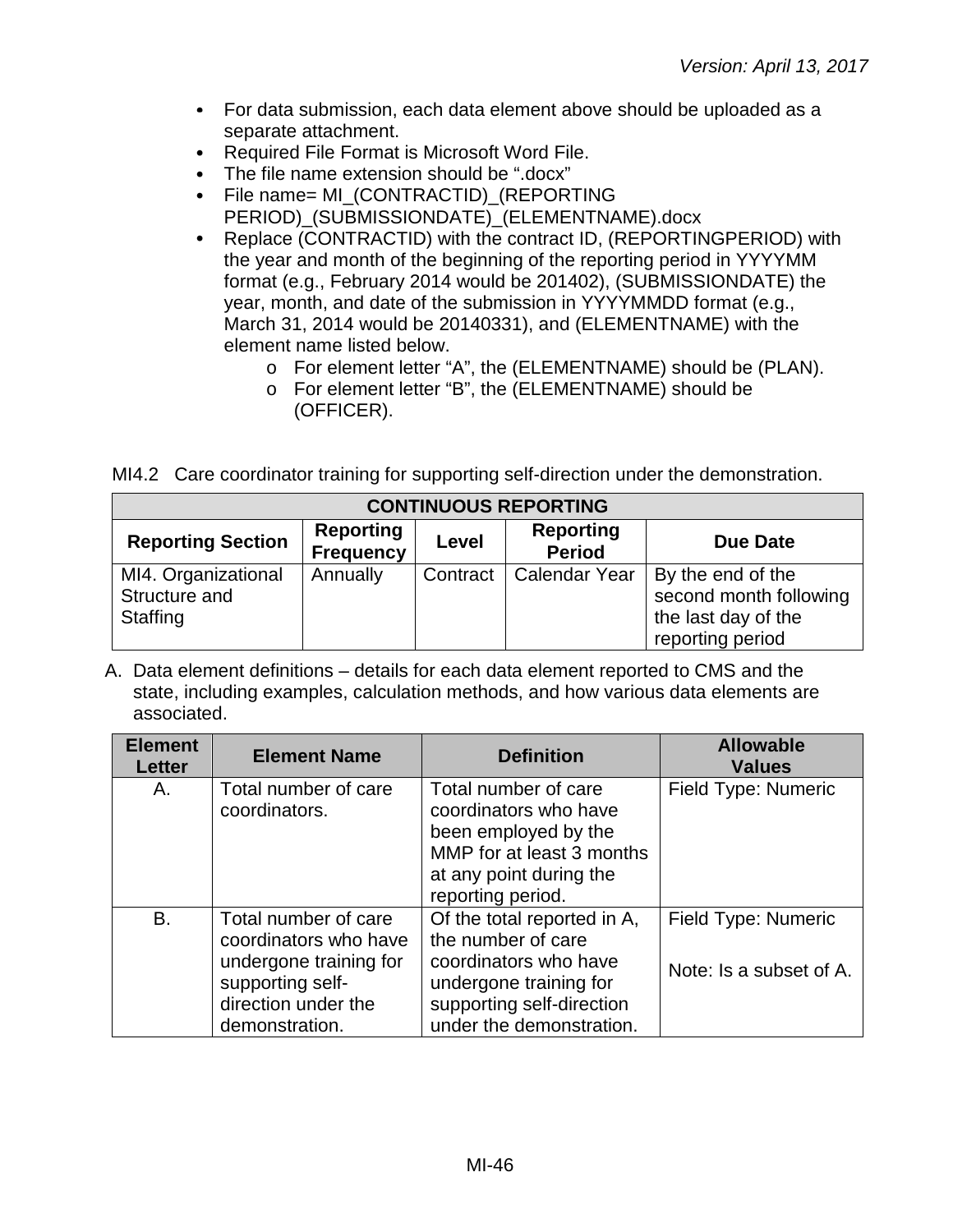- $\bullet$ For data submission, each data element above should be uploaded as a separate attachment.
- $\bullet$ Required File Format is Microsoft Word File.
- The file name extension should be ".docx"
- File name= MI\_(CONTRACTID)\_(REPORTING PERIOD)\_(SUBMISSIONDATE)\_(ELEMENTNAME).docx
- Replace (CONTRACTID) with the contract ID, (REPORTINGPERIOD) with the year and month of the beginning of the reporting period in YYYYMM format (e.g., February 2014 would be 201402), (SUBMISSIONDATE) the year, month, and date of the submission in YYYYMMDD format (e.g., March 31, 2014 would be 20140331), and (ELEMENTNAME) with the element name listed below.
	- o For element letter "A", the (ELEMENTNAME) should be (PLAN).
	- o For element letter "B", the (ELEMENTNAME) should be (OFFICER).

MI4.2 Care coordinator training for supporting self-direction under the demonstration.

| <b>CONTINUOUS REPORTING</b>                      |                 |          |                      |                                                                                        |  |  |
|--------------------------------------------------|-----------------|----------|----------------------|----------------------------------------------------------------------------------------|--|--|
| <b>Reporting Section</b>                         | <b>Due Date</b> |          |                      |                                                                                        |  |  |
| MI4. Organizational<br>Structure and<br>Staffing | Annually        | Contract | <b>Calendar Year</b> | By the end of the<br>second month following<br>the last day of the<br>reporting period |  |  |

| <b>Element</b><br><b>Letter</b> | <b>Element Name</b>                                                                                                                  | <b>Definition</b>                                                                                                                                             | <b>Allowable</b><br><b>Values</b>              |
|---------------------------------|--------------------------------------------------------------------------------------------------------------------------------------|---------------------------------------------------------------------------------------------------------------------------------------------------------------|------------------------------------------------|
| Α.                              | Total number of care<br>coordinators.                                                                                                | Total number of care<br>coordinators who have<br>been employed by the<br>MMP for at least 3 months<br>at any point during the<br>reporting period.            | Field Type: Numeric                            |
| B.                              | Total number of care<br>coordinators who have<br>undergone training for<br>supporting self-<br>direction under the<br>demonstration. | Of the total reported in A,<br>the number of care<br>coordinators who have<br>undergone training for<br>supporting self-direction<br>under the demonstration. | Field Type: Numeric<br>Note: Is a subset of A. |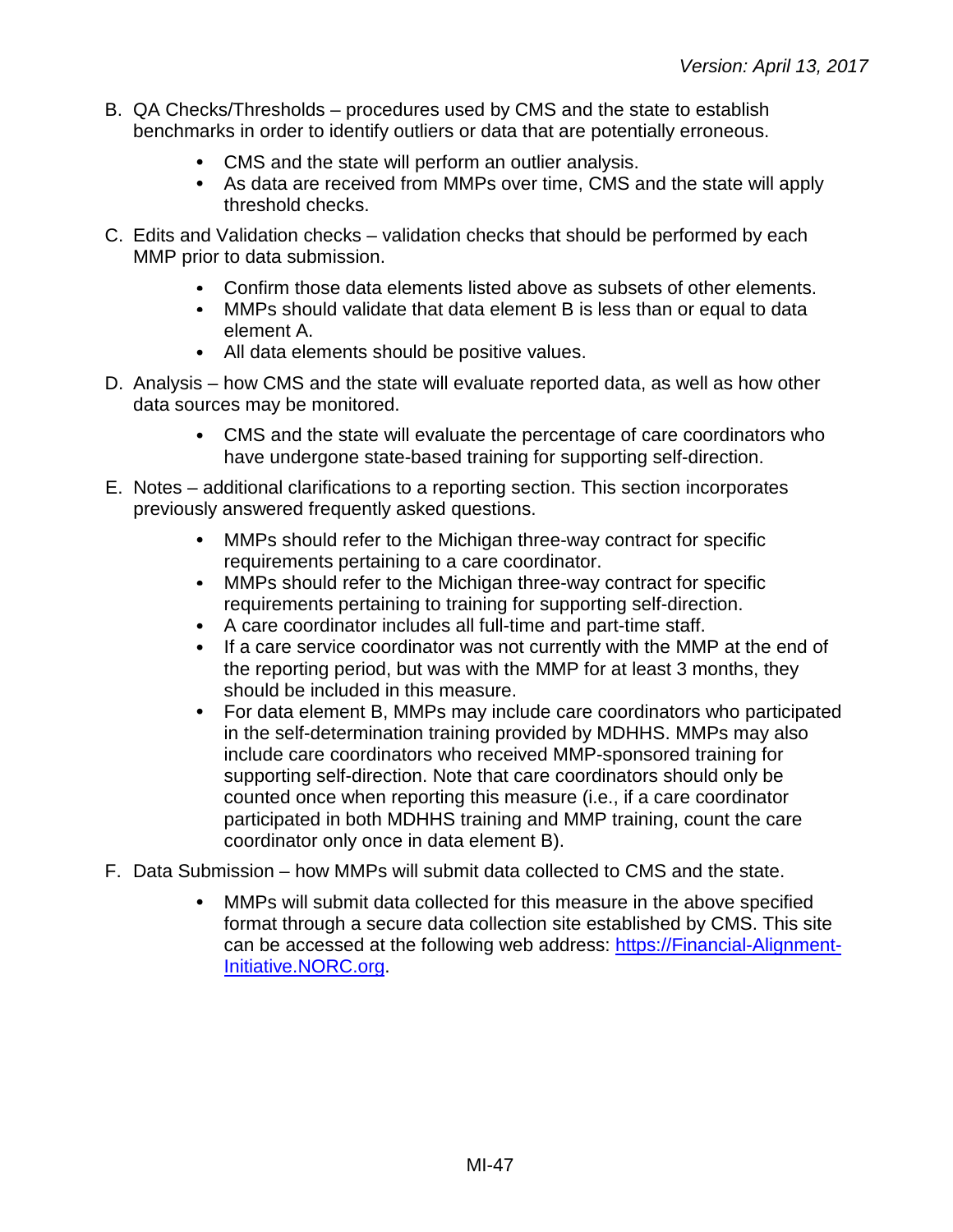- B. QA Checks/Thresholds procedures used by CMS and the state to establish benchmarks in order to identify outliers or data that are potentially erroneous.
	- CMS and the state will perform an outlier analysis.
	- As data are received from MMPs over time, CMS and the state will apply threshold checks.
- C. Edits and Validation checks validation checks that should be performed by each MMP prior to data submission.
	- Confirm those data elements listed above as subsets of other elements.
	- MMPs should validate that data element B is less than or equal to data element A.
	- All data elements should be positive values.
- D. Analysis how CMS and the state will evaluate reported data, as well as how other data sources may be monitored.
	- CMS and the state will evaluate the percentage of care coordinators who have undergone state-based training for supporting self-direction.
- E. Notes additional clarifications to a reporting section. This section incorporates previously answered frequently asked questions.
	- MMPs should refer to the Michigan three-way contract for specific  $\bullet$ requirements pertaining to a care coordinator.
	- MMPs should refer to the Michigan three-way contract for specific requirements pertaining to training for supporting self-direction.
	- A care coordinator includes all full-time and part-time staff.
	- If a care service coordinator was not currently with the MMP at the end of the reporting period, but was with the MMP for at least 3 months, they should be included in this measure.
	- $\bullet$ For data element B, MMPs may include care coordinators who participated in the self-determination training provided by MDHHS. MMPs may also include care coordinators who received MMP-sponsored training for supporting self-direction. Note that care coordinators should only be counted once when reporting this measure (i.e., if a care coordinator participated in both MDHHS training and MMP training, count the care coordinator only once in data element B).
- F. Data Submission how MMPs will submit data collected to CMS and the state.
	- MMPs will submit data collected for this measure in the above specified format through a secure data collection site established by CMS. This site can be accessed at the following web address: [https://Financial-Alignment-](https://financial-alignment-initiative.norc.org/)[Initiative.NORC.org.](https://financial-alignment-initiative.norc.org/)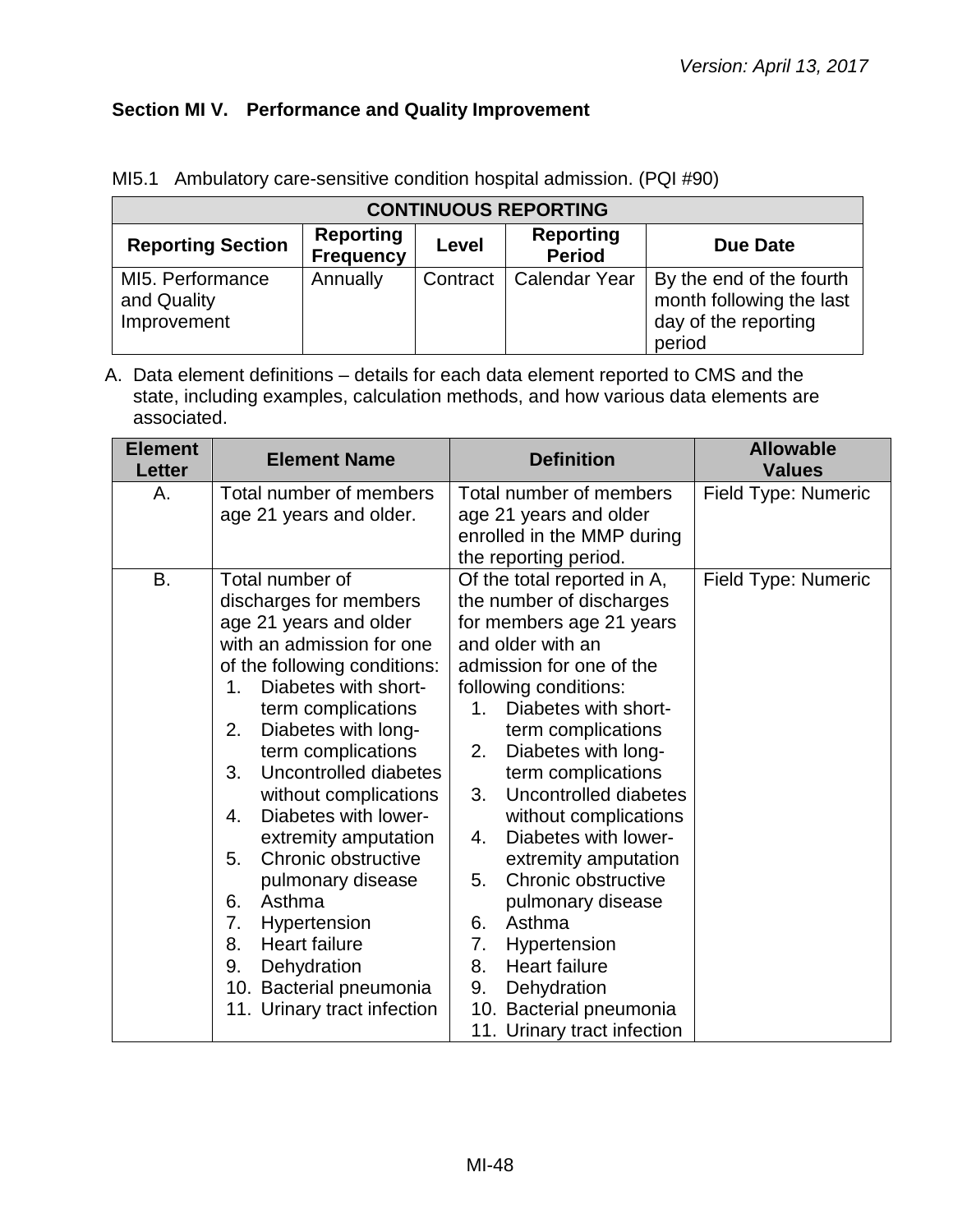## **Section MI V. Performance and Quality Improvement**

| <b>CONTINUOUS REPORTING</b>                                                                                                       |          |          |                      |                                                                                        |  |  |
|-----------------------------------------------------------------------------------------------------------------------------------|----------|----------|----------------------|----------------------------------------------------------------------------------------|--|--|
| <b>Reporting</b><br><b>Reporting</b><br><b>Reporting Section</b><br><b>Due Date</b><br>Level<br><b>Period</b><br><b>Frequency</b> |          |          |                      |                                                                                        |  |  |
| MI5. Performance<br>and Quality<br>Improvement                                                                                    | Annually | Contract | <b>Calendar Year</b> | By the end of the fourth<br>month following the last<br>day of the reporting<br>period |  |  |

MI5.1 Ambulatory care-sensitive condition hospital admission. (PQI #90)

| <b>Element</b><br><b>Letter</b> | <b>Element Name</b>                                | <b>Definition</b>                                 | <b>Allowable</b><br><b>Values</b> |
|---------------------------------|----------------------------------------------------|---------------------------------------------------|-----------------------------------|
| Α.                              | Total number of members<br>age 21 years and older. | Total number of members<br>age 21 years and older | Field Type: Numeric               |
|                                 |                                                    | enrolled in the MMP during                        |                                   |
|                                 |                                                    | the reporting period.                             |                                   |
| B.                              | Total number of                                    | Of the total reported in A,                       | Field Type: Numeric               |
|                                 | discharges for members                             | the number of discharges                          |                                   |
|                                 | age 21 years and older                             | for members age 21 years                          |                                   |
|                                 | with an admission for one                          | and older with an                                 |                                   |
|                                 | of the following conditions:                       | admission for one of the                          |                                   |
|                                 | Diabetes with short-<br>1.                         | following conditions:                             |                                   |
|                                 | term complications<br>2.<br>Diabetes with long-    | Diabetes with short-<br>1.<br>term complications  |                                   |
|                                 | term complications                                 | Diabetes with long-<br>2.                         |                                   |
|                                 | Uncontrolled diabetes<br>3.                        | term complications                                |                                   |
|                                 | without complications                              | Uncontrolled diabetes<br>3.                       |                                   |
|                                 | Diabetes with lower-<br>4.                         | without complications                             |                                   |
|                                 | extremity amputation                               | Diabetes with lower-<br>4.                        |                                   |
|                                 | Chronic obstructive<br>5.                          | extremity amputation                              |                                   |
|                                 | pulmonary disease                                  | Chronic obstructive<br>5.                         |                                   |
|                                 | Asthma<br>6.                                       | pulmonary disease                                 |                                   |
|                                 | 7.<br>Hypertension                                 | Asthma<br>6.                                      |                                   |
|                                 | 8.<br><b>Heart failure</b>                         | 7.<br>Hypertension                                |                                   |
|                                 | Dehydration<br>9.                                  | <b>Heart failure</b><br>8.                        |                                   |
|                                 | 10. Bacterial pneumonia                            | 9.<br>Dehydration                                 |                                   |
|                                 | 11. Urinary tract infection                        | 10. Bacterial pneumonia                           |                                   |
|                                 |                                                    | 11. Urinary tract infection                       |                                   |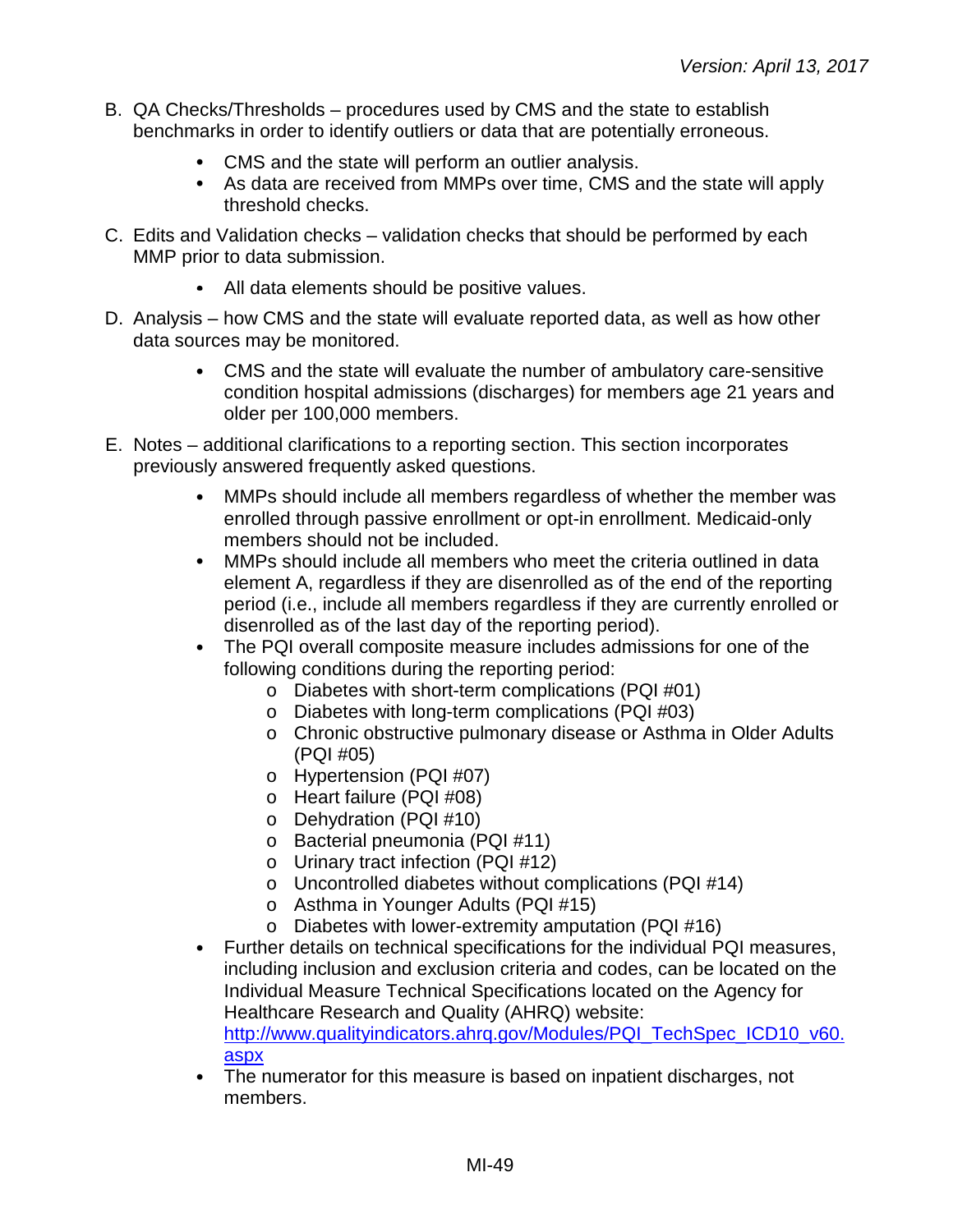- B. QA Checks/Thresholds procedures used by CMS and the state to establish benchmarks in order to identify outliers or data that are potentially erroneous.
	- CMS and the state will perform an outlier analysis.
	- As data are received from MMPs over time, CMS and the state will apply threshold checks.
- C. Edits and Validation checks validation checks that should be performed by each MMP prior to data submission.
	- All data elements should be positive values.
- D. Analysis how CMS and the state will evaluate reported data, as well as how other data sources may be monitored.
	- CMS and the state will evaluate the number of ambulatory care-sensitive condition hospital admissions (discharges) for members age 21 years and older per 100,000 members.
- E. Notes additional clarifications to a reporting section. This section incorporates previously answered frequently asked questions.
	- $\bullet$ MMPs should include all members regardless of whether the member was enrolled through passive enrollment or opt-in enrollment. Medicaid-only members should not be included.
	- MMPs should include all members who meet the criteria outlined in data  $\bullet$ element A, regardless if they are disenrolled as of the end of the reporting period (i.e., include all members regardless if they are currently enrolled or disenrolled as of the last day of the reporting period).
	- The PQI overall composite measure includes admissions for one of the following conditions during the reporting period:
		- o Diabetes with short-term complications (PQI #01)
		- o Diabetes with long-term complications (PQI #03)
		- o Chronic obstructive pulmonary disease or Asthma in Older Adults (PQI #05)
		- o Hypertension (PQI #07)
		- o Heart failure (PQI #08)
		- o Dehydration (PQI #10)
		- o Bacterial pneumonia (PQI #11)
		- o Urinary tract infection (PQI #12)
		- o Uncontrolled diabetes without complications (PQI #14)
		- o Asthma in Younger Adults (PQI #15)
		- o Diabetes with lower-extremity amputation (PQI #16)
	- Further details on technical specifications for the individual PQI measures, including inclusion and exclusion criteria and codes, can be located on the Individual Measure Technical Specifications located on the Agency for Healthcare Research and Quality (AHRQ) website: [http://www.qualityindicators.ahrq.gov/Modules/PQI\\_TechSpec\\_ICD10\\_v60.](http://www.qualityindicators.ahrq.gov/Modules/PQI_TechSpec_ICD10_v60.aspx)
		- [aspx](http://www.qualityindicators.ahrq.gov/Modules/PQI_TechSpec_ICD10_v60.aspx)
	- The numerator for this measure is based on inpatient discharges, not members.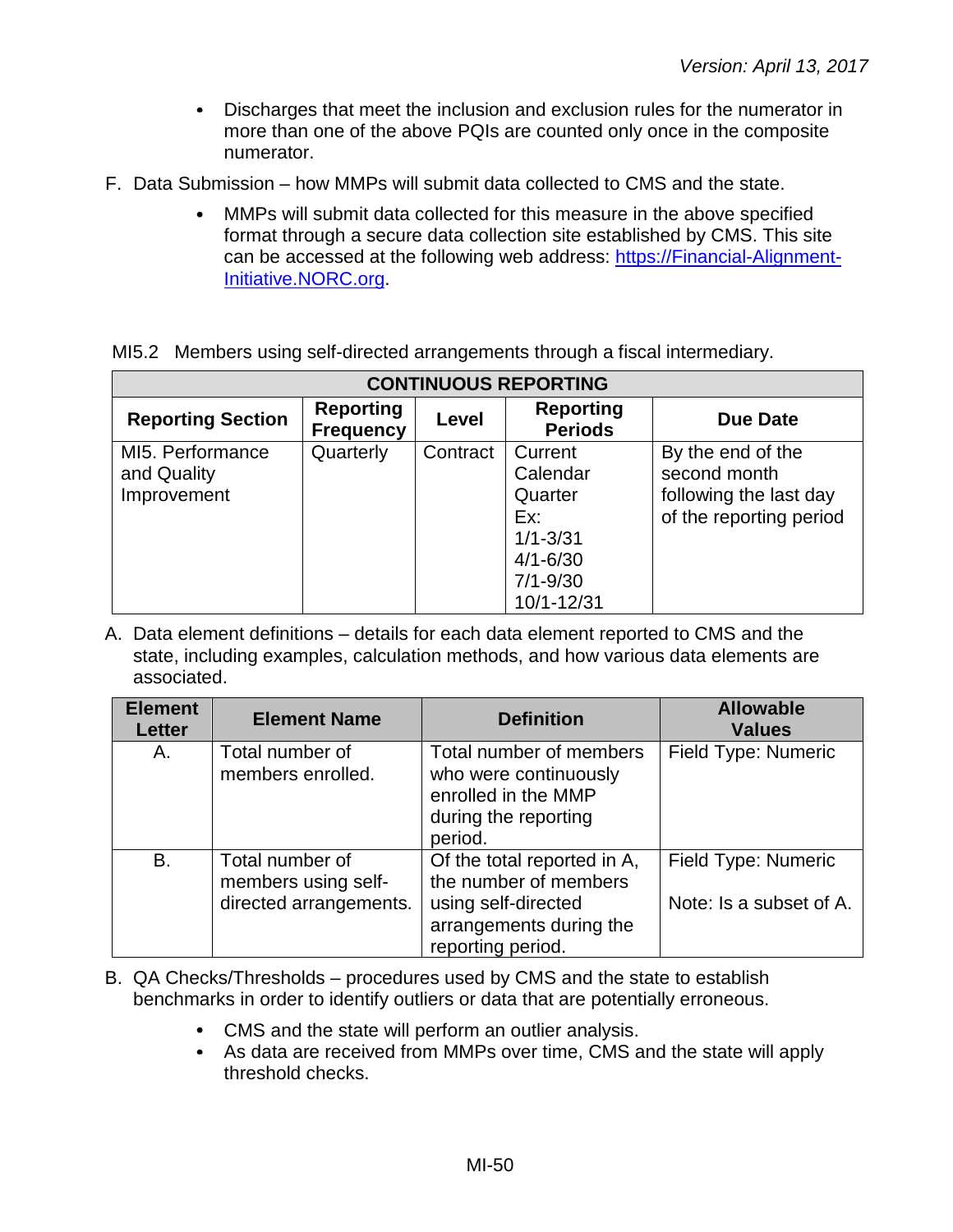- $\bullet$ Discharges that meet the inclusion and exclusion rules for the numerator in more than one of the above PQIs are counted only once in the composite numerator.
- F. Data Submission how MMPs will submit data collected to CMS and the state.
	- MMPs will submit data collected for this measure in the above specified  $\bullet$ format through a secure data collection site established by CMS. This site can be accessed at the following web address: [https://Financial-Alignment-](https://financial-alignment-initiative.norc.org/)[Initiative.NORC.org.](https://financial-alignment-initiative.norc.org/)

|  |  |  |  |  | MI5.2 Members using self-directed arrangements through a fiscal intermediary. |
|--|--|--|--|--|-------------------------------------------------------------------------------|
|--|--|--|--|--|-------------------------------------------------------------------------------|

| <b>CONTINUOUS REPORTING</b>                    |                                      |          |                                                                                                     |                                                                                        |  |  |
|------------------------------------------------|--------------------------------------|----------|-----------------------------------------------------------------------------------------------------|----------------------------------------------------------------------------------------|--|--|
| <b>Reporting Section</b>                       | <b>Reporting</b><br><b>Frequency</b> | Level    | <b>Reporting</b><br><b>Periods</b>                                                                  | Due Date                                                                               |  |  |
| MI5. Performance<br>and Quality<br>Improvement | Quarterly                            | Contract | Current<br>Calendar<br>Quarter<br>Ex:<br>$1/1 - 3/31$<br>$4/1 - 6/30$<br>$7/1 - 9/30$<br>10/1-12/31 | By the end of the<br>second month<br>following the last day<br>of the reporting period |  |  |

| <b>Element</b><br><b>Letter</b> | <b>Element Name</b>                                              | <b>Definition</b>                                                                                                           | <b>Allowable</b><br><b>Values</b>              |
|---------------------------------|------------------------------------------------------------------|-----------------------------------------------------------------------------------------------------------------------------|------------------------------------------------|
| А.                              | Total number of<br>members enrolled.                             | Total number of members<br>who were continuously<br>enrolled in the MMP<br>during the reporting<br>period.                  | Field Type: Numeric                            |
| <b>B.</b>                       | Total number of<br>members using self-<br>directed arrangements. | Of the total reported in A,<br>the number of members<br>using self-directed<br>arrangements during the<br>reporting period. | Field Type: Numeric<br>Note: Is a subset of A. |

- B. QA Checks/Thresholds procedures used by CMS and the state to establish benchmarks in order to identify outliers or data that are potentially erroneous.
	- CMS and the state will perform an outlier analysis.
	- As data are received from MMPs over time, CMS and the state will apply threshold checks.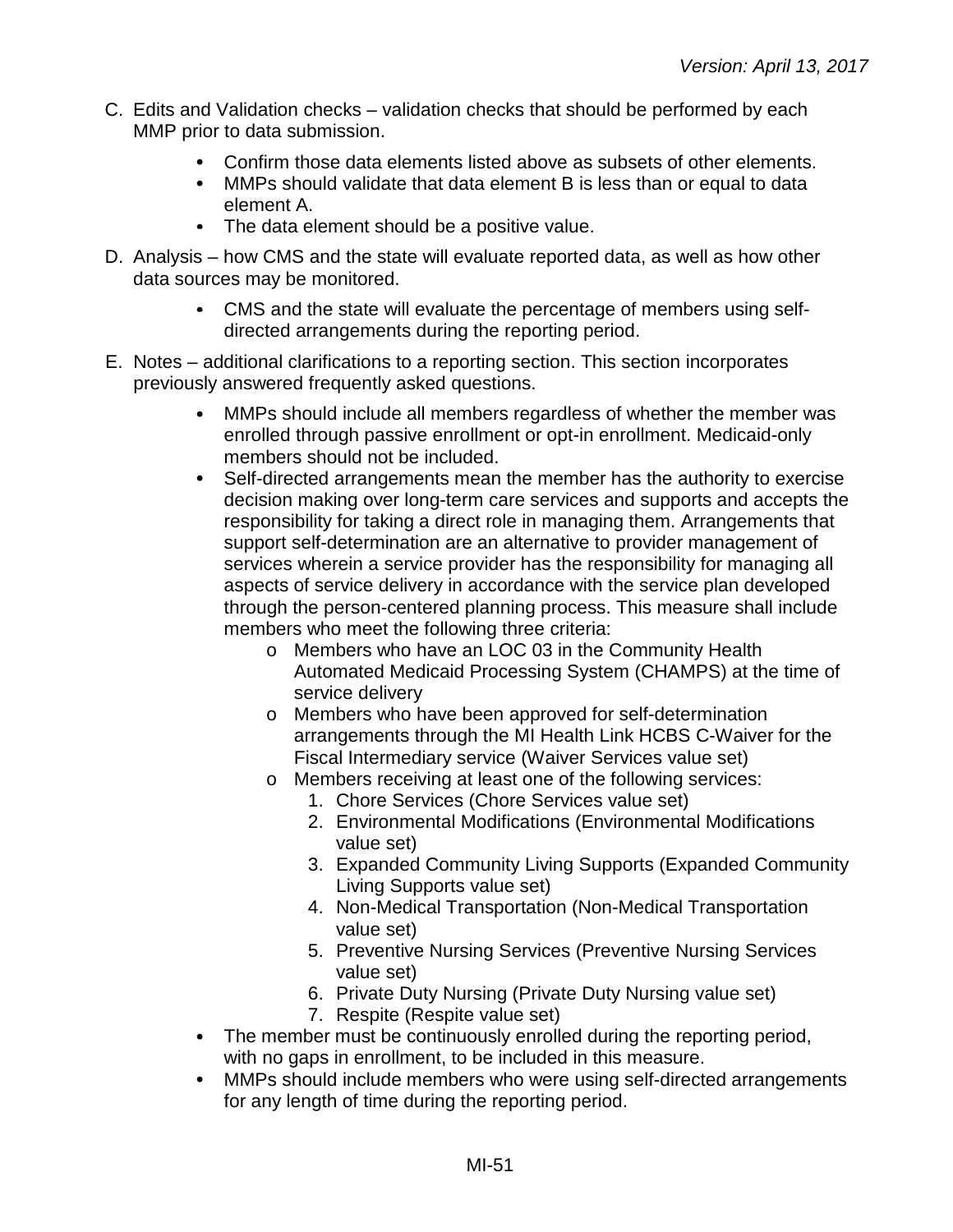- C. Edits and Validation checks validation checks that should be performed by each MMP prior to data submission.
	- Confirm those data elements listed above as subsets of other elements.
	- MMPs should validate that data element B is less than or equal to data element A.
	- The data element should be a positive value.
- D. Analysis how CMS and the state will evaluate reported data, as well as how other data sources may be monitored.
	- CMS and the state will evaluate the percentage of members using selfdirected arrangements during the reporting period.
- E. Notes additional clarifications to a reporting section. This section incorporates previously answered frequently asked questions.
	- MMPs should include all members regardless of whether the member was enrolled through passive enrollment or opt-in enrollment. Medicaid-only members should not be included.
	- Self-directed arrangements mean the member has the authority to exercise decision making over long-term care services and supports and accepts the responsibility for taking a direct role in managing them. Arrangements that support self-determination are an alternative to provider management of services wherein a service provider has the responsibility for managing all aspects of service delivery in accordance with the service plan developed through the person-centered planning process. This measure shall include members who meet the following three criteria:
		- o Members who have an LOC 03 in the Community Health Automated Medicaid Processing System (CHAMPS) at the time of service delivery
		- o Members who have been approved for self-determination arrangements through the MI Health Link HCBS C-Waiver for the Fiscal Intermediary service (Waiver Services value set)
		- o Members receiving at least one of the following services:
			- 1. Chore Services (Chore Services value set)
			- 2. Environmental Modifications (Environmental Modifications value set)
			- 3. Expanded Community Living Supports (Expanded Community Living Supports value set)
			- 4. Non-Medical Transportation (Non-Medical Transportation value set)
			- 5. Preventive Nursing Services (Preventive Nursing Services value set)
			- 6. Private Duty Nursing (Private Duty Nursing value set)
			- 7. Respite (Respite value set)
	- The member must be continuously enrolled during the reporting period, with no gaps in enrollment, to be included in this measure.
	- MMPs should include members who were using self-directed arrangements  $\bullet$ for any length of time during the reporting period.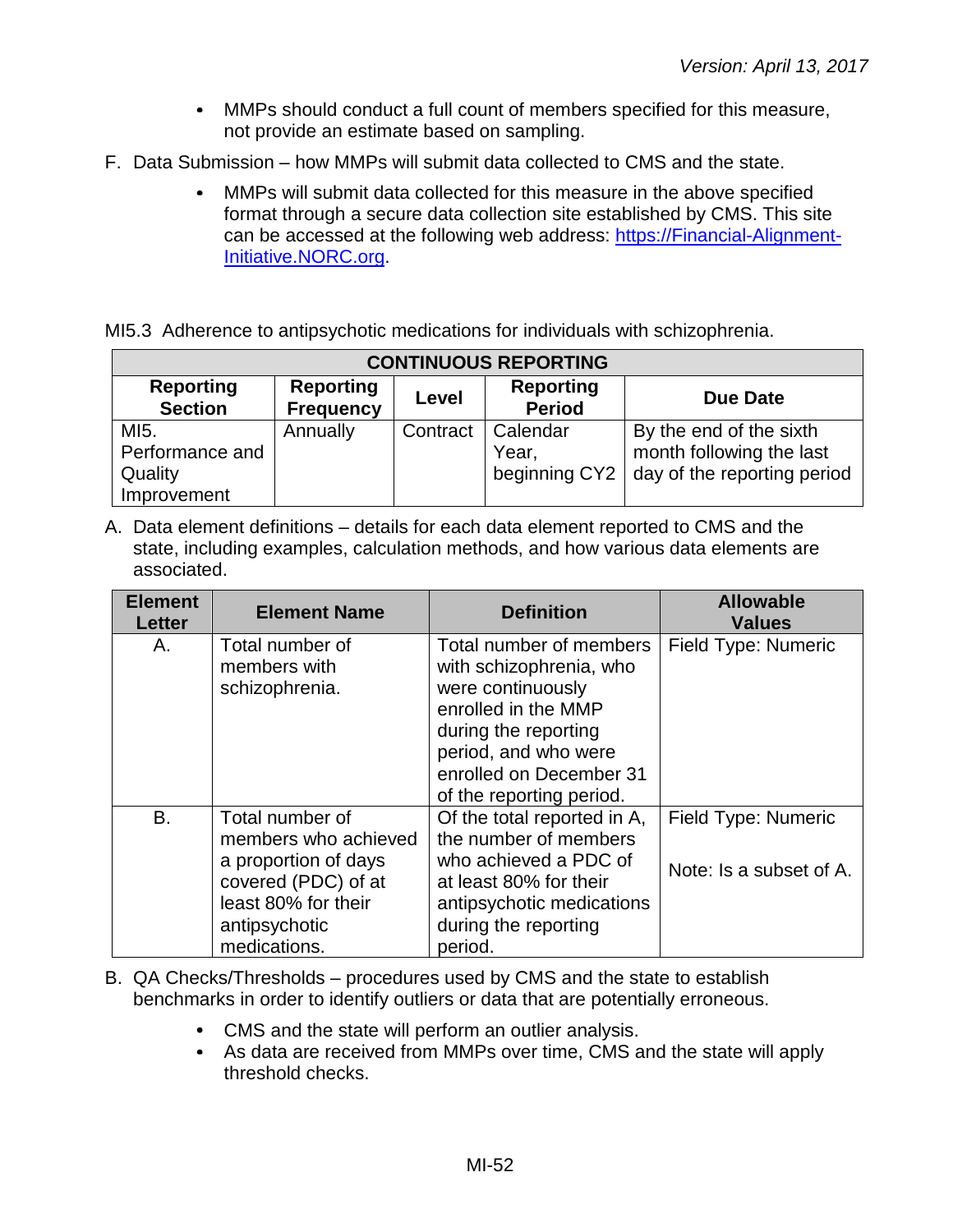- MMPs should conduct a full count of members specified for this measure, not provide an estimate based on sampling.
- F. Data Submission how MMPs will submit data collected to CMS and the state.
	- MMPs will submit data collected for this measure in the above specified  $\bullet$ format through a secure data collection site established by CMS. This site can be accessed at the following web address: [https://Financial-Alignment-](https://financial-alignment-initiative.norc.org/)[Initiative.NORC.org.](https://financial-alignment-initiative.norc.org/)

MI5.3 Adherence to antipsychotic medications for individuals with schizophrenia.

| <b>CONTINUOUS REPORTING</b>        |                                      |          |                                   |                             |
|------------------------------------|--------------------------------------|----------|-----------------------------------|-----------------------------|
| <b>Reporting</b><br><b>Section</b> | <b>Reporting</b><br><b>Frequency</b> | Level    | <b>Reporting</b><br><b>Period</b> | Due Date                    |
| MI5.                               | Annually                             | Contract | Calendar                          | By the end of the sixth     |
| Performance and                    |                                      |          | Year,                             | month following the last    |
| Quality                            |                                      |          | beginning CY2                     | day of the reporting period |
| Improvement                        |                                      |          |                                   |                             |

| <b>Element</b><br><b>Letter</b> | <b>Element Name</b>                                                                                                                            | <b>Definition</b>                                                                                                                                                                                     | <b>Allowable</b><br><b>Values</b>              |
|---------------------------------|------------------------------------------------------------------------------------------------------------------------------------------------|-------------------------------------------------------------------------------------------------------------------------------------------------------------------------------------------------------|------------------------------------------------|
| Α.                              | Total number of<br>members with<br>schizophrenia.                                                                                              | Total number of members<br>with schizophrenia, who<br>were continuously<br>enrolled in the MMP<br>during the reporting<br>period, and who were<br>enrolled on December 31<br>of the reporting period. | Field Type: Numeric                            |
| B.                              | Total number of<br>members who achieved<br>a proportion of days<br>covered (PDC) of at<br>least 80% for their<br>antipsychotic<br>medications. | Of the total reported in A,<br>the number of members<br>who achieved a PDC of<br>at least 80% for their<br>antipsychotic medications<br>during the reporting<br>period.                               | Field Type: Numeric<br>Note: Is a subset of A. |

- B. QA Checks/Thresholds procedures used by CMS and the state to establish benchmarks in order to identify outliers or data that are potentially erroneous.
	- CMS and the state will perform an outlier analysis.
	- As data are received from MMPs over time, CMS and the state will apply threshold checks.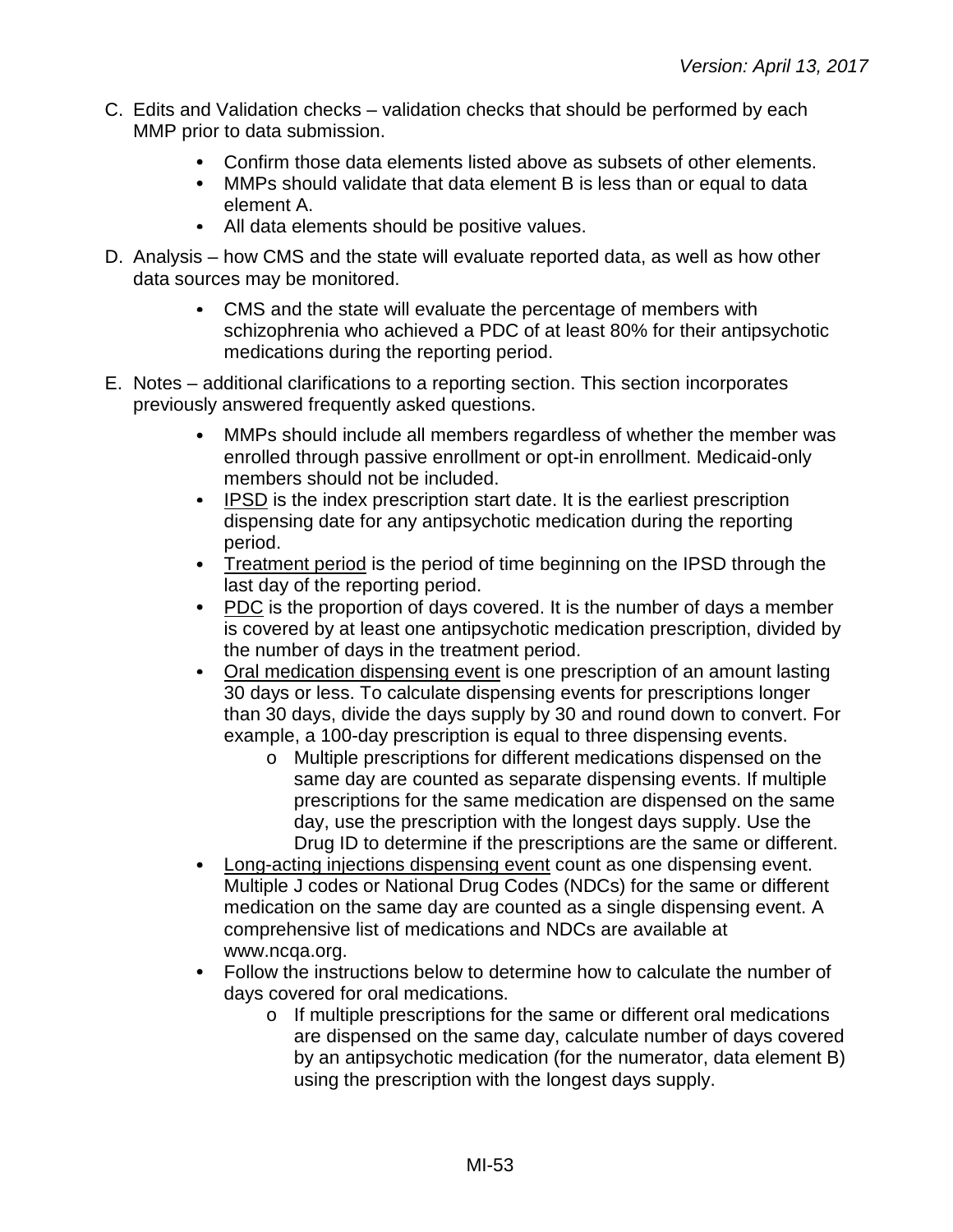- C. Edits and Validation checks validation checks that should be performed by each MMP prior to data submission.
	- Confirm those data elements listed above as subsets of other elements.
	- MMPs should validate that data element B is less than or equal to data element A.
	- All data elements should be positive values.
- D. Analysis how CMS and the state will evaluate reported data, as well as how other data sources may be monitored.
	- CMS and the state will evaluate the percentage of members with schizophrenia who achieved a PDC of at least 80% for their antipsychotic medications during the reporting period.
- E. Notes additional clarifications to a reporting section. This section incorporates previously answered frequently asked questions.
	- MMPs should include all members regardless of whether the member was  $\bullet$ enrolled through passive enrollment or opt-in enrollment. Medicaid-only members should not be included.
	- IPSD is the index prescription start date. It is the earliest prescription dispensing date for any antipsychotic medication during the reporting period.
	- Treatment period is the period of time beginning on the IPSD through the last day of the reporting period.
	- PDC is the proportion of days covered. It is the number of days a member is covered by at least one antipsychotic medication prescription, divided by the number of days in the treatment period.
	- Oral medication dispensing event is one prescription of an amount lasting 30 days or less. To calculate dispensing events for prescriptions longer than 30 days, divide the days supply by 30 and round down to convert. For example, a 100-day prescription is equal to three dispensing events.
		- o Multiple prescriptions for different medications dispensed on the same day are counted as separate dispensing events. If multiple prescriptions for the same medication are dispensed on the same day, use the prescription with the longest days supply. Use the Drug ID to determine if the prescriptions are the same or different.
	- $\bullet$ Long-acting injections dispensing event count as one dispensing event. Multiple J codes or National Drug Codes (NDCs) for the same or different medication on the same day are counted as a single dispensing event. A comprehensive list of medications and NDCs are available at www.ncqa.org.
	- Follow the instructions below to determine how to calculate the number of  $\bullet$ days covered for oral medications.
		- o If multiple prescriptions for the same or different oral medications are dispensed on the same day, calculate number of days covered by an antipsychotic medication (for the numerator, data element B) using the prescription with the longest days supply.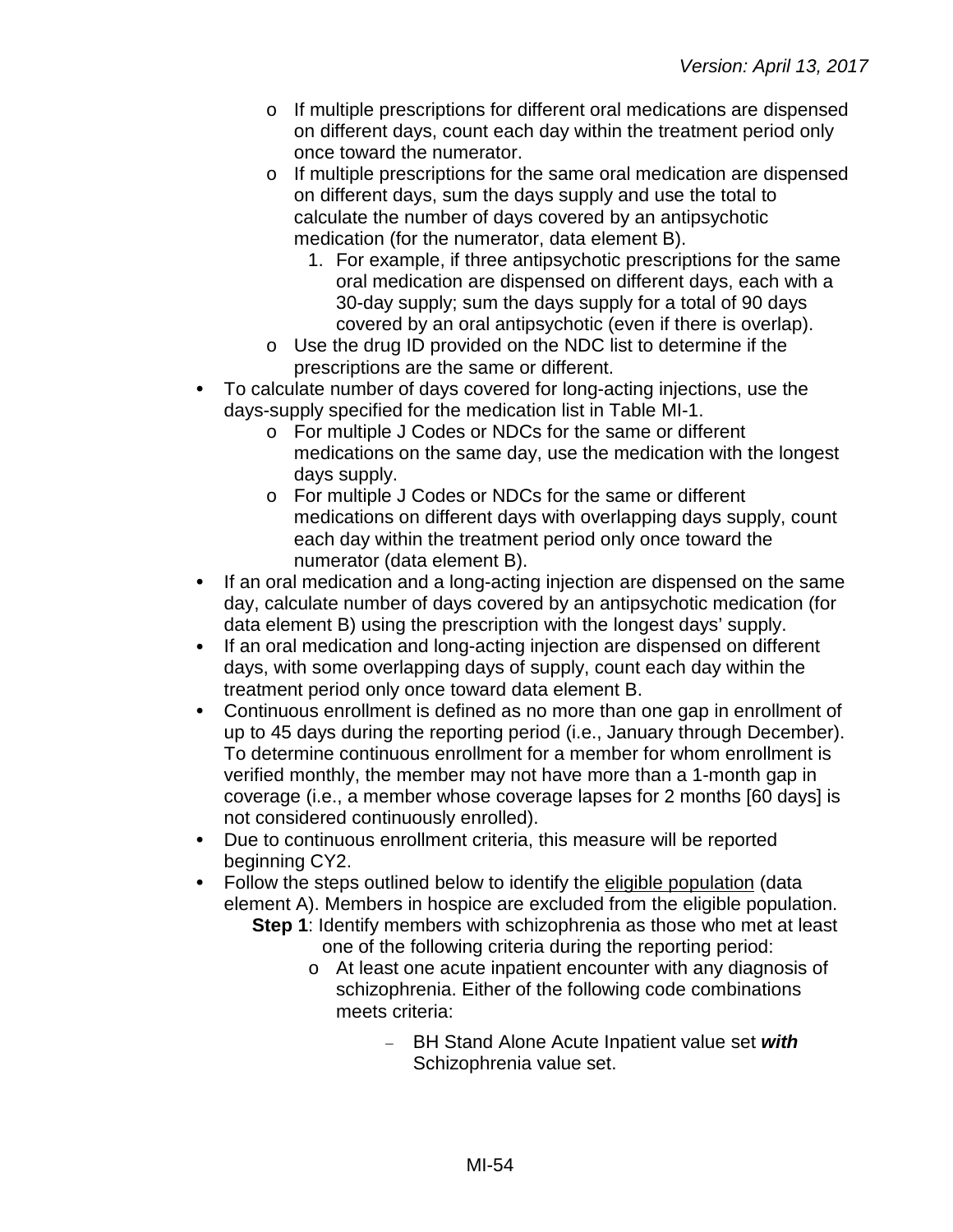- $\circ$  If multiple prescriptions for different oral medications are dispensed on different days, count each day within the treatment period only once toward the numerator.
- o If multiple prescriptions for the same oral medication are dispensed on different days, sum the days supply and use the total to calculate the number of days covered by an antipsychotic medication (for the numerator, data element B).
	- 1. For example, if three antipsychotic prescriptions for the same oral medication are dispensed on different days, each with a 30-day supply; sum the days supply for a total of 90 days covered by an oral antipsychotic (even if there is overlap).
- o Use the drug ID provided on the NDC list to determine if the prescriptions are the same or different.
- To calculate number of days covered for long-acting injections, use the days-supply specified for the medication list in Table MI-1.
	- o For multiple J Codes or NDCs for the same or different medications on the same day, use the medication with the longest days supply.
	- o For multiple J Codes or NDCs for the same or different medications on different days with overlapping days supply, count each day within the treatment period only once toward the numerator (data element B).
- If an oral medication and a long-acting injection are dispensed on the same day, calculate number of days covered by an antipsychotic medication (for data element B) using the prescription with the longest days' supply.
- $\bullet$ If an oral medication and long-acting injection are dispensed on different days, with some overlapping days of supply, count each day within the treatment period only once toward data element B.
- Continuous enrollment is defined as no more than one gap in enrollment of  $\bullet$ up to 45 days during the reporting period (i.e., January through December). To determine continuous enrollment for a member for whom enrollment is verified monthly, the member may not have more than a 1-month gap in coverage (i.e., a member whose coverage lapses for 2 months [60 days] is not considered continuously enrolled).
- $\bullet$ Due to continuous enrollment criteria, this measure will be reported beginning CY2.
- $\bullet$ Follow the steps outlined below to identify the eligible population (data element A). Members in hospice are excluded from the eligible population. **Step 1**: Identify members with schizophrenia as those who met at least one of the following criteria during the reporting period:
	- o At least one acute inpatient encounter with any diagnosis of schizophrenia. Either of the following code combinations meets criteria:
		- − BH Stand Alone Acute Inpatient value set *with*  Schizophrenia value set.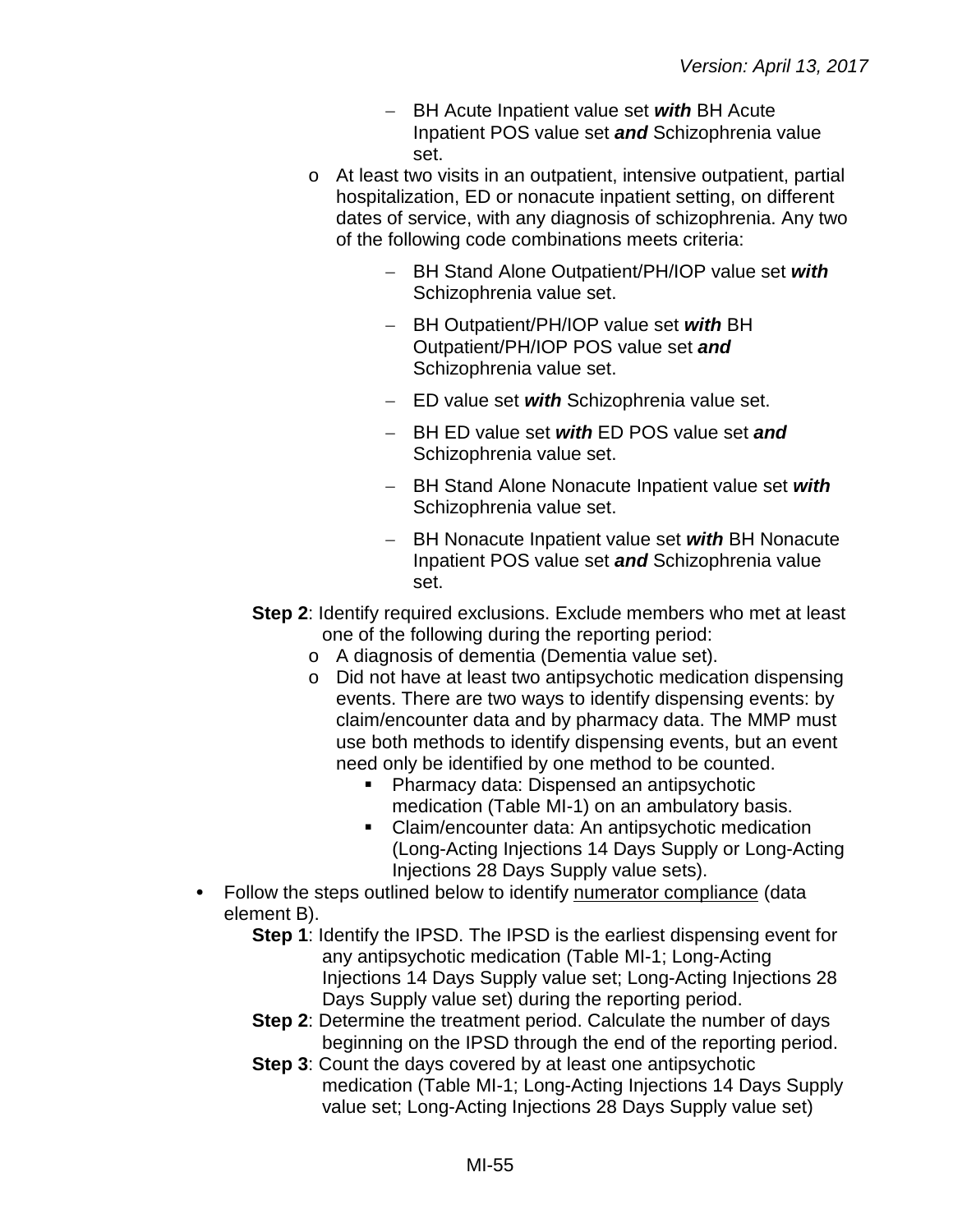- − BH Acute Inpatient value set *with* BH Acute Inpatient POS value set *and* Schizophrenia value set.
- o At least two visits in an outpatient, intensive outpatient, partial hospitalization, ED or nonacute inpatient setting, on different dates of service, with any diagnosis of schizophrenia. Any two of the following code combinations meets criteria:
	- − BH Stand Alone Outpatient/PH/IOP value set *with* Schizophrenia value set.
	- − BH Outpatient/PH/IOP value set *with* BH Outpatient/PH/IOP POS value set *and* Schizophrenia value set.
	- − ED value set *with* Schizophrenia value set.
	- − BH ED value set *with* ED POS value set *and* Schizophrenia value set.
	- − BH Stand Alone Nonacute Inpatient value set *with* Schizophrenia value set.
	- − BH Nonacute Inpatient value set *with* BH Nonacute Inpatient POS value set *and* Schizophrenia value set.
- **Step 2**: Identify required exclusions. Exclude members who met at least one of the following during the reporting period:
	- o A diagnosis of dementia (Dementia value set).
	- o Did not have at least two antipsychotic medication dispensing events. There are two ways to identify dispensing events: by claim/encounter data and by pharmacy data. The MMP must use both methods to identify dispensing events, but an event need only be identified by one method to be counted.
		- **Pharmacy data: Dispensed an antipsychotic** medication (Table MI-1) on an ambulatory basis.
		- **EXECLA** Claim/encounter data: An antipsychotic medication (Long-Acting Injections 14 Days Supply or Long-Acting Injections 28 Days Supply value sets).
- Follow the steps outlined below to identify numerator compliance (data  $\bullet$ element B).
	- **Step 1:** Identify the IPSD. The IPSD is the earliest dispensing event for any antipsychotic medication (Table MI-1; Long-Acting Injections 14 Days Supply value set; Long-Acting Injections 28 Days Supply value set) during the reporting period.
	- **Step 2**: Determine the treatment period. Calculate the number of days beginning on the IPSD through the end of the reporting period.
	- **Step 3**: Count the days covered by at least one antipsychotic medication (Table MI-1; Long-Acting Injections 14 Days Supply value set; Long-Acting Injections 28 Days Supply value set)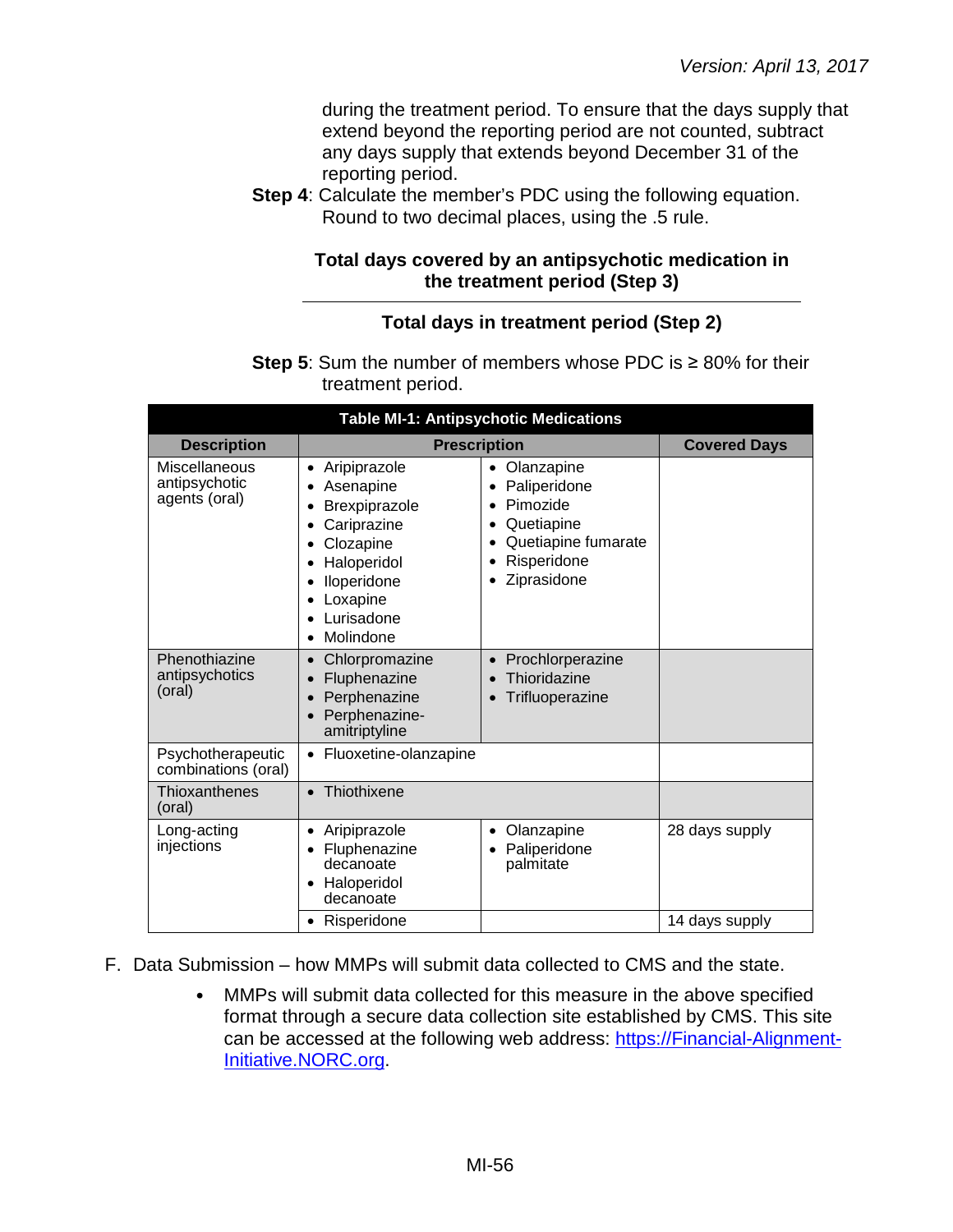during the treatment period. To ensure that the days supply that extend beyond the reporting period are not counted, subtract any days supply that extends beyond December 31 of the reporting period.

**Step 4:** Calculate the member's PDC using the following equation. Round to two decimal places, using the .5 rule.

#### **Total days covered by an antipsychotic medication in the treatment period (Step 3)**

#### **Total days in treatment period (Step 2)**

**Step 5**: Sum the number of members whose PDC is ≥ 80% for their treatment period.

| <b>Table MI-1: Antipsychotic Medications</b>    |                                                                                                                                                                                                        |                                                                                                                |                     |
|-------------------------------------------------|--------------------------------------------------------------------------------------------------------------------------------------------------------------------------------------------------------|----------------------------------------------------------------------------------------------------------------|---------------------|
| <b>Description</b>                              | <b>Prescription</b>                                                                                                                                                                                    |                                                                                                                | <b>Covered Days</b> |
| Miscellaneous<br>antipsychotic<br>agents (oral) | Aripiprazole<br>$\bullet$<br>Asenapine<br>$\bullet$<br>Brexpiprazole<br>٠<br>Cariprazine<br>Clozapine<br>$\bullet$<br>Haloperidol<br>Iloperidone<br>٠<br>Loxapine<br>٠<br>Lurisadone<br>Molindone<br>٠ | Olanzapine<br>٠<br>Paliperidone<br>Pimozide<br>Quetiapine<br>Quetiapine fumarate<br>Risperidone<br>Ziprasidone |                     |
| Phenothiazine<br>antipsychotics<br>(oral)       | Chlorpromazine<br>$\bullet$<br>Fluphenazine<br>$\bullet$<br>Perphenazine<br>$\bullet$<br>Perphenazine-<br>amitriptyline                                                                                | Prochlorperazine<br>Thioridazine<br>Trifluoperazine                                                            |                     |
| Psychotherapeutic<br>combinations (oral)        | Fluoxetine-olanzapine<br>$\bullet$                                                                                                                                                                     |                                                                                                                |                     |
| Thioxanthenes<br>(oral)                         | Thiothixene<br>$\bullet$                                                                                                                                                                               |                                                                                                                |                     |
| Long-acting<br>injections                       | Aripiprazole<br>$\bullet$<br>Fluphenazine<br>$\bullet$<br>decanoate<br>Haloperidol<br>$\bullet$<br>decanoate                                                                                           | Olanzapine<br>$\bullet$<br>Paliperidone<br>palmitate                                                           | 28 days supply      |
|                                                 | Risperidone<br>٠                                                                                                                                                                                       |                                                                                                                | 14 days supply      |

- F. Data Submission how MMPs will submit data collected to CMS and the state.
	- MMPs will submit data collected for this measure in the above specified  $\bullet$ format through a secure data collection site established by CMS. This site can be accessed at the following web address: [https://Financial-Alignment-](https://financial-alignment-initiative.norc.org/)[Initiative.NORC.org.](https://financial-alignment-initiative.norc.org/)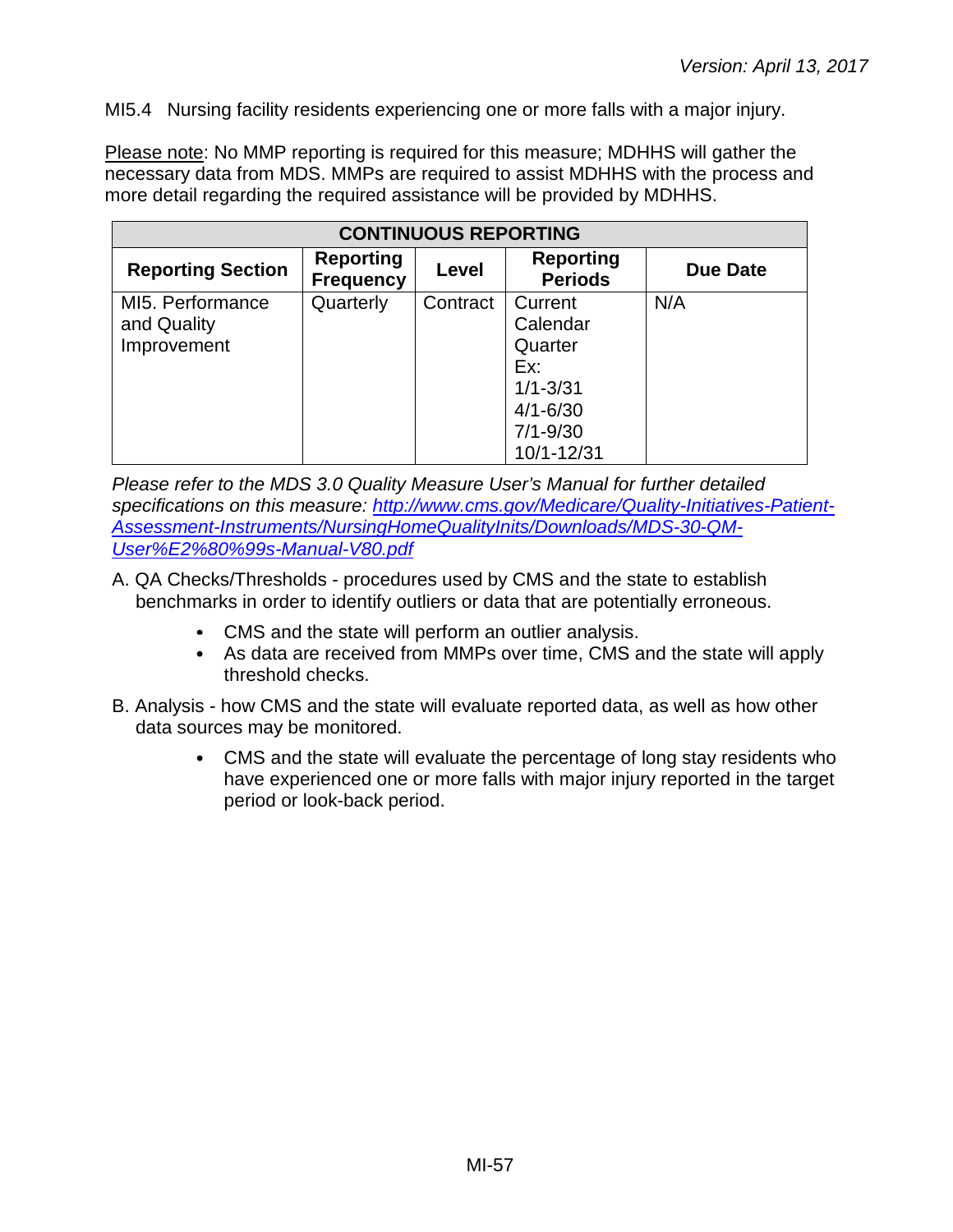MI5.4 Nursing facility residents experiencing one or more falls with a major injury.

Please note: No MMP reporting is required for this measure; MDHHS will gather the necessary data from MDS. MMPs are required to assist MDHHS with the process and more detail regarding the required assistance will be provided by MDHHS.

| <b>CONTINUOUS REPORTING</b>                    |                                      |          |                                                                                       |          |
|------------------------------------------------|--------------------------------------|----------|---------------------------------------------------------------------------------------|----------|
| <b>Reporting Section</b>                       | <b>Reporting</b><br><b>Frequency</b> | Level    | <b>Reporting</b><br><b>Periods</b>                                                    | Due Date |
| MI5. Performance<br>and Quality<br>Improvement | Quarterly                            | Contract | Current<br>Calendar<br>Quarter<br>Ex:<br>$1/1 - 3/31$<br>$4/1 - 6/30$<br>$7/1 - 9/30$ | N/A      |
|                                                |                                      |          | 10/1-12/31                                                                            |          |

*Please refer to the MDS 3.0 Quality Measure User's Manual for further detailed specifications on this measure: [http://www.cms.gov/Medicare/Quality-Initiatives-Patient-](http://www.cms.gov/Medicare/Quality-Initiatives-Patient-Assessment-Instruments/NursingHomeQualityInits/Downloads/MDS-30-QM-User%E2%80%99s-Manual-V80.pdf)[Assessment-Instruments/NursingHomeQualityInits/Downloads/MDS-30-QM-](http://www.cms.gov/Medicare/Quality-Initiatives-Patient-Assessment-Instruments/NursingHomeQualityInits/Downloads/MDS-30-QM-User%E2%80%99s-Manual-V80.pdf)[User%E2%80%99s-Manual-V80.pdf](http://www.cms.gov/Medicare/Quality-Initiatives-Patient-Assessment-Instruments/NursingHomeQualityInits/Downloads/MDS-30-QM-User%E2%80%99s-Manual-V80.pdf)*

- A. QA Checks/Thresholds procedures used by CMS and the state to establish benchmarks in order to identify outliers or data that are potentially erroneous.
	- CMS and the state will perform an outlier analysis.
	- As data are received from MMPs over time, CMS and the state will apply threshold checks.
- B. Analysis how CMS and the state will evaluate reported data, as well as how other data sources may be monitored.
	- CMS and the state will evaluate the percentage of long stay residents who  $\bullet$ have experienced one or more falls with major injury reported in the target period or look-back period.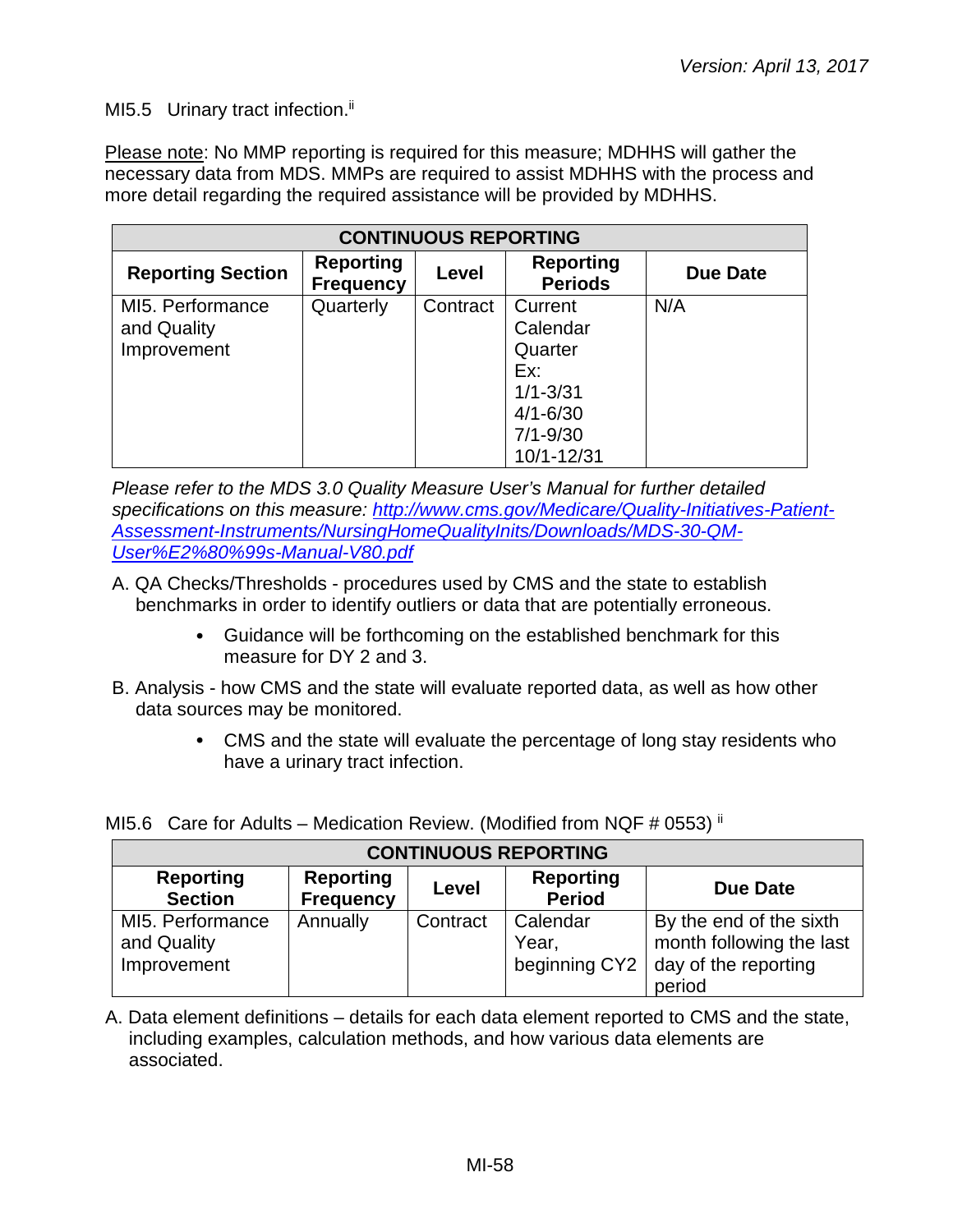MI5.5 Urinary tract infection.<sup>ii</sup>

Please note: No MMP reporting is required for this measure; MDHHS will gather the necessary data from MDS. MMPs are required to assist MDHHS with the process and more detail regarding the required assistance will be provided by MDHHS.

| <b>CONTINUOUS REPORTING</b>                    |                                      |          |                                    |          |
|------------------------------------------------|--------------------------------------|----------|------------------------------------|----------|
| <b>Reporting Section</b>                       | <b>Reporting</b><br><b>Frequency</b> | Level    | <b>Reporting</b><br><b>Periods</b> | Due Date |
| MI5. Performance<br>and Quality<br>Improvement | Quarterly                            | Contract | Current<br>Calendar<br>Quarter     | N/A      |
|                                                |                                      |          | Ex:<br>$1/1 - 3/31$                |          |
|                                                |                                      |          | $4/1 - 6/30$<br>$7/1 - 9/30$       |          |
|                                                |                                      |          | 10/1-12/31                         |          |

*Please refer to the MDS 3.0 Quality Measure User's Manual for further detailed specifications on this measure: [http://www.cms.gov/Medicare/Quality-Initiatives-Patient-](http://www.cms.gov/Medicare/Quality-Initiatives-Patient-Assessment-Instruments/NursingHomeQualityInits/Downloads/MDS-30-QM-User%E2%80%99s-Manual-V80.pdf)[Assessment-Instruments/NursingHomeQualityInits/Downloads/MDS-30-QM-](http://www.cms.gov/Medicare/Quality-Initiatives-Patient-Assessment-Instruments/NursingHomeQualityInits/Downloads/MDS-30-QM-User%E2%80%99s-Manual-V80.pdf)[User%E2%80%99s-Manual-V80.pdf](http://www.cms.gov/Medicare/Quality-Initiatives-Patient-Assessment-Instruments/NursingHomeQualityInits/Downloads/MDS-30-QM-User%E2%80%99s-Manual-V80.pdf)*

- A. QA Checks/Thresholds procedures used by CMS and the state to establish benchmarks in order to identify outliers or data that are potentially erroneous.
	- Guidance will be forthcoming on the established benchmark for this measure for DY 2 and 3.
- B. Analysis how CMS and the state will evaluate reported data, as well as how other data sources may be monitored.
	- CMS and the state will evaluate the percentage of long stay residents who have a urinary tract infection.

|                                                | <b>CONTINUOUS REPORTING</b>          |          |                                    |                                                                                       |  |
|------------------------------------------------|--------------------------------------|----------|------------------------------------|---------------------------------------------------------------------------------------|--|
| <b>Reporting</b><br><b>Section</b>             | <b>Reporting</b><br><b>Frequency</b> | Level    | <b>Reporting</b><br><b>Period</b>  | Due Date                                                                              |  |
| MI5. Performance<br>and Quality<br>Improvement | Annually                             | Contract | Calendar<br>Year,<br>beginning CY2 | By the end of the sixth<br>month following the last<br>day of the reporting<br>period |  |

MI5.6 Care for Adults – Medication Review. (Modified from NQF # 0553)  $\frac{1}{11}$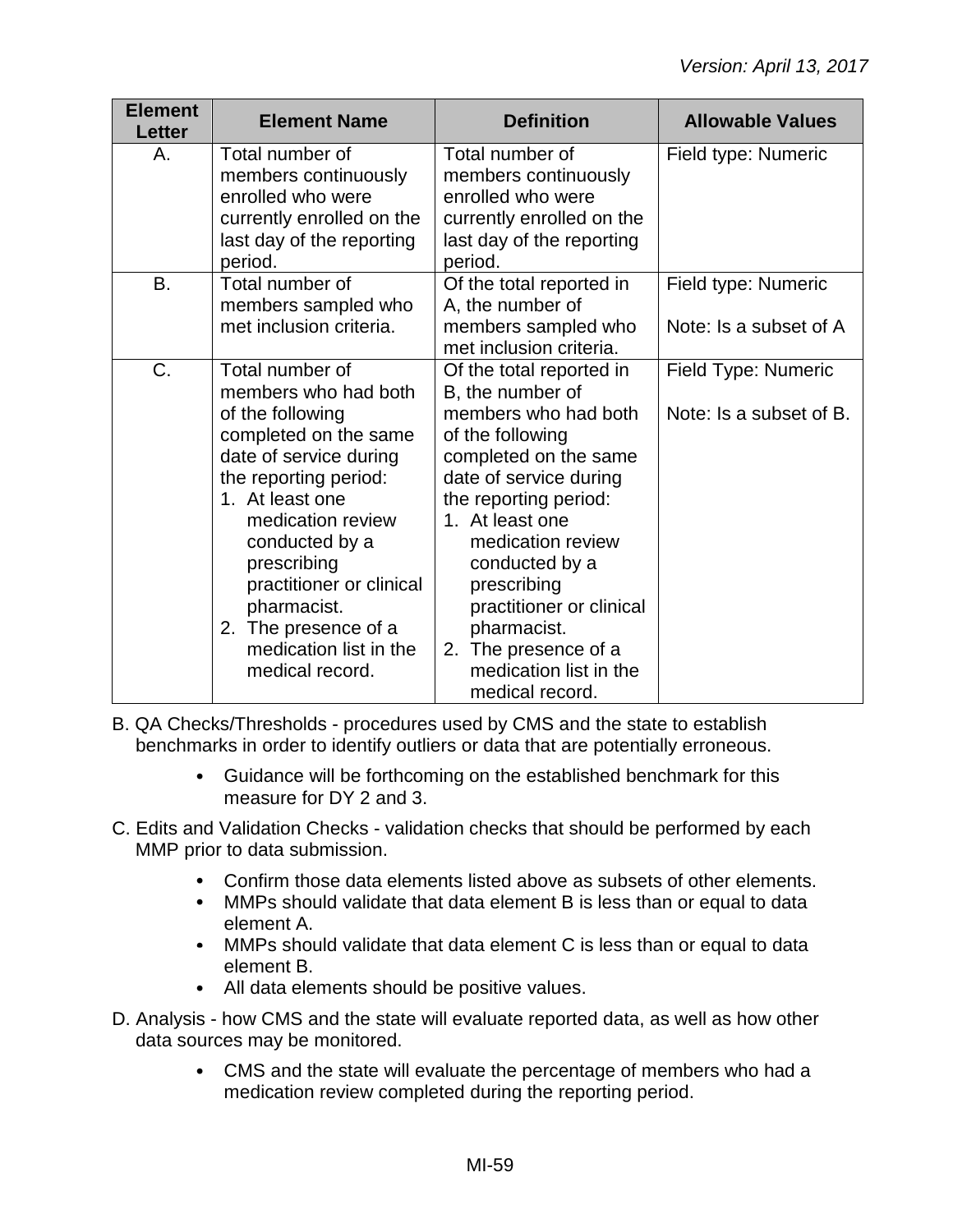| <b>Element</b><br><b>Letter</b> | <b>Element Name</b>                                                                                                                                                                                                                                                                                                              | <b>Definition</b>                                                                                                                                                                                                                                                                                                                                                | <b>Allowable Values</b>                        |
|---------------------------------|----------------------------------------------------------------------------------------------------------------------------------------------------------------------------------------------------------------------------------------------------------------------------------------------------------------------------------|------------------------------------------------------------------------------------------------------------------------------------------------------------------------------------------------------------------------------------------------------------------------------------------------------------------------------------------------------------------|------------------------------------------------|
| Α.                              | Total number of<br>members continuously<br>enrolled who were<br>currently enrolled on the<br>last day of the reporting<br>period.                                                                                                                                                                                                | Total number of<br>members continuously<br>enrolled who were<br>currently enrolled on the<br>last day of the reporting<br>period.                                                                                                                                                                                                                                | Field type: Numeric                            |
| <b>B.</b>                       | Total number of<br>members sampled who<br>met inclusion criteria.                                                                                                                                                                                                                                                                | Of the total reported in<br>A, the number of<br>members sampled who<br>met inclusion criteria.                                                                                                                                                                                                                                                                   | Field type: Numeric<br>Note: Is a subset of A  |
| C.                              | Total number of<br>members who had both<br>of the following<br>completed on the same<br>date of service during<br>the reporting period:<br>1. At least one<br>medication review<br>conducted by a<br>prescribing<br>practitioner or clinical<br>pharmacist.<br>2. The presence of a<br>medication list in the<br>medical record. | Of the total reported in<br>B, the number of<br>members who had both<br>of the following<br>completed on the same<br>date of service during<br>the reporting period:<br>1. At least one<br>medication review<br>conducted by a<br>prescribing<br>practitioner or clinical<br>pharmacist.<br>The presence of a<br>2.<br>medication list in the<br>medical record. | Field Type: Numeric<br>Note: Is a subset of B. |

B. QA Checks/Thresholds - procedures used by CMS and the state to establish benchmarks in order to identify outliers or data that are potentially erroneous.

- $\bullet$ Guidance will be forthcoming on the established benchmark for this measure for DY 2 and 3.
- C. Edits and Validation Checks validation checks that should be performed by each MMP prior to data submission.
	- $\bullet$ Confirm those data elements listed above as subsets of other elements.
	- MMPs should validate that data element B is less than or equal to data element A.
	- MMPs should validate that data element C is less than or equal to data element B.
	- All data elements should be positive values.
- D. Analysis how CMS and the state will evaluate reported data, as well as how other data sources may be monitored.
	- CMS and the state will evaluate the percentage of members who had a  $\bullet$ medication review completed during the reporting period.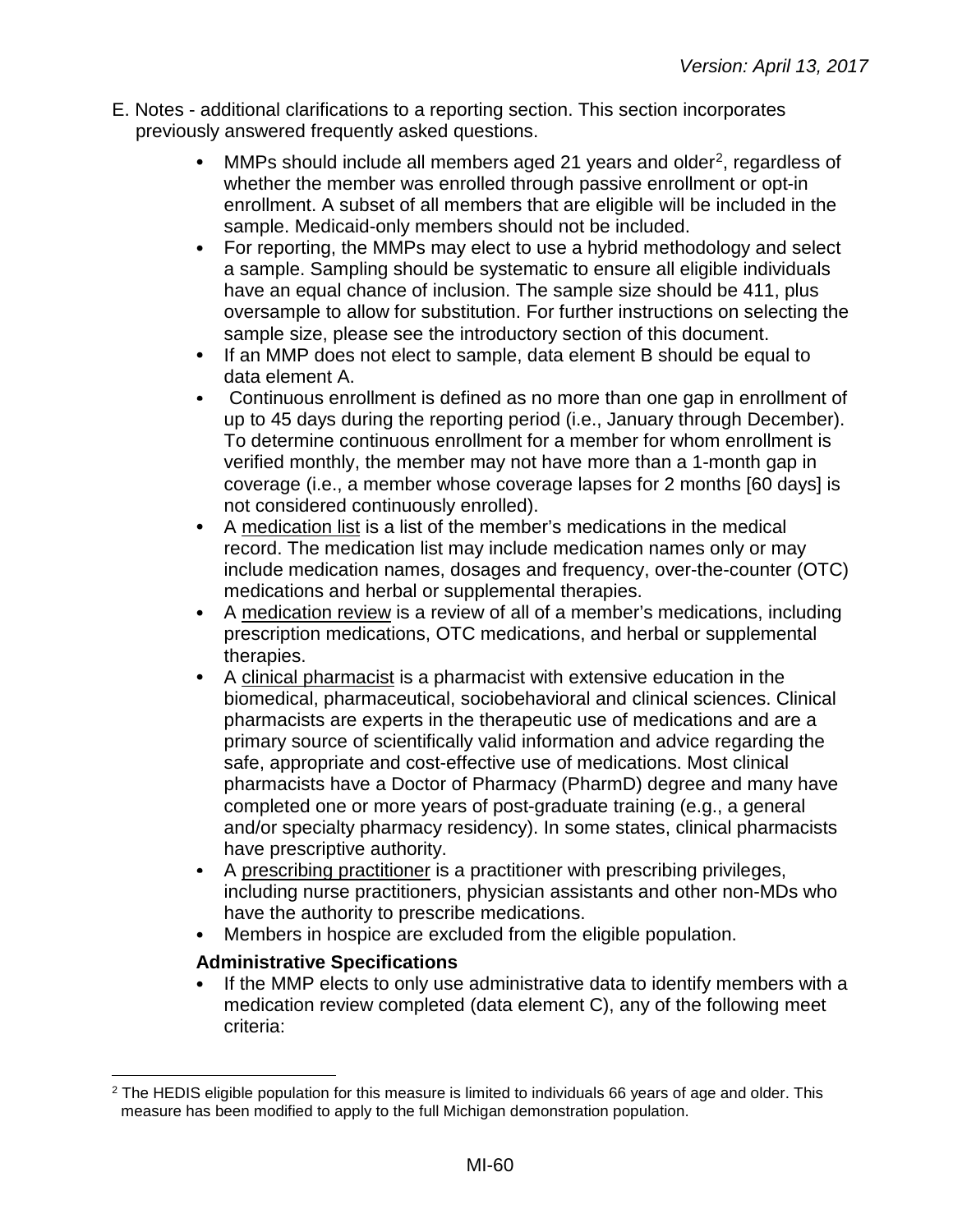- E. Notes additional clarifications to a reporting section. This section incorporates previously answered frequently asked questions.
	- $\bullet$ MMPs should include all members aged 21 years and older<sup>2</sup>, regardless of whether the member was enrolled through passive enrollment or opt-in enrollment. A subset of all members that are eligible will be included in the sample. Medicaid-only members should not be included.
	- $\bullet$ For reporting, the MMPs may elect to use a hybrid methodology and select a sample. Sampling should be systematic to ensure all eligible individuals have an equal chance of inclusion. The sample size should be 411, plus oversample to allow for substitution. For further instructions on selecting the sample size, please see the introductory section of this document.
	- If an MMP does not elect to sample, data element B should be equal to data element A.
	- Continuous enrollment is defined as no more than one gap in enrollment of  $\bullet$ up to 45 days during the reporting period (i.e., January through December). To determine continuous enrollment for a member for whom enrollment is verified monthly, the member may not have more than a 1-month gap in coverage (i.e., a member whose coverage lapses for 2 months [60 days] is not considered continuously enrolled).
	- $\bullet$ A medication list is a list of the member's medications in the medical record. The medication list may include medication names only or may include medication names, dosages and frequency, over-the-counter (OTC) medications and herbal or supplemental therapies.
	- $\bullet$ A medication review is a review of all of a member's medications, including prescription medications, OTC medications, and herbal or supplemental therapies.
	- A clinical pharmacist is a pharmacist with extensive education in the  $\bullet$ biomedical, pharmaceutical, sociobehavioral and clinical sciences. Clinical pharmacists are experts in the therapeutic use of medications and are a primary source of scientifically valid information and advice regarding the safe, appropriate and cost-effective use of medications. Most clinical pharmacists have a Doctor of Pharmacy (PharmD) degree and many have completed one or more years of post-graduate training (e.g., a general and/or specialty pharmacy residency). In some states, clinical pharmacists have prescriptive authority.
	- $\bullet$ A prescribing practitioner is a practitioner with prescribing privileges, including nurse practitioners, physician assistants and other non-MDs who have the authority to prescribe medications.
	- Members in hospice are excluded from the eligible population.

## **Administrative Specifications**

If the MMP elects to only use administrative data to identify members with a medication review completed (data element C), any of the following meet criteria:

<span id="page-59-0"></span><sup>&</sup>lt;sup>2</sup> The HEDIS eligible population for this measure is limited to individuals 66 years of age and older. This measure has been modified to apply to the full Michigan demonstration population.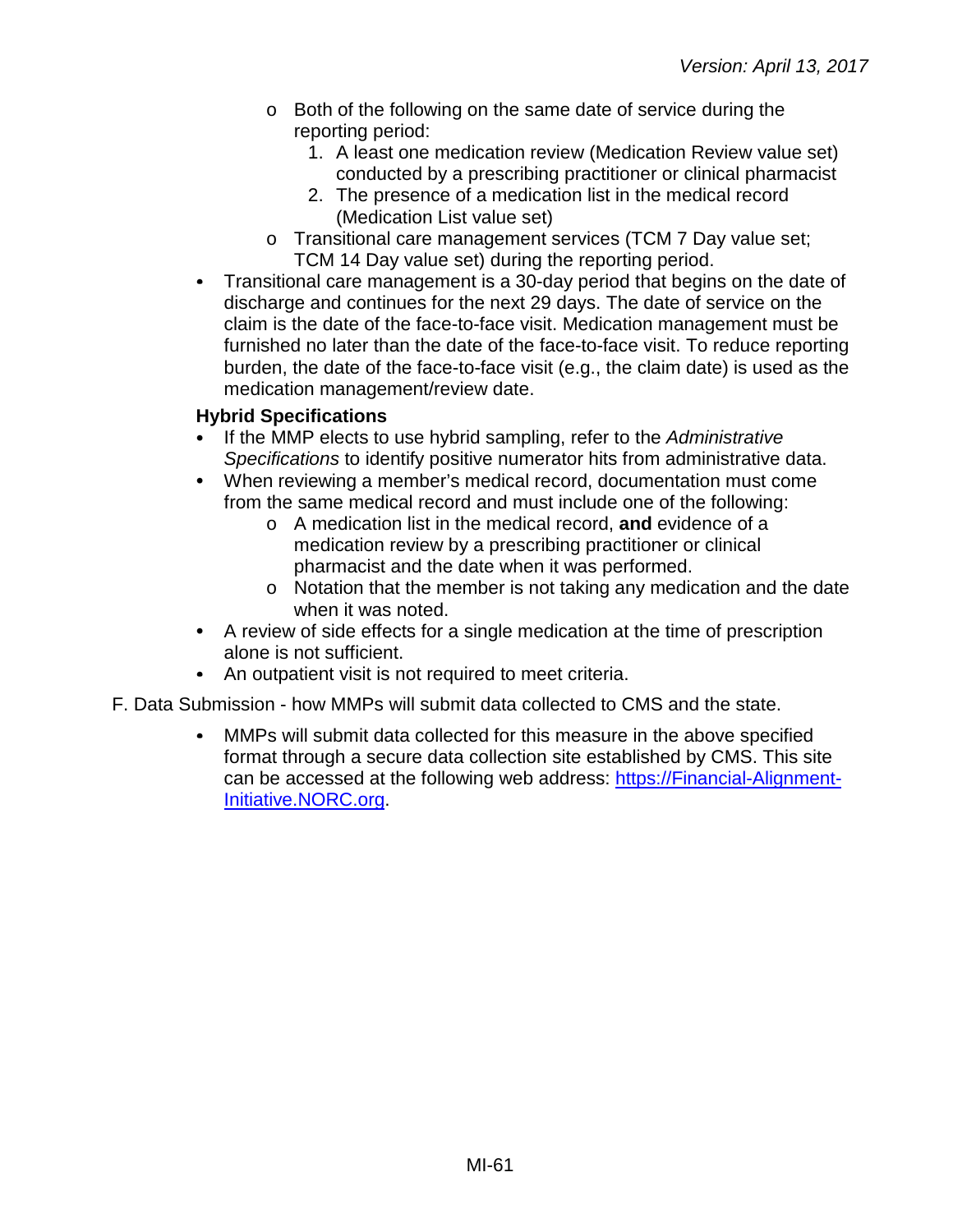- o Both of the following on the same date of service during the reporting period:
	- 1. A least one medication review (Medication Review value set) conducted by a prescribing practitioner or clinical pharmacist
	- 2. The presence of a medication list in the medical record (Medication List value set)
- o Transitional care management services (TCM 7 Day value set; TCM 14 Day value set) during the reporting period.
- $\bullet$ Transitional care management is a 30-day period that begins on the date of discharge and continues for the next 29 days. The date of service on the claim is the date of the face-to-face visit. Medication management must be furnished no later than the date of the face-to-face visit. To reduce reporting burden, the date of the face-to-face visit (e.g., the claim date) is used as the medication management/review date.

## **Hybrid Specifications**

- If the MMP elects to use hybrid sampling, refer to the *Administrative*  $\bullet$ *Specifications* to identify positive numerator hits from administrative data.
- When reviewing a member's medical record, documentation must come from the same medical record and must include one of the following:
	- o A medication list in the medical record, **and** evidence of a medication review by a prescribing practitioner or clinical pharmacist and the date when it was performed.
	- o Notation that the member is not taking any medication and the date when it was noted.
- A review of side effects for a single medication at the time of prescription alone is not sufficient.
- An outpatient visit is not required to meet criteria.
- F. Data Submission how MMPs will submit data collected to CMS and the state.
	- MMPs will submit data collected for this measure in the above specified format through a secure data collection site established by CMS. This site can be accessed at the following web address: [https://Financial-Alignment-](https://financial-alignment-initiative.norc.org/)[Initiative.NORC.org.](https://financial-alignment-initiative.norc.org/)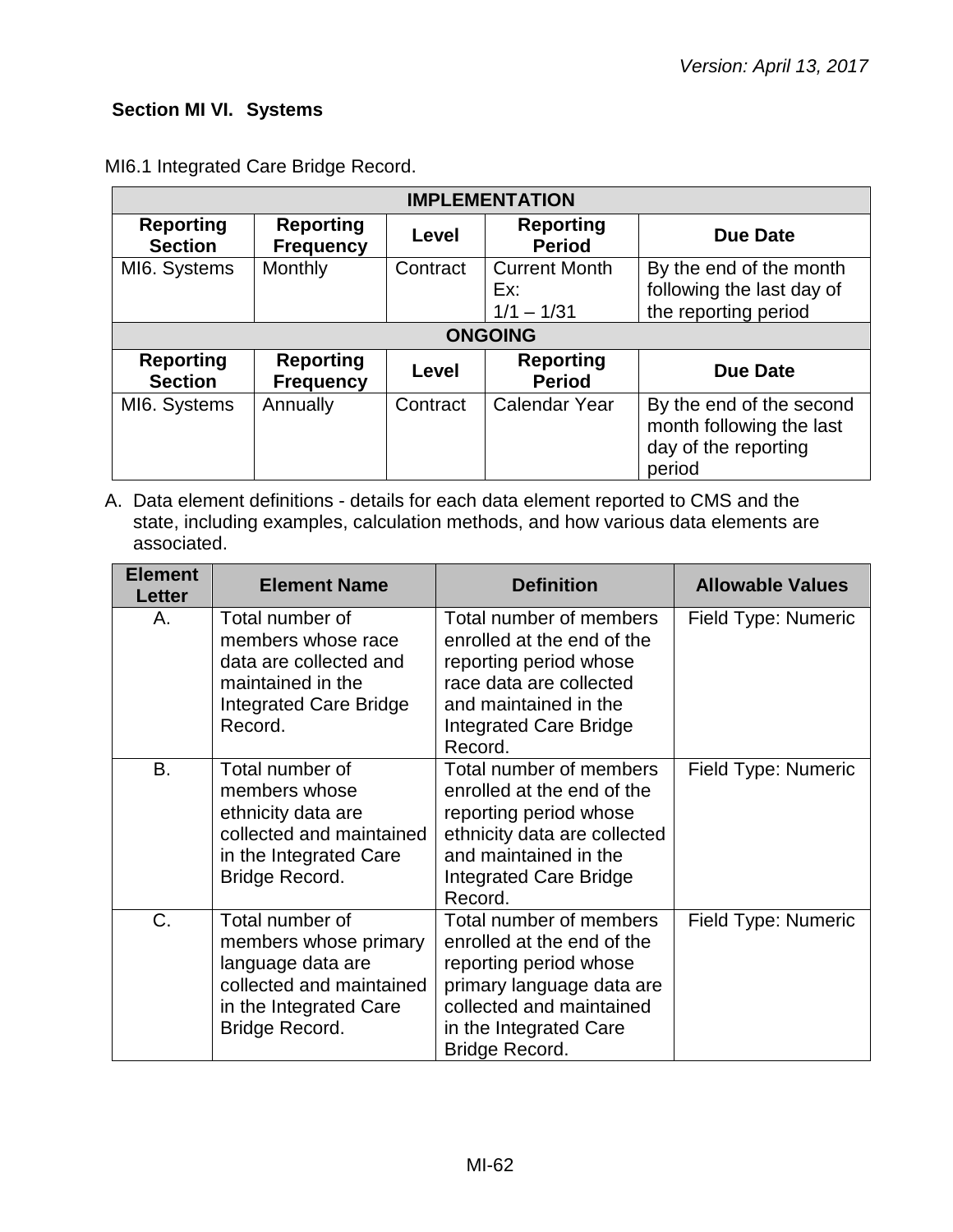### **Section MI VI. Systems**

| <b>IMPLEMENTATION</b>              |                                      |          |                                             |                                                                                        |
|------------------------------------|--------------------------------------|----------|---------------------------------------------|----------------------------------------------------------------------------------------|
| <b>Reporting</b><br><b>Section</b> | <b>Reporting</b><br><b>Frequency</b> | Level    | <b>Reporting</b><br><b>Period</b>           | <b>Due Date</b>                                                                        |
| MI6. Systems                       | Monthly                              | Contract | <b>Current Month</b><br>Ex:<br>$1/1 - 1/31$ | By the end of the month<br>following the last day of<br>the reporting period           |
|                                    | <b>ONGOING</b>                       |          |                                             |                                                                                        |
| <b>Reporting</b><br><b>Section</b> | <b>Reporting</b><br><b>Frequency</b> | Level    | <b>Reporting</b><br><b>Period</b>           | <b>Due Date</b>                                                                        |
| MI6. Systems                       | Annually                             | Contract | <b>Calendar Year</b>                        | By the end of the second<br>month following the last<br>day of the reporting<br>period |

MI6.1 Integrated Care Bridge Record.

| <b>Element</b><br>Letter | <b>Element Name</b>                                                                                                                   | <b>Definition</b>                                                                                                                                                                    | <b>Allowable Values</b> |
|--------------------------|---------------------------------------------------------------------------------------------------------------------------------------|--------------------------------------------------------------------------------------------------------------------------------------------------------------------------------------|-------------------------|
| А.                       | Total number of<br>members whose race<br>data are collected and<br>maintained in the<br><b>Integrated Care Bridge</b><br>Record.      | Total number of members<br>enrolled at the end of the<br>reporting period whose<br>race data are collected<br>and maintained in the<br><b>Integrated Care Bridge</b><br>Record.      | Field Type: Numeric     |
| <b>B.</b>                | Total number of<br>members whose<br>ethnicity data are<br>collected and maintained<br>in the Integrated Care<br>Bridge Record.        | Total number of members<br>enrolled at the end of the<br>reporting period whose<br>ethnicity data are collected<br>and maintained in the<br>Integrated Care Bridge<br>Record.        | Field Type: Numeric     |
| $C_{\cdot}$              | Total number of<br>members whose primary<br>language data are<br>collected and maintained<br>in the Integrated Care<br>Bridge Record. | Total number of members<br>enrolled at the end of the<br>reporting period whose<br>primary language data are<br>collected and maintained<br>in the Integrated Care<br>Bridge Record. | Field Type: Numeric     |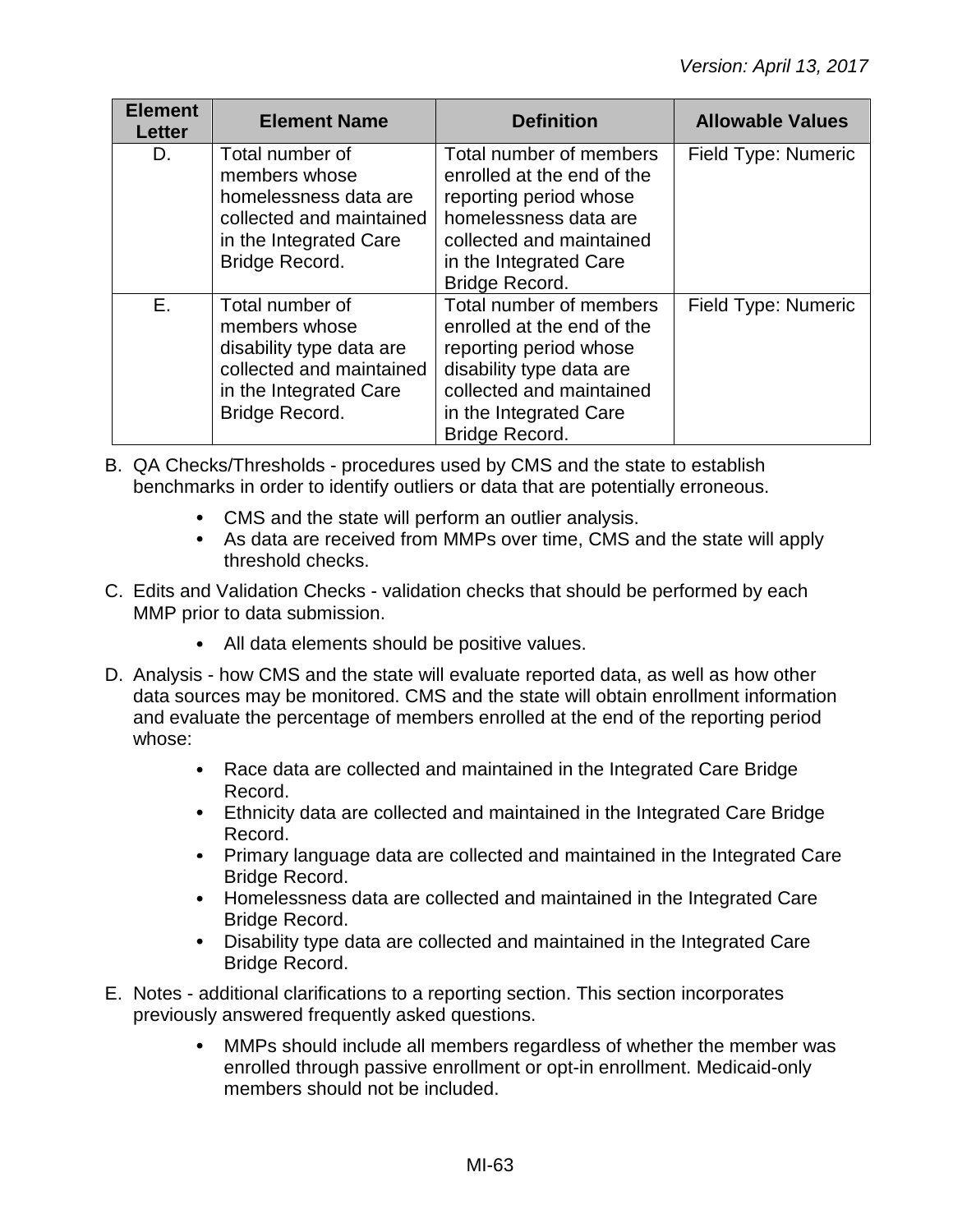| <b>Element</b><br><b>Letter</b> | <b>Element Name</b>                                                                                                                  | <b>Definition</b>                                                                                                                                                                   | <b>Allowable Values</b> |
|---------------------------------|--------------------------------------------------------------------------------------------------------------------------------------|-------------------------------------------------------------------------------------------------------------------------------------------------------------------------------------|-------------------------|
| D.                              | Total number of<br>members whose<br>homelessness data are<br>collected and maintained<br>in the Integrated Care<br>Bridge Record.    | Total number of members<br>enrolled at the end of the<br>reporting period whose<br>homelessness data are<br>collected and maintained<br>in the Integrated Care<br>Bridge Record.    | Field Type: Numeric     |
| E.                              | Total number of<br>members whose<br>disability type data are<br>collected and maintained<br>in the Integrated Care<br>Bridge Record. | Total number of members<br>enrolled at the end of the<br>reporting period whose<br>disability type data are<br>collected and maintained<br>in the Integrated Care<br>Bridge Record. | Field Type: Numeric     |

- B. QA Checks/Thresholds procedures used by CMS and the state to establish benchmarks in order to identify outliers or data that are potentially erroneous.
	- CMS and the state will perform an outlier analysis.
	- As data are received from MMPs over time, CMS and the state will apply threshold checks.
- C. Edits and Validation Checks validation checks that should be performed by each MMP prior to data submission.
	- All data elements should be positive values.
- D. Analysis how CMS and the state will evaluate reported data, as well as how other data sources may be monitored. CMS and the state will obtain enrollment information and evaluate the percentage of members enrolled at the end of the reporting period whose:
	- Race data are collected and maintained in the Integrated Care Bridge Record.
	- Ethnicity data are collected and maintained in the Integrated Care Bridge Record.
	- Primary language data are collected and maintained in the Integrated Care Bridge Record.
	- Homelessness data are collected and maintained in the Integrated Care Bridge Record.
	- Disability type data are collected and maintained in the Integrated Care Bridge Record.
- E. Notes additional clarifications to a reporting section. This section incorporates previously answered frequently asked questions.
	- $\bullet$ MMPs should include all members regardless of whether the member was enrolled through passive enrollment or opt-in enrollment. Medicaid-only members should not be included.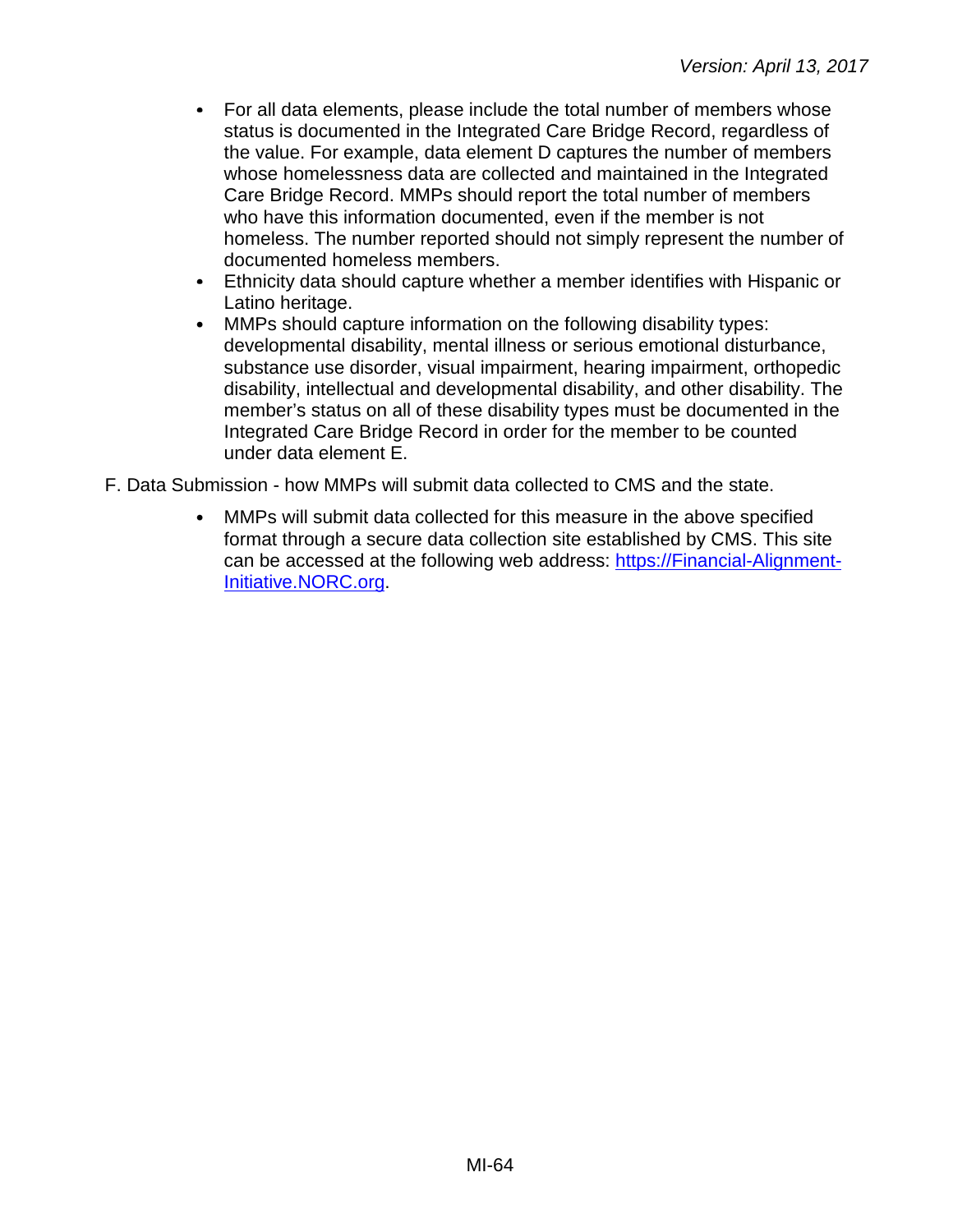- $\bullet$ For all data elements, please include the total number of members whose status is documented in the Integrated Care Bridge Record, regardless of the value. For example, data element D captures the number of members whose homelessness data are collected and maintained in the Integrated Care Bridge Record. MMPs should report the total number of members who have this information documented, even if the member is not homeless. The number reported should not simply represent the number of documented homeless members.
- $\bullet$ Ethnicity data should capture whether a member identifies with Hispanic or Latino heritage.
- $\bullet$ MMPs should capture information on the following disability types: developmental disability, mental illness or serious emotional disturbance, substance use disorder, visual impairment, hearing impairment, orthopedic disability, intellectual and developmental disability, and other disability. The member's status on all of these disability types must be documented in the Integrated Care Bridge Record in order for the member to be counted under data element E.
- F. Data Submission how MMPs will submit data collected to CMS and the state.
	- MMPs will submit data collected for this measure in the above specified format through a secure data collection site established by CMS. This site can be accessed at the following web address: [https://Financial-Alignment-](https://financial-alignment-initiative.norc.org/)[Initiative.NORC.org.](https://financial-alignment-initiative.norc.org/)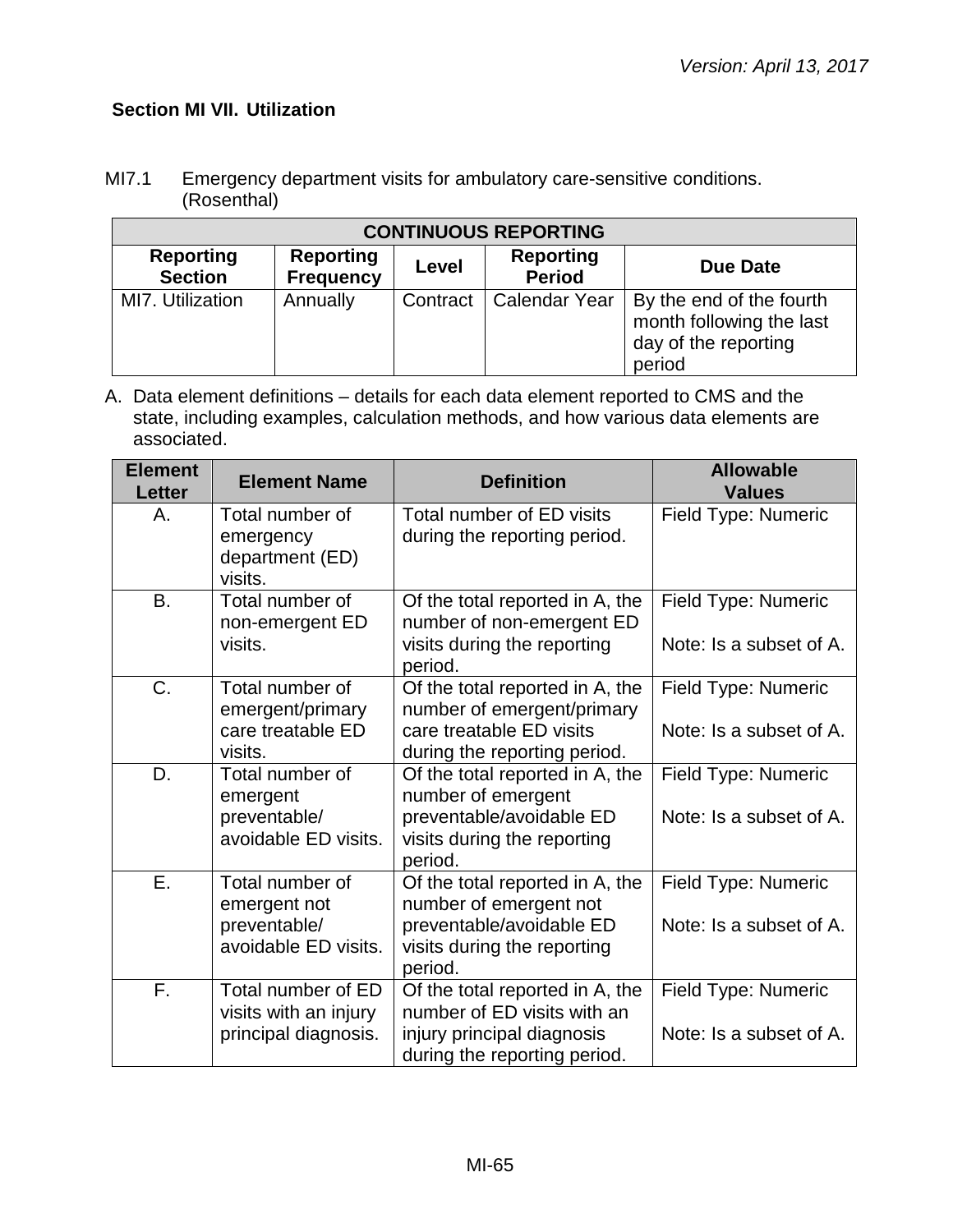# **Section MI VII. Utilization**

| MI7.1 | Emergency department visits for ambulatory care-sensitive conditions. |
|-------|-----------------------------------------------------------------------|
|       | (Rosenthal)                                                           |

| <b>CONTINUOUS REPORTING</b>        |                                      |          |                            |                                                                                        |  |
|------------------------------------|--------------------------------------|----------|----------------------------|----------------------------------------------------------------------------------------|--|
| <b>Reporting</b><br><b>Section</b> | <b>Reporting</b><br><b>Frequency</b> | Level    | Reporting<br><b>Period</b> | Due Date                                                                               |  |
| MI7. Utilization                   | Annually                             | Contract | <b>Calendar Year</b>       | By the end of the fourth<br>month following the last<br>day of the reporting<br>period |  |

| <b>Element</b><br><b>Letter</b> | <b>Element Name</b>                                                     | <b>Definition</b>                                                                                                               | <b>Allowable</b><br><b>Values</b>              |
|---------------------------------|-------------------------------------------------------------------------|---------------------------------------------------------------------------------------------------------------------------------|------------------------------------------------|
| Α.                              | Total number of<br>emergency<br>department (ED)<br>visits.              | Total number of ED visits<br>during the reporting period.                                                                       | Field Type: Numeric                            |
| <b>B.</b>                       | Total number of<br>non-emergent ED<br>visits.                           | Of the total reported in A, the<br>number of non-emergent ED<br>visits during the reporting<br>period.                          | Field Type: Numeric<br>Note: Is a subset of A. |
| C.                              | Total number of<br>emergent/primary<br>care treatable ED<br>visits.     | Of the total reported in A, the<br>number of emergent/primary<br>care treatable ED visits<br>during the reporting period.       | Field Type: Numeric<br>Note: Is a subset of A. |
| D.                              | Total number of<br>emergent<br>preventable/<br>avoidable ED visits.     | Of the total reported in A, the<br>number of emergent<br>preventable/avoidable ED<br>visits during the reporting<br>period.     | Field Type: Numeric<br>Note: Is a subset of A. |
| $\overline{E}$ .                | Total number of<br>emergent not<br>preventable/<br>avoidable ED visits. | Of the total reported in A, the<br>number of emergent not<br>preventable/avoidable ED<br>visits during the reporting<br>period. | Field Type: Numeric<br>Note: Is a subset of A. |
| F.                              | Total number of ED<br>visits with an injury<br>principal diagnosis.     | Of the total reported in A, the<br>number of ED visits with an<br>injury principal diagnosis<br>during the reporting period.    | Field Type: Numeric<br>Note: Is a subset of A. |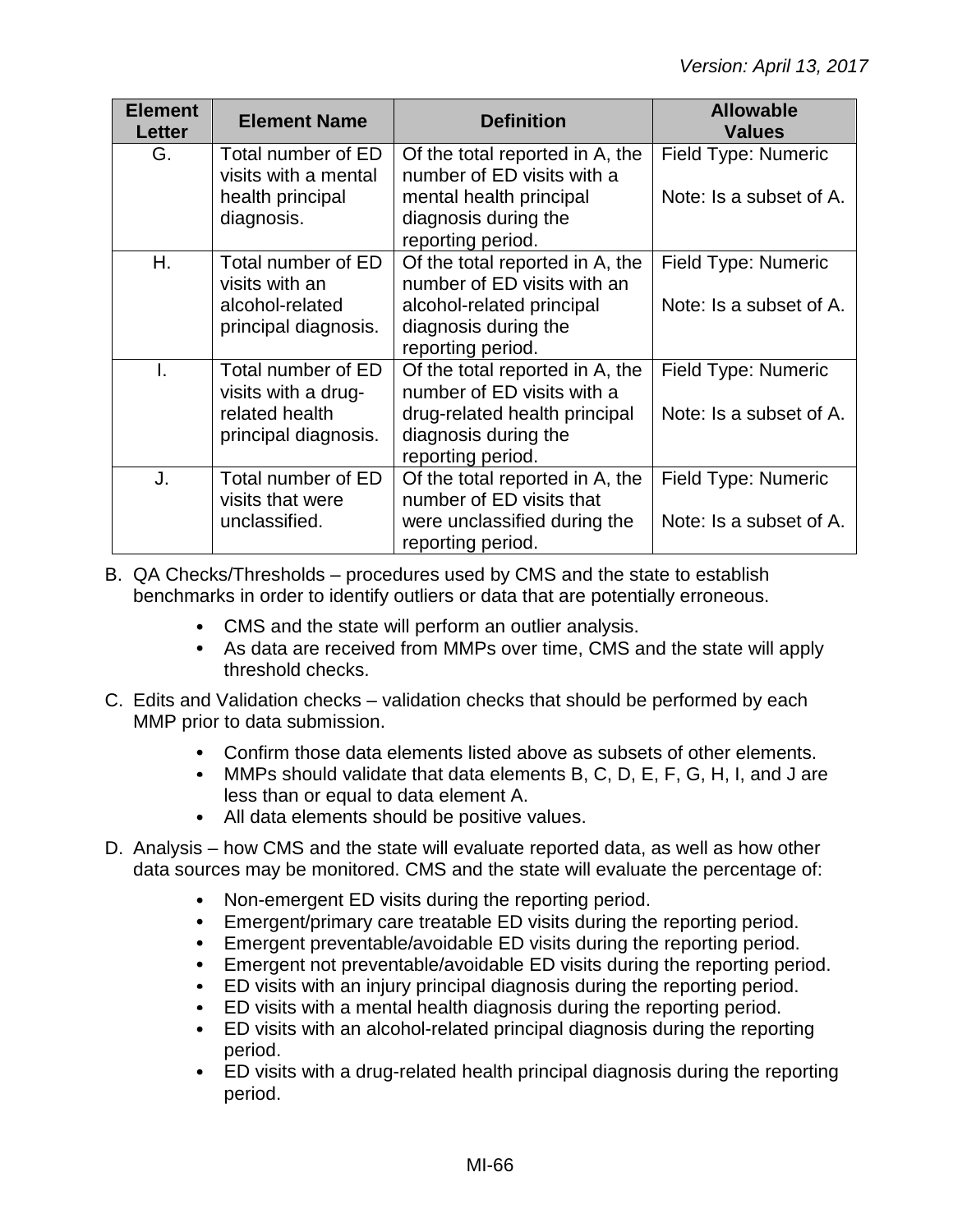| <b>Element</b><br><b>Letter</b> | <b>Element Name</b>                                                                 | <b>Definition</b>                                                                                                                           | <b>Allowable</b><br><b>Values</b>              |
|---------------------------------|-------------------------------------------------------------------------------------|---------------------------------------------------------------------------------------------------------------------------------------------|------------------------------------------------|
| G.                              | Total number of ED<br>visits with a mental<br>health principal<br>diagnosis.        | Of the total reported in A, the<br>number of ED visits with a<br>mental health principal<br>diagnosis during the<br>reporting period.       | Field Type: Numeric<br>Note: Is a subset of A. |
| Η.                              | Total number of ED<br>visits with an<br>alcohol-related<br>principal diagnosis.     | Of the total reported in A, the<br>number of ED visits with an<br>alcohol-related principal<br>diagnosis during the<br>reporting period.    | Field Type: Numeric<br>Note: Is a subset of A. |
| I.                              | Total number of ED<br>visits with a drug-<br>related health<br>principal diagnosis. | Of the total reported in A, the<br>number of ED visits with a<br>drug-related health principal<br>diagnosis during the<br>reporting period. | Field Type: Numeric<br>Note: Is a subset of A. |
| J.                              | Total number of ED<br>visits that were<br>unclassified.                             | Of the total reported in A, the<br>number of ED visits that<br>were unclassified during the<br>reporting period.                            | Field Type: Numeric<br>Note: Is a subset of A. |

- B. QA Checks/Thresholds procedures used by CMS and the state to establish benchmarks in order to identify outliers or data that are potentially erroneous.
	- CMS and the state will perform an outlier analysis.
	- As data are received from MMPs over time, CMS and the state will apply threshold checks.
- C. Edits and Validation checks validation checks that should be performed by each MMP prior to data submission.
	- Confirm those data elements listed above as subsets of other elements.
	- MMPs should validate that data elements B, C, D, E, F, G, H, I, and J are less than or equal to data element A.
	- All data elements should be positive values.
- D. Analysis how CMS and the state will evaluate reported data, as well as how other data sources may be monitored. CMS and the state will evaluate the percentage of:
	- $\bullet$ Non-emergent ED visits during the reporting period.
	- Emergent/primary care treatable ED visits during the reporting period.
	- Emergent preventable/avoidable ED visits during the reporting period.
	- Emergent not preventable/avoidable ED visits during the reporting period.
	- ED visits with an injury principal diagnosis during the reporting period.
	- ED visits with a mental health diagnosis during the reporting period.
	- ED visits with an alcohol-related principal diagnosis during the reporting  $\bullet$ period.
	- ED visits with a drug-related health principal diagnosis during the reporting period.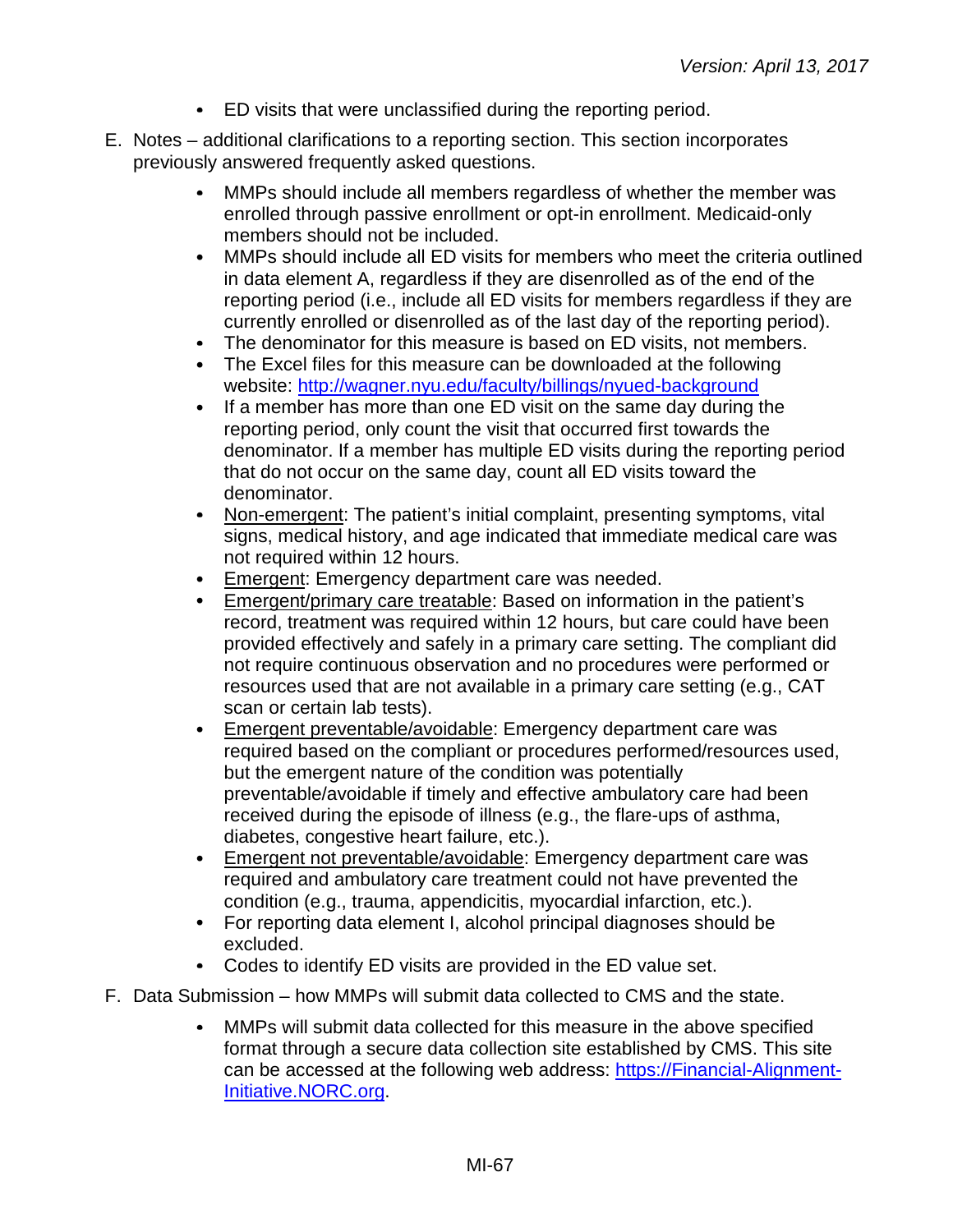- ED visits that were unclassified during the reporting period.
- E. Notes additional clarifications to a reporting section. This section incorporates previously answered frequently asked questions.
	- MMPs should include all members regardless of whether the member was  $\bullet$ enrolled through passive enrollment or opt-in enrollment. Medicaid-only members should not be included.
	- $\bullet$ MMPs should include all ED visits for members who meet the criteria outlined in data element A, regardless if they are disenrolled as of the end of the reporting period (i.e., include all ED visits for members regardless if they are currently enrolled or disenrolled as of the last day of the reporting period).
	- The denominator for this measure is based on ED visits, not members.
	- The Excel files for this measure can be downloaded at the following website:<http://wagner.nyu.edu/faculty/billings/nyued-background>
	- If a member has more than one ED visit on the same day during the reporting period, only count the visit that occurred first towards the denominator. If a member has multiple ED visits during the reporting period that do not occur on the same day, count all ED visits toward the denominator.
	- $\bullet$ Non-emergent: The patient's initial complaint, presenting symptoms, vital signs, medical history, and age indicated that immediate medical care was not required within 12 hours.
	- $\bullet$ Emergent: Emergency department care was needed.
	- Emergent/primary care treatable: Based on information in the patient's record, treatment was required within 12 hours, but care could have been provided effectively and safely in a primary care setting. The compliant did not require continuous observation and no procedures were performed or resources used that are not available in a primary care setting (e.g., CAT scan or certain lab tests).
	- Emergent preventable/avoidable: Emergency department care was required based on the compliant or procedures performed/resources used, but the emergent nature of the condition was potentially preventable/avoidable if timely and effective ambulatory care had been received during the episode of illness (e.g., the flare-ups of asthma, diabetes, congestive heart failure, etc.).
	- Emergent not preventable/avoidable: Emergency department care was  $\bullet$ required and ambulatory care treatment could not have prevented the condition (e.g., trauma, appendicitis, myocardial infarction, etc.).
	- For reporting data element I, alcohol principal diagnoses should be excluded.
	- $\bullet$ Codes to identify ED visits are provided in the ED value set.
- F. Data Submission how MMPs will submit data collected to CMS and the state.
	- MMPs will submit data collected for this measure in the above specified format through a secure data collection site established by CMS. This site can be accessed at the following web address: [https://Financial-Alignment-](https://financial-alignment-initiative.norc.org/)[Initiative.NORC.org.](https://financial-alignment-initiative.norc.org/)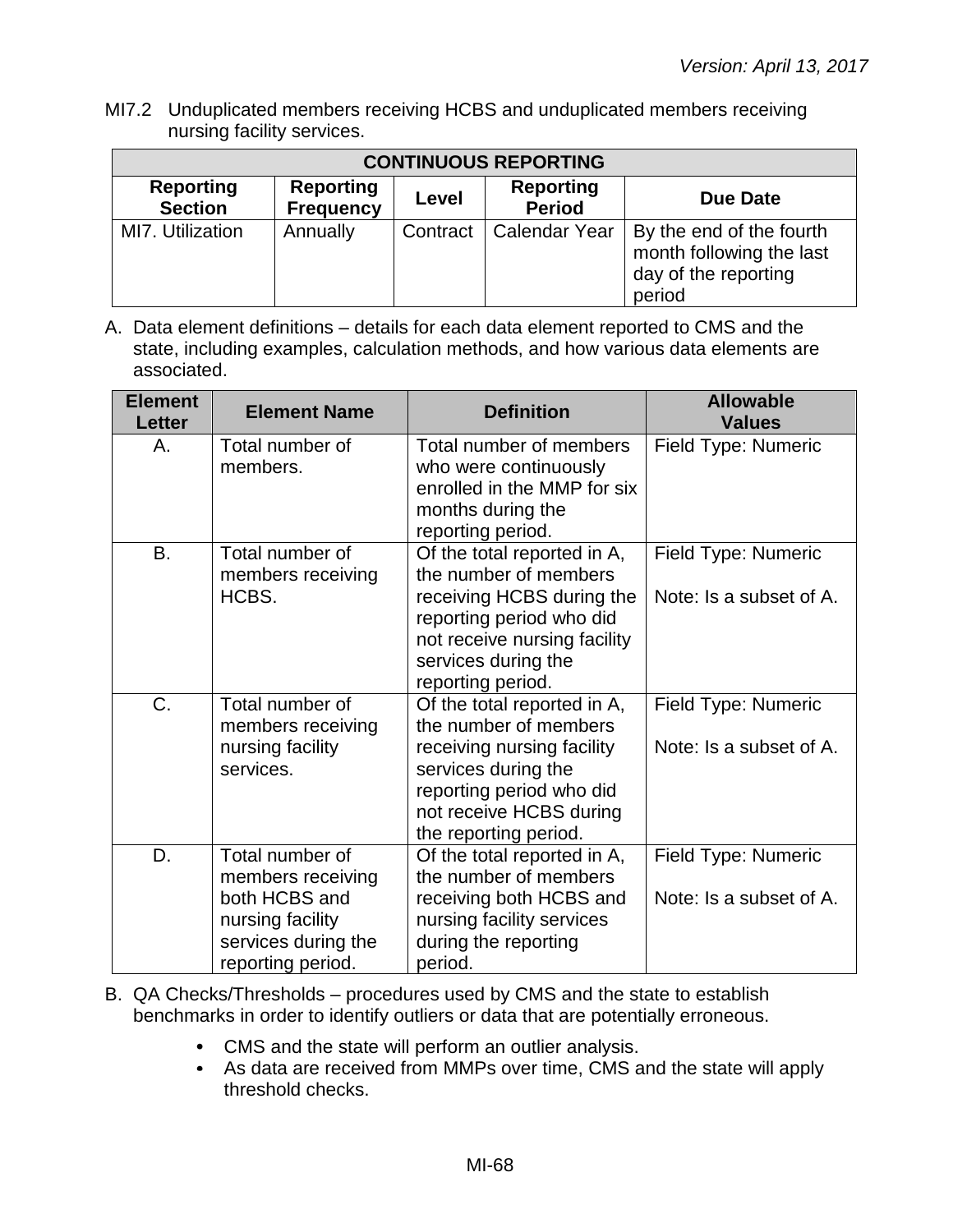MI7.2 Unduplicated members receiving HCBS and unduplicated members receiving nursing facility services.

| <b>CONTINUOUS REPORTING</b>        |                                      |          |                                   |                                                                                        |  |
|------------------------------------|--------------------------------------|----------|-----------------------------------|----------------------------------------------------------------------------------------|--|
| <b>Reporting</b><br><b>Section</b> | <b>Reporting</b><br><b>Frequency</b> | Level    | <b>Reporting</b><br><b>Period</b> | Due Date                                                                               |  |
| MI7. Utilization                   | Annually                             | Contract | Calendar Year                     | By the end of the fourth<br>month following the last<br>day of the reporting<br>period |  |

| <b>Element</b><br><b>Letter</b> | <b>Element Name</b>                                                                                                   | <b>Definition</b>                                                                                                                                                                         | <b>Allowable</b><br><b>Values</b>              |
|---------------------------------|-----------------------------------------------------------------------------------------------------------------------|-------------------------------------------------------------------------------------------------------------------------------------------------------------------------------------------|------------------------------------------------|
| Α.                              | Total number of<br>members.                                                                                           | Total number of members<br>who were continuously<br>enrolled in the MMP for six<br>months during the<br>reporting period.                                                                 | Field Type: Numeric                            |
| <b>B.</b>                       | Total number of<br>members receiving<br>HCBS.                                                                         | Of the total reported in A,<br>the number of members<br>receiving HCBS during the<br>reporting period who did<br>not receive nursing facility<br>services during the<br>reporting period. | Field Type: Numeric<br>Note: Is a subset of A. |
| C.                              | Total number of<br>members receiving<br>nursing facility<br>services.                                                 | Of the total reported in A,<br>the number of members<br>receiving nursing facility<br>services during the<br>reporting period who did<br>not receive HCBS during<br>the reporting period. | Field Type: Numeric<br>Note: Is a subset of A. |
| D.                              | Total number of<br>members receiving<br>both HCBS and<br>nursing facility<br>services during the<br>reporting period. | Of the total reported in A,<br>the number of members<br>receiving both HCBS and<br>nursing facility services<br>during the reporting<br>period.                                           | Field Type: Numeric<br>Note: Is a subset of A. |

- B. QA Checks/Thresholds procedures used by CMS and the state to establish benchmarks in order to identify outliers or data that are potentially erroneous.
	- CMS and the state will perform an outlier analysis.
	- As data are received from MMPs over time, CMS and the state will apply threshold checks.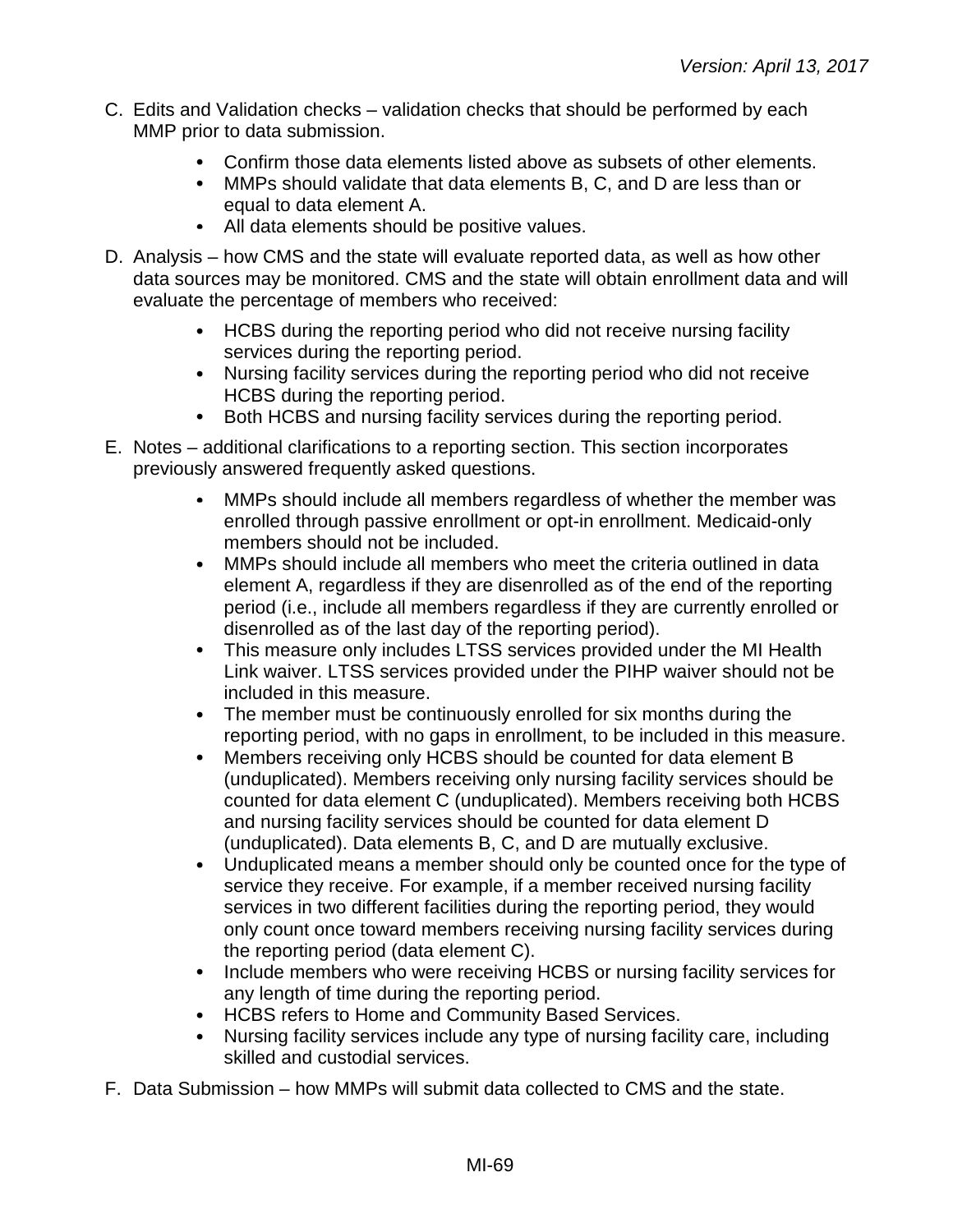- C. Edits and Validation checks validation checks that should be performed by each MMP prior to data submission.
	- Confirm those data elements listed above as subsets of other elements.
	- MMPs should validate that data elements B, C, and D are less than or equal to data element A.
	- All data elements should be positive values.
- D. Analysis how CMS and the state will evaluate reported data, as well as how other data sources may be monitored. CMS and the state will obtain enrollment data and will evaluate the percentage of members who received:
	- HCBS during the reporting period who did not receive nursing facility services during the reporting period.
	- Nursing facility services during the reporting period who did not receive HCBS during the reporting period.
	- Both HCBS and nursing facility services during the reporting period.
- E. Notes additional clarifications to a reporting section. This section incorporates previously answered frequently asked questions.
	- MMPs should include all members regardless of whether the member was  $\bullet$ enrolled through passive enrollment or opt-in enrollment. Medicaid-only members should not be included.
	- $\bullet$ MMPs should include all members who meet the criteria outlined in data element A, regardless if they are disenrolled as of the end of the reporting period (i.e., include all members regardless if they are currently enrolled or disenrolled as of the last day of the reporting period).
	- This measure only includes LTSS services provided under the MI Health Link waiver. LTSS services provided under the PIHP waiver should not be included in this measure.
	- The member must be continuously enrolled for six months during the reporting period, with no gaps in enrollment, to be included in this measure.
	- $\bullet$ Members receiving only HCBS should be counted for data element B (unduplicated). Members receiving only nursing facility services should be counted for data element C (unduplicated). Members receiving both HCBS and nursing facility services should be counted for data element D (unduplicated). Data elements B, C, and D are mutually exclusive.
	- Unduplicated means a member should only be counted once for the type of  $\bullet$ service they receive. For example, if a member received nursing facility services in two different facilities during the reporting period, they would only count once toward members receiving nursing facility services during the reporting period (data element C).
	- Include members who were receiving HCBS or nursing facility services for any length of time during the reporting period.
	- HCBS refers to Home and Community Based Services.  $\bullet$
	- Nursing facility services include any type of nursing facility care, including  $\bullet$ skilled and custodial services.
- F. Data Submission how MMPs will submit data collected to CMS and the state.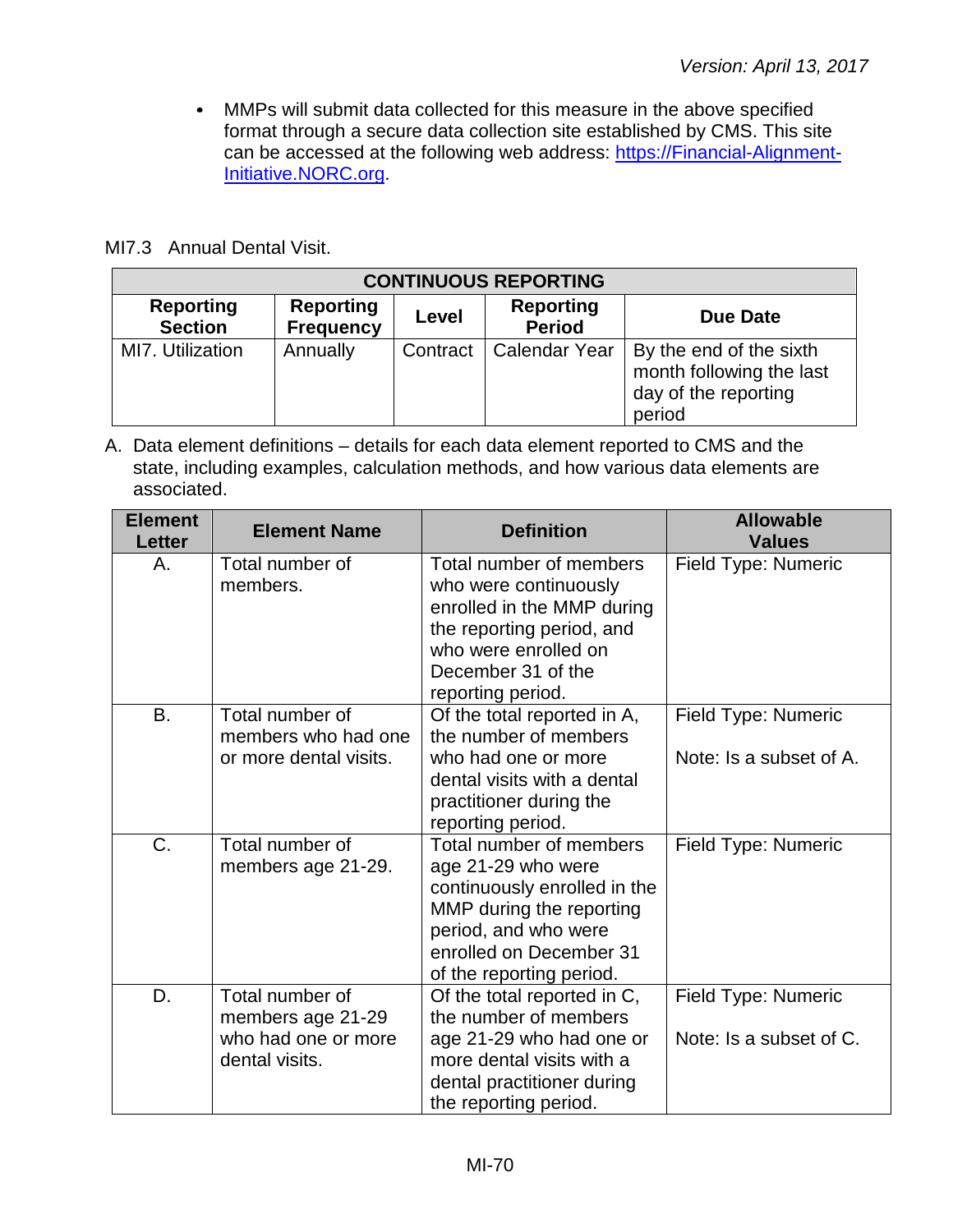MMPs will submit data collected for this measure in the above specified format through a secure data collection site established by CMS. This site can be accessed at the following web address: [https://Financial-Alignment-](https://financial-alignment-initiative.norc.org/)[Initiative.NORC.org.](https://financial-alignment-initiative.norc.org/)

#### MI7.3 Annual Dental Visit.

| <b>CONTINUOUS REPORTING</b>        |                                      |          |                                   |                                                                                       |
|------------------------------------|--------------------------------------|----------|-----------------------------------|---------------------------------------------------------------------------------------|
| <b>Reporting</b><br><b>Section</b> | <b>Reporting</b><br><b>Frequency</b> | Level    | <b>Reporting</b><br><b>Period</b> | Due Date                                                                              |
| MI7. Utilization                   | Annually                             | Contract | Calendar Year                     | By the end of the sixth<br>month following the last<br>day of the reporting<br>period |

| <b>Element</b><br><b>Letter</b> | <b>Element Name</b>                                                           | <b>Definition</b>                                                                                                                                                                        | <b>Allowable</b><br><b>Values</b>              |
|---------------------------------|-------------------------------------------------------------------------------|------------------------------------------------------------------------------------------------------------------------------------------------------------------------------------------|------------------------------------------------|
| Α.                              | Total number of<br>members.                                                   | Total number of members<br>who were continuously<br>enrolled in the MMP during<br>the reporting period, and<br>who were enrolled on<br>December 31 of the<br>reporting period.           | Field Type: Numeric                            |
| B.                              | Total number of<br>members who had one<br>or more dental visits.              | Of the total reported in A,<br>the number of members<br>who had one or more<br>dental visits with a dental<br>practitioner during the<br>reporting period.                               | Field Type: Numeric<br>Note: Is a subset of A. |
| C.                              | Total number of<br>members age 21-29.                                         | Total number of members<br>age 21-29 who were<br>continuously enrolled in the<br>MMP during the reporting<br>period, and who were<br>enrolled on December 31<br>of the reporting period. | Field Type: Numeric                            |
| D.                              | Total number of<br>members age 21-29<br>who had one or more<br>dental visits. | Of the total reported in C,<br>the number of members<br>age 21-29 who had one or<br>more dental visits with a<br>dental practitioner during<br>the reporting period.                     | Field Type: Numeric<br>Note: Is a subset of C. |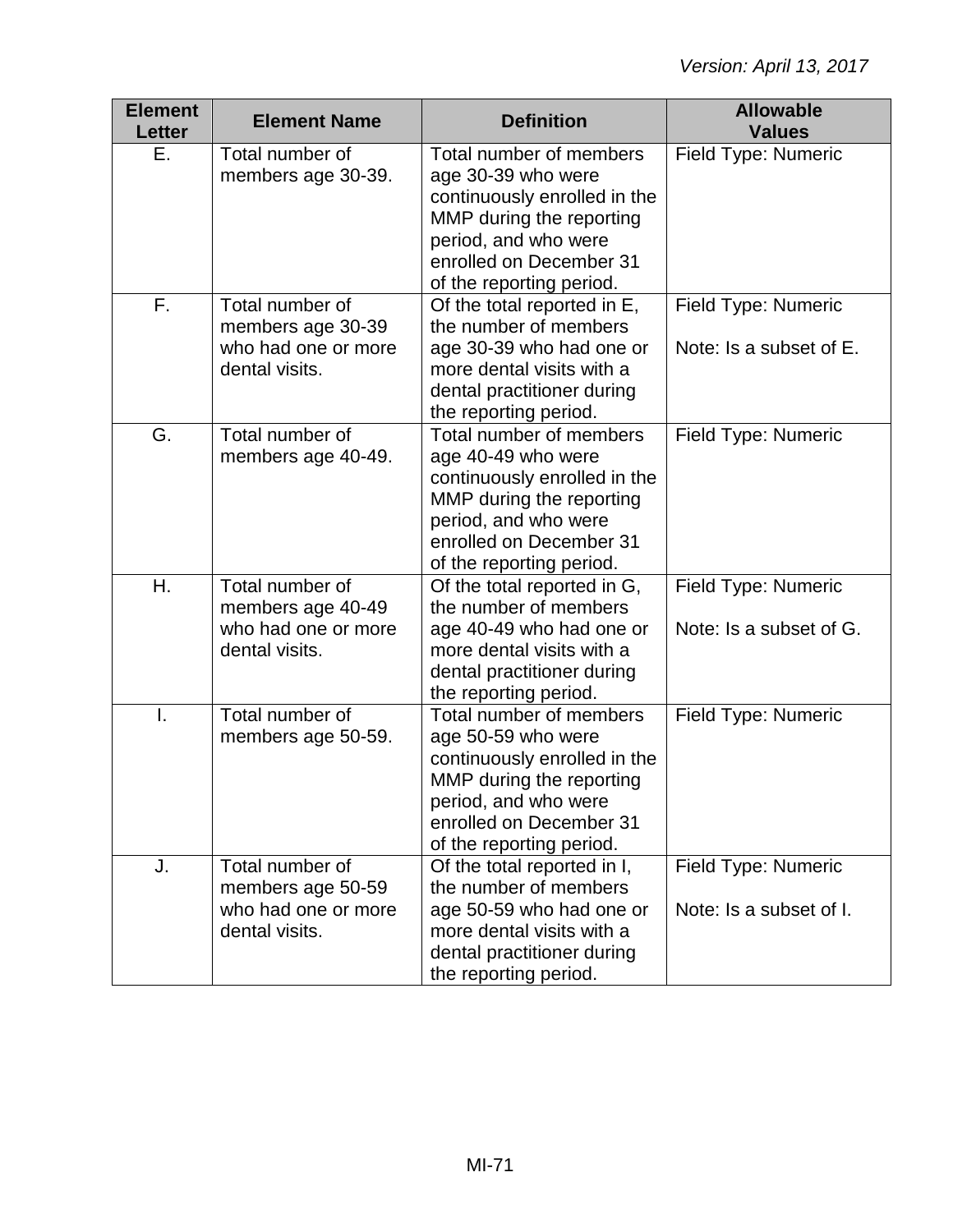| <b>Element</b><br><b>Letter</b> | <b>Element Name</b>                                                           | <b>Definition</b>                                                                                                                                                                        | <b>Allowable</b><br><b>Values</b>              |
|---------------------------------|-------------------------------------------------------------------------------|------------------------------------------------------------------------------------------------------------------------------------------------------------------------------------------|------------------------------------------------|
| Ε.                              | Total number of<br>members age 30-39.                                         | Total number of members<br>age 30-39 who were<br>continuously enrolled in the<br>MMP during the reporting<br>period, and who were<br>enrolled on December 31<br>of the reporting period. | Field Type: Numeric                            |
| F.                              | Total number of<br>members age 30-39<br>who had one or more<br>dental visits. | Of the total reported in E,<br>the number of members<br>age 30-39 who had one or<br>more dental visits with a<br>dental practitioner during<br>the reporting period.                     | Field Type: Numeric<br>Note: Is a subset of E. |
| G.                              | Total number of<br>members age 40-49.                                         | Total number of members<br>age 40-49 who were<br>continuously enrolled in the<br>MMP during the reporting<br>period, and who were<br>enrolled on December 31<br>of the reporting period. | Field Type: Numeric                            |
| Η.                              | Total number of<br>members age 40-49<br>who had one or more<br>dental visits. | Of the total reported in G,<br>the number of members<br>age 40-49 who had one or<br>more dental visits with a<br>dental practitioner during<br>the reporting period.                     | Field Type: Numeric<br>Note: Is a subset of G. |
| Τ.                              | Total number of<br>members age 50-59.                                         | Total number of members<br>age 50-59 who were<br>continuously enrolled in the<br>MMP during the reporting<br>period, and who were<br>enrolled on December 31<br>of the reporting period. | Field Type: Numeric                            |
| J.                              | Total number of<br>members age 50-59<br>who had one or more<br>dental visits. | Of the total reported in I,<br>the number of members<br>age 50-59 who had one or<br>more dental visits with a<br>dental practitioner during<br>the reporting period.                     | Field Type: Numeric<br>Note: Is a subset of I. |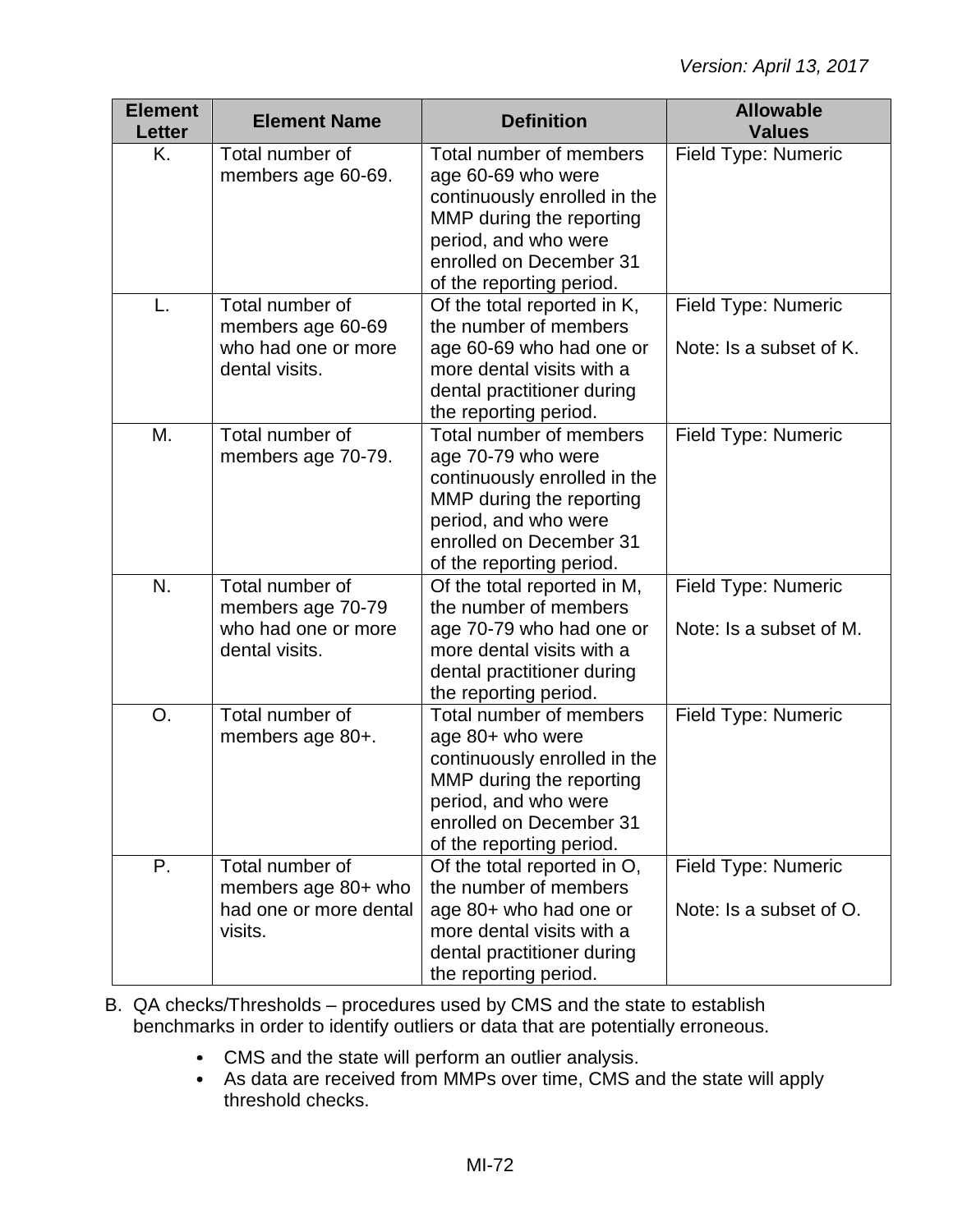| <b>Element</b>      | <b>Element Name</b>               | <b>Definition</b>                                    | <b>Allowable</b>        |
|---------------------|-----------------------------------|------------------------------------------------------|-------------------------|
| <b>Letter</b><br>K. | Total number of                   | Total number of members                              | <b>Values</b>           |
|                     |                                   | age 60-69 who were                                   | Field Type: Numeric     |
|                     | members age 60-69.                | continuously enrolled in the                         |                         |
|                     |                                   | MMP during the reporting                             |                         |
|                     |                                   | period, and who were                                 |                         |
|                     |                                   | enrolled on December 31                              |                         |
|                     |                                   | of the reporting period.                             |                         |
| L.                  | Total number of                   | Of the total reported in K,                          | Field Type: Numeric     |
|                     | members age 60-69                 | the number of members                                |                         |
|                     | who had one or more               | age 60-69 who had one or                             | Note: Is a subset of K. |
|                     | dental visits.                    | more dental visits with a                            |                         |
|                     |                                   | dental practitioner during                           |                         |
|                     |                                   | the reporting period.                                |                         |
| Μ.                  | Total number of                   | Total number of members                              | Field Type: Numeric     |
|                     | members age 70-79.                | age 70-79 who were                                   |                         |
|                     |                                   | continuously enrolled in the                         |                         |
|                     |                                   | MMP during the reporting                             |                         |
|                     |                                   | period, and who were                                 |                         |
|                     |                                   | enrolled on December 31                              |                         |
|                     |                                   | of the reporting period.                             |                         |
| N.                  | Total number of                   | Of the total reported in M,                          | Field Type: Numeric     |
|                     | members age 70-79                 | the number of members                                |                         |
|                     | who had one or more               | age 70-79 who had one or                             | Note: Is a subset of M. |
|                     | dental visits.                    | more dental visits with a                            |                         |
|                     |                                   | dental practitioner during                           |                         |
|                     |                                   | the reporting period.                                |                         |
| O.                  | Total number of                   | Total number of members                              | Field Type: Numeric     |
|                     | members age 80+.                  | age 80+ who were                                     |                         |
|                     |                                   | continuously enrolled in the                         |                         |
|                     |                                   | MMP during the reporting                             |                         |
|                     |                                   | period, and who were                                 |                         |
|                     |                                   | enrolled on December 31                              |                         |
|                     |                                   | of the reporting period.                             |                         |
| Ρ.                  | Total number of                   | Of the total reported in O,<br>the number of members | Field Type: Numeric     |
|                     | members age 80+ who               |                                                      |                         |
|                     | had one or more dental<br>visits. | age 80+ who had one or                               | Note: Is a subset of O. |
|                     |                                   | more dental visits with a                            |                         |
|                     |                                   | dental practitioner during                           |                         |
|                     |                                   | the reporting period.                                |                         |

- B. QA checks/Thresholds procedures used by CMS and the state to establish benchmarks in order to identify outliers or data that are potentially erroneous.
	- CMS and the state will perform an outlier analysis.
	- As data are received from MMPs over time, CMS and the state will apply threshold checks.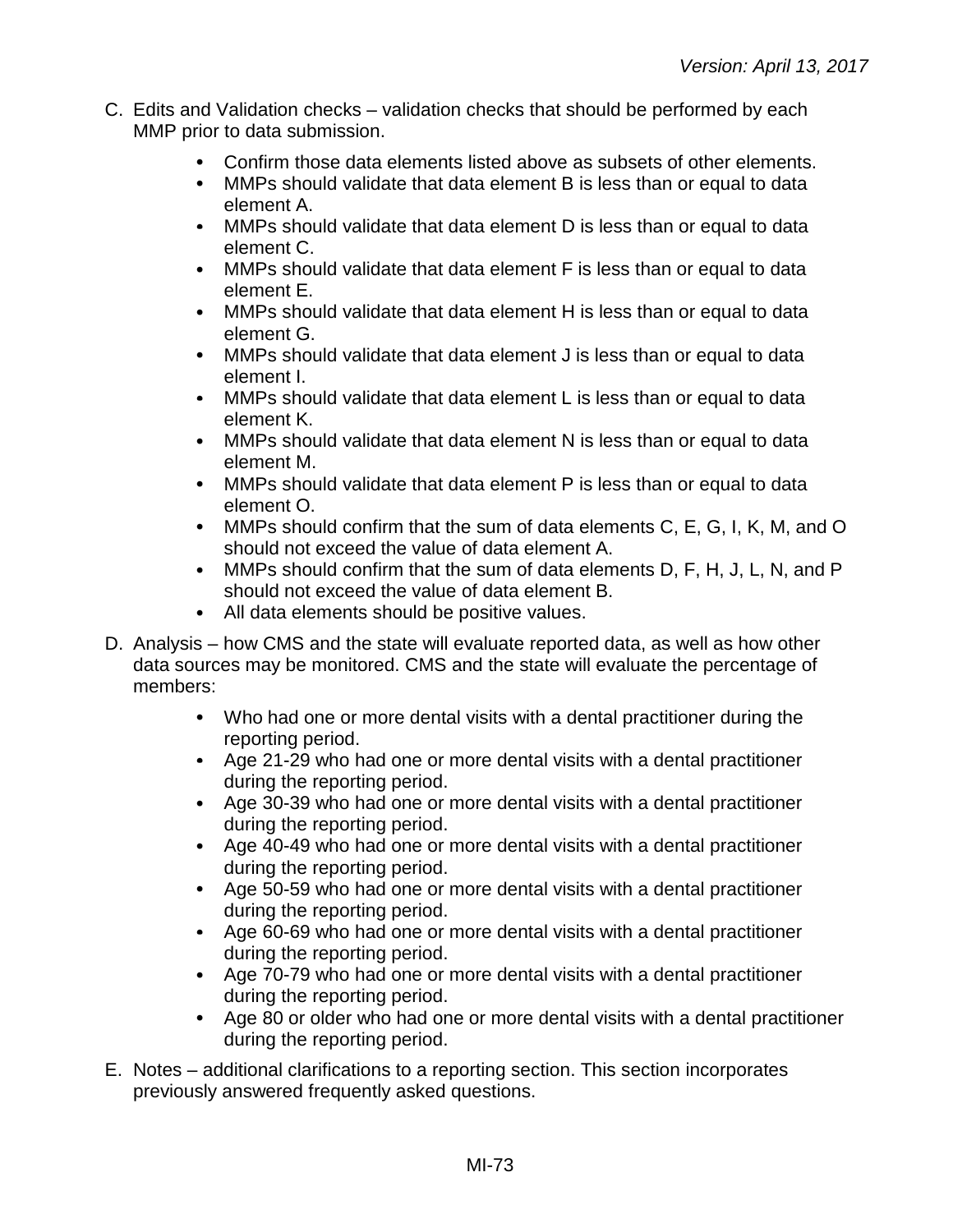- C. Edits and Validation checks validation checks that should be performed by each MMP prior to data submission.
	- $\bullet$ Confirm those data elements listed above as subsets of other elements.
	- $\bullet$ MMPs should validate that data element B is less than or equal to data element A.
	- $\bullet$ MMPs should validate that data element D is less than or equal to data element C.
	- MMPs should validate that data element F is less than or equal to data element E.
	- $\bullet$ MMPs should validate that data element H is less than or equal to data element G.
	- MMPs should validate that data element J is less than or equal to data element I.
	- $\bullet$ MMPs should validate that data element L is less than or equal to data element K.
	- $\bullet$ MMPs should validate that data element N is less than or equal to data element M.
	- MMPs should validate that data element P is less than or equal to data element O.
	- $\bullet$ MMPs should confirm that the sum of data elements C, E, G, I, K, M, and O should not exceed the value of data element A.
	- MMPs should confirm that the sum of data elements D, F, H, J, L, N, and P should not exceed the value of data element B.
	- All data elements should be positive values.
- D. Analysis how CMS and the state will evaluate reported data, as well as how other data sources may be monitored. CMS and the state will evaluate the percentage of members:
	- Who had one or more dental visits with a dental practitioner during the reporting period.
	- Age 21-29 who had one or more dental visits with a dental practitioner during the reporting period.
	- Age 30-39 who had one or more dental visits with a dental practitioner during the reporting period.
	- Age 40-49 who had one or more dental visits with a dental practitioner during the reporting period.
	- Age 50-59 who had one or more dental visits with a dental practitioner during the reporting period.
	- Age 60-69 who had one or more dental visits with a dental practitioner during the reporting period.
	- Age 70-79 who had one or more dental visits with a dental practitioner during the reporting period.
	- Age 80 or older who had one or more dental visits with a dental practitioner during the reporting period.
- E. Notes additional clarifications to a reporting section. This section incorporates previously answered frequently asked questions.